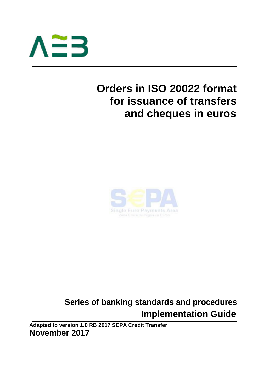

# **Orders in ISO 20022 format for issuance of transfers and cheques in euros**



## **Series of banking standards and procedures Implementation Guide**

**Adapted to version 1.0 RB 2017 SEPA Credit Transfer November 2017**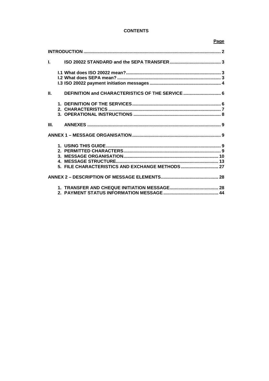## **CONTENTS**

## Page

| $\mathbf{L}$ |                                                  |  |
|--------------|--------------------------------------------------|--|
|              |                                                  |  |
|              |                                                  |  |
|              |                                                  |  |
| Ш.           | DEFINITION and CHARACTERISTICS OF THE SERVICE  6 |  |
|              |                                                  |  |
|              |                                                  |  |
|              |                                                  |  |
| III.         |                                                  |  |
|              |                                                  |  |
|              |                                                  |  |
|              |                                                  |  |
|              |                                                  |  |
|              |                                                  |  |
|              | 5. FILE CHARACTERISTICS AND EXCHANGE METHODS  27 |  |
|              |                                                  |  |
|              |                                                  |  |
|              |                                                  |  |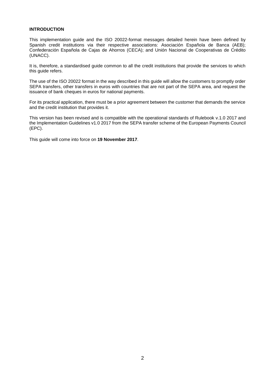#### **INTRODUCTION**

This implementation guide and the ISO 20022-format messages detailed herein have been defined by Spanish credit institutions via their respective associations: Asociación Española de Banca (AEB); Confederación Española de Cajas de Ahorros (CECA); and Unión Nacional de Cooperativas de Crédito (UNACC).

It is, therefore, a standardised guide common to all the credit institutions that provide the services to which this guide refers.

The use of the ISO 20022 format in the way described in this guide will allow the customers to promptly order SEPA transfers, other transfers in euros with countries that are not part of the SEPA area, and request the issuance of bank cheques in euros for national payments.

For its practical application, there must be a prior agreement between the customer that demands the service and the credit institution that provides it.

This version has been revised and is compatible with the operational standards of Rulebook v.1.0 2017 and the Implementation Guidelines v1.0 2017 from the SEPA transfer scheme of the European Payments Council (EPC).

This guide will come into force on **19 November 2017**.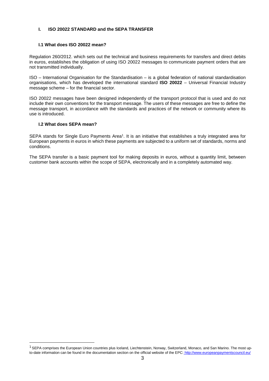#### **I. ISO 20022 STANDARD and the SEPA TRANSFER**

#### **I.1 What does ISO 20022 mean?**

Regulation 260/2012. which sets out the technical and business requirements for transfers and direct debits in euros, establishes the obligation of using ISO 20022 messages to communicate payment orders that are not transmitted individually.

ISO – International Organisation for the Standardisation – is a global federation of national standardisation organisations, which has developed the international standard **ISO 20022** – Universal Financial Industry message scheme – for the financial sector.

ISO 20022 messages have been designed independently of the transport protocol that is used and do not include their own conventions for the transport message. The users of these messages are free to define the message transport, in accordance with the standards and practices of the network or community where its use is introduced.

#### **I.2 What does SEPA mean?**

SEPA stands for Single Euro Payments Area<sup>1</sup>. It is an initiative that establishes a truly integrated area for European payments in euros in which these payments are subjected to a uniform set of standards, norms and conditions.

The SEPA transfer is a basic payment tool for making deposits in euros, without a quantity limit, between customer bank accounts within the scope of SEPA, electronically and in a completely automated way.

 $1$  SEPA comprises the European Union countries plus Iceland, Liechtenstein, Norway, Switzerland, Monaco, and San Marino. The most upto-date information can be found in the documentation section on the official website of the EPC: http://www.europeanpaymentscouncil.eu/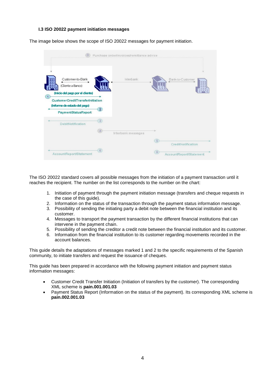#### **I.3 ISO 20022 payment initiation messages**

|                                                                                                                                                                     |                   | Purchase order/invoices/remittance advice |                                      |
|---------------------------------------------------------------------------------------------------------------------------------------------------------------------|-------------------|-------------------------------------------|--------------------------------------|
| Customer-to-Bank<br>(Cliente a Banco)<br>(Inicio del pago por el cliente)<br>$\left( 1 \right)$<br>CustomerCreditTransferInitiation<br>(Informe de estado del pago) | $\overline{2}$    | Interbank                                 | Bank-to-Customer<br>333              |
| PaymentStatusReport                                                                                                                                                 |                   |                                           |                                      |
| DebitNotification                                                                                                                                                   | $\overline{3}$    |                                           |                                      |
|                                                                                                                                                                     | $\left( 4\right)$ | Interbank messages                        |                                      |
|                                                                                                                                                                     | 6)                |                                           | $\circ$<br>CreditNotification<br>(6) |
| AccountReport/Statement                                                                                                                                             |                   |                                           | AccountReport/Statement              |

The image below shows the scope of ISO 20022 messages for payment initiation.

The ISO 20022 standard covers all possible messages from the initiation of a payment transaction until it reaches the recipient. The number on the list corresponds to the number on the chart:

- 1. Initiation of payment through the payment initiation message (transfers and cheque requests in the case of this guide).
- 2. Information on the status of the transaction through the payment status information message.
- 3. Possibility of sending the initiating party a debit note between the financial institution and its customer.
- 4. Messages to transport the payment transaction by the different financial institutions that can intervene in the payment chain.
- 5. Possibility of sending the creditor a credit note between the financial institution and its customer.
- 6. Information from the financial institution to its customer regarding movements recorded in the account balances.

This guide details the adaptations of messages marked 1 and 2 to the specific requirements of the Spanish community, to initiate transfers and request the issuance of cheques.

This guide has been prepared in accordance with the following payment initiation and payment status information messages:

- Customer Credit Transfer Initiation (Initiation of transfers by the customer). The corresponding XML scheme is **pain.001.001.03**
- Payment Status Report (Information on the status of the payment). Its corresponding XML scheme is **pain.002.001.03**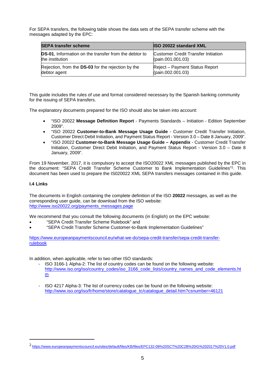For SEPA transfers, the following table shows the data sets of the SEPA transfer scheme with the messages adapted by the EPC:

| <b>SEPA transfer scheme</b>                                   | <b>ISO 20022 standard XML</b>              |
|---------------------------------------------------------------|--------------------------------------------|
| <b>DS-01</b> , Information on the transfer from the debtor to | <b>Customer Credit Transfer Initiation</b> |
| the institution                                               | (pain.001.001.03)                          |
| Rejection, from the DS-03 for the rejection by the            | Reject - Payment Status Report             |
| debtor agent                                                  | (pain.002.001.03)                          |

This guide includes the rules of use and format considered necessary by the Spanish banking community for the issuing of SEPA transfers.

The explanatory documents prepared for the ISO should also be taken into account:

- "ISO 20022 **Message Definition Report** Payments Standards Initiation Edition September 2009".
- "ISO 20022 **Customer-to-Bank Message Usage Guide** Customer Credit Transfer Initiation, Customer Direct Debit Initiation, and Payment Status Report - Version 3.0 – Date 8 January, 2009".
- "ISO 20022 **Customer-to-Bank Message Usage Guide Appendix** Customer Credit Transfer Initiation, Customer Direct Debit Initiation, and Payment Status Report - Version 3.0 – Date 8 January, 2009".

From 19 November, 2017, it is compulsory to accept the ISO20022 XML messages published by the EPC in the document: "SEPA Credit Transfer Scheme Customer to Bank Implementation Guidelines"<sup>2</sup> . This document has been used to prepare the IS020022 XML SEPA transfers messages contained in this guide.

#### **I.4 Links**

The documents in English containing the complete definition of the ISO **20022** messages, as well as the corresponding user guide, can be download from the ISO website: http://www.iso20022.org/payments\_messages.page

We recommend that you consult the following documents (in English) on the EPC website:

- "SEPA Credit Transfer Scheme Rulebook" and
- "SEPA Credit Transfer Scheme Customer-to-Bank Implementation Guidelines"

https://www.europeanpaymentscouncil.eu/what-we-do/sepa-credit-transfer/sepa-credit-transferrulebook

In addition, when applicable, refer to two other ISO standards:

- ISO 3166-1 Alpha-2: The list of country codes can be found on the following website: http://www.iso.org/iso/country\_codes/iso\_3166\_code\_lists/country\_names\_and\_code\_elements.ht m
- ISO 4217 Alpha-3: The list of currency codes can be found on the following website: http://www.iso.org/iso/fr/home/store/catalogue\_tc/catalogue\_detail.htm?csnumber=46121

<sup>2</sup> https://www.europeanpaymentscouncil.eu/sites/default/files/KB/files/EPC132-08%20SCT%20C2B%20IG%202017%20V1.0.pdf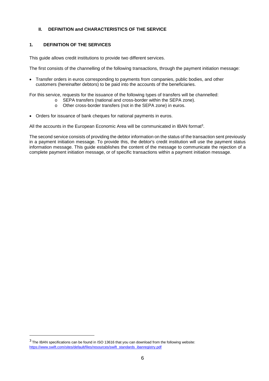## **II. DEFINITION and CHARACTERISTICS OF THE SERVICE**

## **1. DEFINITION OF THE SERVICES**

This guide allows credit institutions to provide two different services.

The first consists of the channelling of the following transactions, through the payment initiation message:

 Transfer orders in euros corresponding to payments from companies, public bodies, and other customers (hereinafter debtors) to be paid into the accounts of the beneficiaries.

For this service, requests for the issuance of the following types of transfers will be channelled:

- o SEPA transfers (national and cross-border within the SEPA zone).
- o Other cross-border transfers (not in the SEPA zone) in euros.
- Orders for issuance of bank cheques for national payments in euros.

All the accounts in the European Economic Area will be communicated in IBAN format<sup>3</sup>.

The second service consists of providing the debtor information on the status of the transaction sent previously in a payment initiation message. To provide this, the debtor's credit institution will use the payment status information message. This guide establishes the content of the message to communicate the rejection of a complete payment initiation message, or of specific transactions within a payment initiation message.

 $3$  The IBAN specifications can be found in ISO 13616 that you can download from the following website: https://www.swift.com/sites/default/files/resources/swift\_standards\_ibanregistry.pdf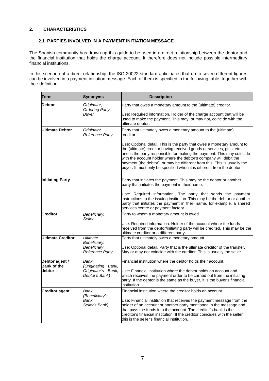## **2. CHARACTERISTICS**

## **2.1. PARTIES INVOLVED IN A PAYMENT INITIATION MESSAGE**

The Spanish community has drawn up this guide to be used in a direct relationship between the debtor and the financial institution that holds the charge account. It therefore does not include possible intermediary financial institutions.

In this scenario of a direct relationship, the ISO 20022 standard anticipates that up to seven different figures can be involved in a payment initiation message. Each of them is specified in the following table, together with their definition.

| Term                                 | <b>Synonyms</b>                                            | <b>Description</b>                                                                                                                                                                                                                                                                                                                                                                                                                                     |
|--------------------------------------|------------------------------------------------------------|--------------------------------------------------------------------------------------------------------------------------------------------------------------------------------------------------------------------------------------------------------------------------------------------------------------------------------------------------------------------------------------------------------------------------------------------------------|
| <b>Debtor</b>                        | Originator,<br>Ordering Party,                             | Party that owes a monetary amount to the (ultimate) creditor.                                                                                                                                                                                                                                                                                                                                                                                          |
|                                      | Buver                                                      | Use: Required information. Holder of the charge account that will be<br>used to make the payment. This may, or may not, coincide with the<br>ultimate debtor.                                                                                                                                                                                                                                                                                          |
| Ultimate Debtor                      | Originator<br><b>Reference Party</b>                       | Party that ultimately owes a monetary amount to the (ultimate)<br>creditor.                                                                                                                                                                                                                                                                                                                                                                            |
|                                      |                                                            | Use: Optional detail. This is the party that owes a monetary amount to<br>the (ultimate) creditor having received goods or services, gifts, etc.,<br>and is the party responsible for making the payment. This may coincide<br>with the account holder where the debtor's company will debit the<br>payment (the debtor), or may be different from this. This is usually the<br>buyer. It must only be specified when it is different from the debtor. |
| <b>Initiating Party</b>              |                                                            | Party that initiates the payment. This may be the debtor or another<br>party that initiates the payment in their name.                                                                                                                                                                                                                                                                                                                                 |
|                                      |                                                            | Use: Required information. The party that sends the payment<br>instructions to the issuing institution. This may be the debtor or another<br>party that initiates the payment in their name, for example, a shared<br>services centre or payment factory.                                                                                                                                                                                              |
| <b>Creditor</b>                      | Beneficiary,<br>Seller                                     | Party to whom a monetary amount is owed.                                                                                                                                                                                                                                                                                                                                                                                                               |
|                                      |                                                            | Use: Required information. Holder of the account where the funds<br>received from the debtor/initiating party will be credited. This may be the<br>ultimate creditor or a different party.                                                                                                                                                                                                                                                             |
| <b>Ultimate Creditor</b>             | Ultimate<br>Beneficiary,                                   | Party that ultimately owes a monetary amount.                                                                                                                                                                                                                                                                                                                                                                                                          |
|                                      | Beneficiary<br>Reference Party                             | Use: Optional detail. Party that is the ultimate creditor of the transfer.<br>May or may not coincide with the creditor. This is usually the seller.                                                                                                                                                                                                                                                                                                   |
| Debtor agent /<br><b>Bank of the</b> | Bank                                                       | Financial institution where the debtor holds their account.                                                                                                                                                                                                                                                                                                                                                                                            |
| debtor                               | (Originating Bank,<br>Originator's Bank,<br>Debtor's Bank) | Use: Financial institution where the debtor holds an account and<br>which receives the payment order to be carried out from the initiating<br>party. If the debtor is the same as the buyer, it is the buyer's financial<br>institution.                                                                                                                                                                                                               |
| <b>Creditor agent</b>                | Bank<br>(Beneficiary's<br>Bank,<br>Seller's Bank)          | Financial institution where the creditor holds an account.<br>Use: Financial institution that receives the payment message from the<br>holder of an account or another party mentioned in the message and<br>that pays the funds into the account. The creditor's bank is the<br>creditor's financial institution, If the creditor coincides with the seller,<br>this is the seller's financial institution.                                           |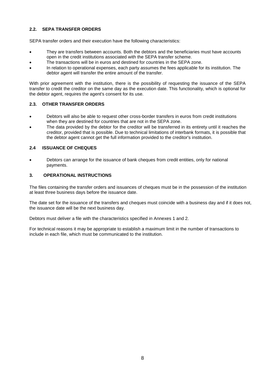## **2.2. SEPA TRANSFER ORDERS**

SEPA transfer orders and their execution have the following characteristics:

- They are transfers between accounts. Both the debtors and the beneficiaries must have accounts open in the credit institutions associated with the SEPA transfer scheme.
- The transactions will be in euros and destined for countries in the SEPA zone.
- In relation to operational expenses, each party assumes the fees applicable for its institution. The debtor agent will transfer the entire amount of the transfer.

With prior agreement with the institution, there is the possibility of requesting the issuance of the SEPA transfer to credit the creditor on the same day as the execution date. This functionality, which is optional for the debtor agent, requires the agent's consent for its use.

#### **2.3. OTHER TRANSFER ORDERS**

- Debtors will also be able to request other cross-border transfers in euros from credit institutions when they are destined for countries that are not in the SEPA zone.
- The data provided by the debtor for the creditor will be transferred in its entirety until it reaches the creditor, provided that is possible. Due to technical limitations of interbank formats, it is possible that the debtor agent cannot get the full information provided to the creditor's institution.

#### **2.4 ISSUANCE OF CHEQUES**

 Debtors can arrange for the issuance of bank cheques from credit entities, only for national payments.

#### **3. OPERATIONAL INSTRUCTIONS**

The files containing the transfer orders and issuances of cheques must be in the possession of the institution at least three business days before the issuance date.

The date set for the issuance of the transfers and cheques must coincide with a business day and if it does not, the issuance date will be the next business day.

Debtors must deliver a file with the characteristics specified in Annexes 1 and 2.

For technical reasons it may be appropriate to establish a maximum limit in the number of transactions to include in each file, which must be communicated to the institution.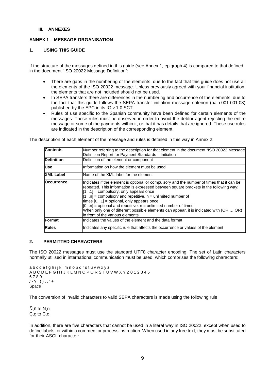#### **III. ANNEXES**

#### **ANNEX 1 – MESSAGE ORGANISATION**

#### **1. USING THIS GUIDE**

If the structure of the messages defined in this guide (see Annex 1, epigraph 4) is compared to that defined in the document "ISO 20022 Message Definition":

- There are gaps in the numbering of the elements, due to the fact that this guide does not use all the elements of the ISO 20022 message. Unless previously agreed with your financial institution, the elements that are not included should not be used.
- In SEPA transfers there are differences in the numbering and occurrence of the elements, due to the fact that this guide follows the SEPA transfer initiation message criterion (pain.001.001.03) published by the EPC in its IG v 1.0 SCT.
- Rules of use specific to the Spanish community have been defined for certain elements of the messages. These rules must be observed in order to avoid the debtor agent rejecting the entire message or some of the payments within it, or that it has details that are ignored. These use rules are indicated in the description of the corresponding element.

The description of each element of the message and rules is detailed in this way in Annex 2:

| <b>Contents</b>   | Number referring to the description for that element in the document "ISO 20022 Message<br>Definition Report for Payment Standards - Initiation"                                                                                                                                                                                                                                                                                                                                                                                                        |
|-------------------|---------------------------------------------------------------------------------------------------------------------------------------------------------------------------------------------------------------------------------------------------------------------------------------------------------------------------------------------------------------------------------------------------------------------------------------------------------------------------------------------------------------------------------------------------------|
| <b>Definition</b> | Definition of the element or component                                                                                                                                                                                                                                                                                                                                                                                                                                                                                                                  |
| Use               | Information on how the element must be used                                                                                                                                                                                                                                                                                                                                                                                                                                                                                                             |
| <b>XML Label</b>  | Name of the XML label for the element                                                                                                                                                                                                                                                                                                                                                                                                                                                                                                                   |
| <b>Occurrence</b> | Indicates if the element is optional or compulsory and the number of times that it can be<br>repeated. This information is expressed between square brackets in the following way:<br>$[11]$ = compulsory, only appears once<br>$[1n]$ = compulsory and repetitive. $n =$ unlimited number of<br>times $[01]$ = optional, only appears once<br>$[0n]$ = optional and repetitive. $n =$ unlimited number of times<br>When only one of different possible elements can appear, it is indicated with $\{OR \dots OR\}$<br>in front of the various elements |
| Format            | lindicates the values of the element and the data format                                                                                                                                                                                                                                                                                                                                                                                                                                                                                                |
| <b>Rules</b>      | Indicates any specific rule that affects the occurrence or values of the element                                                                                                                                                                                                                                                                                                                                                                                                                                                                        |

#### **2. PERMITTED CHARACTERS**

The ISO 20022 messages must use the standard UTF8 character encoding. The set of Latin characters normally utilised in international communication must be used, which comprises the following characters:

a b c d e f g h i j k l m n o p q r s t u v w x y z A B C D E F G H I J K L M N O P Q R S T U V W X Y Z 0 1 2 3 4 5 6 7 8 9  $/ - ? : () . , ' +$ **Space** 

The conversion of invalid characters to valid SEPA characters is made using the following rule:

 $\tilde{N}$ ,ñ to N,n Ç,ç to C,c

In addition, there are five characters that cannot be used in a literal way in ISO 20022, except when used to define labels, or within a comment or process instruction. When used in any free text, they must be substituted for their ASCII character: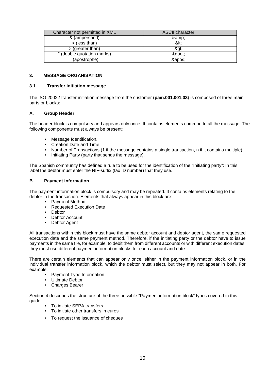| Character not permitted in XML | <b>ASCII character</b> |
|--------------------------------|------------------------|
| & (ampersand)                  | &:                     |
| $\langle$ (less than)          | <:                     |
| $>$ (greater than)             | >                      |
| " (double quotation marks)     | "                      |
| (apostrophe)                   | ':                     |

#### **3. MESSAGE ORGANISATION**

#### **3.1. Transfer initiation message**

The ISO 20022 transfer initiation message from the customer (**pain.001.001.03**) is composed of three main parts or blocks:

#### **A. Group Header**

The header block is compulsory and appears only once. It contains elements common to all the message. The following components must always be present:

- Message Identification.
- Creation Date and Time.
- Number of Transactions (1 if the message contains a single transaction, n if it contains multiple).
- Initiating Party (party that sends the message).

The Spanish community has defined a rule to be used for the identification of the "Initiating party": In this label the debtor must enter the NIF-suffix (tax ID number) that they use.

#### **B. Payment information**

The payment information block is compulsory and may be repeated. It contains elements relating to the debtor in the transaction. Elements that always appear in this block are:

- Payment Method
- Requested Execution Date
- Debtor
- Debtor Account
- Debtor Agent

All transactions within this block must have the same debtor account and debtor agent, the same requested execution date and the same payment method. Therefore, if the initiating party or the debtor have to issue payments in the same file, for example, to debit them from different accounts or with different execution dates, they must use different payment information blocks for each account and date.

There are certain elements that can appear only once, either in the payment information block, or in the individual transfer information block, which the debtor must select, but they may not appear in both. For example:

- Payment Type Information
- Ultimate Debtor
- Charges Bearer

Section 4 describes the structure of the three possible "Payment information block" types covered in this guide:

- To initiate SEPA transfers
- To initiate other transfers in euros
- To request the issuance of cheques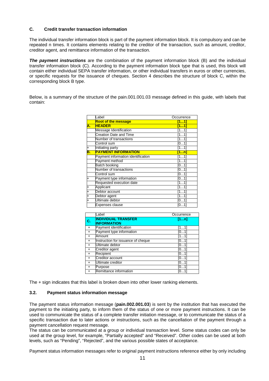#### **C. Credit transfer transaction information**

The individual transfer information block is part of the payment information block. It is compulsory and can be repeated n times. It contains elements relating to the creditor of the transaction, such as amount, creditor, creditor agent, and remittance information of the transaction.

*The payment instructions* are the combination of the payment information block (B) and the individual transfer information block (C). According to the payment information block type that is used, this block will contain either individual SEPA transfer information, or other individual transfers in euros or other currencies, or specific requests for the issuance of cheques. Section 4 describes the structure of block C, within the corresponding block B type.

Below, is a summary of the structure of the pain.001.001.03 message defined in this guide, with labels that contain:

|           | Label                              | Occurrence |
|-----------|------------------------------------|------------|
|           | <b>Root of the message</b>         | [11]       |
| Α.        | <b>HEADER</b>                      | [11]       |
|           | <b>Message Identification</b>      | [1…1]      |
|           | Creation Date and Time             | [11]       |
|           | Number of transactions             | [1…1]      |
|           | Control sum                        | [0…1]      |
| Ŧ         | Initiating party                   | [11]       |
| В.        | <b>PAYMENT INFORMATION</b>         | [1n]       |
|           | Payment information identification | [11]       |
|           | Payment method                     | [11]       |
|           | <b>Batch booking</b>               | [0…1]      |
|           | Number of transactions             | [01]       |
|           | Control sum                        | [0…1]      |
| $\ddot{}$ | Payment type information           | [01]       |
|           | Requested execution date           | [11]       |
| $\ddot{}$ | Applicant                          | [11]       |
| Ŧ         | Debtor account                     | [11]       |
| $\ddot{}$ | Debtor agent                       | [11]       |
|           | Ultimate debtor                    | [01]       |
|           | Expenses clause                    | [0…1]      |

|           | Label                                            | Occurrence |
|-----------|--------------------------------------------------|------------|
| C.        | <b>INDIVIDUAL TRANSFER</b><br><b>INFORMATION</b> | [1n]       |
| $\ddot{}$ | Payment identification                           | [11]       |
| $+$       | Payment type information                         | [01]       |
| $+$       | Amount                                           | [11]       |
| $\ddot{}$ | Instruction for issuance of cheque               | [01]       |
| $+$       | Ultimate debtor                                  | [01]       |
| $+$       | Creditor agent                                   | [01]       |
| $+$       | Recipient                                        | [01]       |
| $+$       | Creditor account                                 | [01]       |
| $+$       | Ultimate creditor                                | [01]       |
| $+$       | Purpose                                          | [01]       |
| $+$       | Remittance information                           | [0…1       |

The + sign indicates that this label is broken down into other lower ranking elements.

#### **3.2. Payment status information message**

The payment status information message (**pain.002.001.03**) is sent by the institution that has executed the payment to the initiating party, to inform them of the status of one or more payment instructions. It can be used to communicate the status of a complete transfer initiation message, or to communicate the status of a specific transaction due to later actions or instructions, such as the cancellation of the payment through a payment cancellation request message.

The status can be communicated at a group or individual transaction level. Some status codes can only be used at the group level, for example, "Partially accepted" and "Received". Other codes can be used at both levels, such as "Pending", "Rejected", and the various possible states of acceptance.

Payment status information messages refer to original payment instructions reference either by only including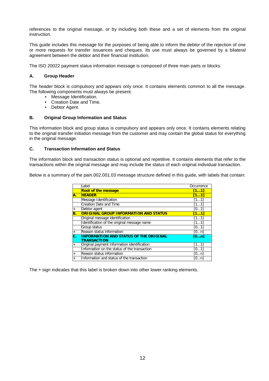references to the original message, or by including both these and a set of elements from the original instruction.

This guide includes this message for the purposes of being able to inform the debtor of the rejection of one or more requests for transfer issuances and cheques. Its use must always be governed by a bilateral agreement between the debtor and their financial institution.

The ISO 20022 payment status information message is composed of three main parts or blocks.

#### **A. Group Header**

The header block is compulsory and appears only once. It contains elements common to all the message. The following components must always be present:

- Message Identification.
- Creation Date and Time.
- Debtor Agent.

#### **B. Original Group Information and Status**

This information block and group status is compulsory and appears only once. It contains elements relating to the original transfer initiation message from the customer and may contain the global status for everything in the original message.

#### **C. Transaction Information and Status**

The information block and transaction status is optional and repetitive. It contains elements that refer to the transactions within the original message and may include the status of each original individual transaction.

Below is a summary of the pain.002.001.03 message structure defined in this guide, with labels that contain:

|                | Label                                                               | Occurrence |
|----------------|---------------------------------------------------------------------|------------|
|                | <b>Root of the message</b>                                          | [11]       |
| Α.             | <b>HEADER</b>                                                       | [11]       |
|                | Message Identification                                              | [11]       |
|                | Creation Date and Time                                              | [11]       |
| $^{+}$         | Debtor agent                                                        | [01]       |
| Β.             | <b>ORIGINAL GROUP INFORMATION AND STATUS</b>                        | [11]       |
|                | Original message identification                                     | [11]       |
|                | Identification of the original message name                         | [11]       |
|                | Group status                                                        | [01]       |
| $\overline{+}$ | Reason status information                                           | [0n]       |
| С.             | <b>INFORMATION AND STATUS OF THE ORIGINAL</b><br><b>TRANSACTION</b> | [0n]       |
| $+$            | Original payment information identification                         | [11]       |
|                | Information on the status of the transaction                        | [01]       |
| $\overline{+}$ | Reason status information                                           | [0n]       |
|                | Information and status of the transaction                           | [0…n]      |

The + sign indicates that this label is broken down into other lower ranking elements.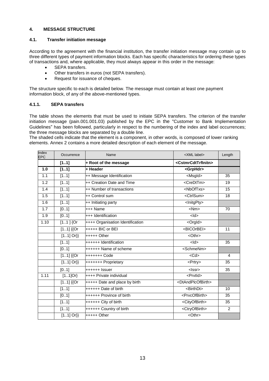## **4. MESSAGE STRUCTURE**

## **4.1. Transfer initiation message**

According to the agreement with the financial institution, the transfer initiation message may contain up to three different types of payment information blocks. Each has specific characteristics for ordering these types of transactions and, where applicable, they must always appear in this order in the message:

- SEPA transfers.
- Other transfers in euros (not SEPA transfers).
- Request for issuance of cheques.

The structure specific to each is detailed below. The message must contain at least one payment information block, of any of the above-mentioned types.

#### **4.1.1. SEPA transfers**

The table shows the elements that must be used to initiate SEPA transfers. The criterion of the transfer initiation message (pain.001.001.03) published by the EPC in the "Customer to Bank Implementation Guidelines" has been followed, particularly in respect to the numbering of the index and label occurrences; the three message blocks are separated by a double line.

The shaded cells indicate that the element is a component, in other words, is composed of lower ranking elements. Annex 2 contains a more detailed description of each element of the message.

| Index<br><b>EPC</b> | Occurrence             | Name                             | <xml label=""></xml>                  | Length |
|---------------------|------------------------|----------------------------------|---------------------------------------|--------|
|                     | [11]                   | + Root of the message            | <cstmrcdttrfinitn></cstmrcdttrfinitn> |        |
| 1.0                 | [11]                   | + Header                         | <grphdr></grphdr>                     |        |
| 1.1                 | [11]                   | ++ Message Identification        | <msgld></msgld>                       | 35     |
| 1.2                 | [11]                   | ++ Creation Date and Time        | <credttm></credttm>                   | 19     |
| 1.4                 | [11]                   | ++ Number of transactions        | <nboftxs></nboftxs>                   | 15     |
| 1.5                 | [11]                   | ++ Control sum                   | <ctrlsum></ctrlsum>                   | 18     |
| 1.6                 | [11]                   | ++ Initiating party              | <lnitgpty></lnitgpty>                 |        |
| 1.7                 | [01]                   | +++ Name                         | $<$ Nm $>$                            | 70     |
| 1.9                 | [01]                   | +++ Identification               | $<$ ld $>$                            |        |
| 1.10                | $[11]$ {Or             | ++++ Organisation Identification | <orgld></orgld>                       |        |
|                     | $[11]$ {{Or            | $++++$ BIC or BEI                | <bicorbei></bicorbei>                 | 11     |
|                     | $[11]$ Or}}            | $+$ ++++ Other                   | <othr></othr>                         |        |
|                     | [11]                   | ++++++ Identification            | $<$ ld>                               | 35     |
|                     | [01]                   | ++++++ Name of scheme            | <schmenm></schmenm>                   |        |
|                     | $[11]$ {{Or            |                                  | $<$ Cd $>$                            | 4      |
|                     | $[11]$ Or}}            | +++++++ Proprietary              | <prtry></prtry>                       | 35     |
|                     | [01]                   | ++++++ Issuer                    | $<$ Issr $>$                          | 35     |
| 1.11                | $[11]$ Or}             | ++++ Private individual          | <prvtid></prvtid>                     |        |
|                     | $\overline{[11]}$ {{Or | +++++ Date and place by birth    | <dtandplcofbirth></dtandplcofbirth>   |        |
|                     | [11]                   | ++++++ Date of birth             | <birthdt></birthdt>                   | 10     |
|                     | [01]                   | ++++++ Province of birth         | <prvcofbirth></prvcofbirth>           | 35     |
|                     | [11]                   | ++++++ City of birth             | <cityofbirth></cityofbirth>           | 35     |
|                     | [11]                   | ++++++ Country of birth          | <ctryofbirth></ctryofbirth>           | 2      |
|                     | $[11]$ Or}}            | $++++$ Other                     | <othr></othr>                         |        |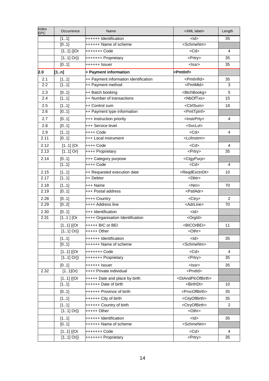| Index<br><b>EPC</b> | Occurrence         | Name                                                   | <xml label=""></xml>                  | Length  |
|---------------------|--------------------|--------------------------------------------------------|---------------------------------------|---------|
|                     | [11]               | ++++++ Identification                                  | $<$ ld $>$                            | 35      |
|                     | [01]               | ++++++ Name of scheme                                  | <schmenm></schmenm>                   |         |
|                     | $[11]$ {{Or        | +++++++ Code                                           | $<$ Cd $>$                            | 4       |
|                     | $[11]$ Or}}        | +++++++ Proprietary                                    | <prtry></prtry>                       | 35      |
|                     | [01]               | ++++++ Issuer                                          | $<$ Issr $>$                          | 35      |
| 2.0                 | [1n]               | + Payment information                                  | <pmtlnf></pmtlnf>                     |         |
| 2.1                 | [11]               | ++ Payment information identification                  | <pmtlnfld></pmtlnfld>                 | 35      |
| 2.2                 | [11]               | ++ Payment method                                      | <pmtmtd></pmtmtd>                     | 3       |
| 2.3                 | [01]               | ++ Batch booking                                       | <btchbookg></btchbookg>               | 5       |
| 2.4                 | [11]               | ++ Number of transactions                              | <nboftxs></nboftxs>                   | 15      |
| 2.5                 | [11]               | ++ Control sum                                         | <ctrlsum></ctrlsum>                   | 18      |
| 2.6                 | [01]               | ++ Payment type information                            | <pmttpinf></pmttpinf>                 |         |
| 2.7                 | [01]               | +++ Instruction priority                               | <lnstrprty></lnstrprty>               | 4       |
| 2.8                 | [01]               | +++ Service level                                      | <svclvl></svclvl>                     |         |
| 2.9                 | [11]               | ++++ Code                                              | $<$ Cd $>$                            | 4       |
| 2.11                | [01]               | +++ Local instrument                                   | <lcllnstrm></lcllnstrm>               |         |
| 2.12                | $[11]$ {Or         | ++++ Code                                              | $<$ Cd $>$                            | 4       |
| 2.13                | $[11]$ Or}         | ++++ Proprietary                                       | $\overline{\le}$ Prtry>               | 35      |
| 2.14                | [01]               | +++ Category purpose                                   | <ctgypurp></ctgypurp>                 |         |
|                     | $\overline{[11]}$  | ++++ Code                                              | $<$ Cd $>$                            | 4       |
| 2.15                | [11]               | ++ Requested execution date                            | <reqdexctndt></reqdexctndt>           | 10      |
| 2.17                | [11]               | ++ Debtor                                              | $<$ Dbtr $>$                          |         |
| 2.18                |                    | +++ Name                                               | $<$ Nm $>$                            | 70      |
| 2.19                | [11]<br>[01]       | +++ Postal address                                     | <pstladr></pstladr>                   |         |
|                     |                    |                                                        |                                       |         |
| 2.28<br>2.29        | [01]<br>[02]       | ++++ Country<br>++++ Address line                      | <ctry><br/><adrline></adrline></ctry> | 2<br>70 |
|                     |                    |                                                        |                                       |         |
| 2.30<br>2.31        | [01]<br>$[11]$ {Or | +++ Identification<br>++++ Organisation Identification | $<$ ld $>$<br><orgld></orgld>         |         |
|                     |                    |                                                        |                                       |         |
|                     | $[11]$ {{Or        | +++++ BIC or BEI                                       | <bicorbei></bicorbei>                 | 11      |
|                     | $[11]$ Or}}        | $++++$ Other                                           | <othr></othr>                         |         |
|                     | [11]               | ++++++ Identification                                  | $<$ ld $>$                            | 35      |
|                     | [01]               | ++++++ Name of scheme                                  | <schmenm></schmenm>                   |         |
|                     | $[11]$ {{Or        | +++++++ Code                                           | $<$ Cd $>$                            | 4       |
|                     | $[11]$ Or}}        | +++++++ Proprietary                                    | <prtry></prtry>                       | 35      |
|                     | [01]               | ++++++ Issuer                                          | <lssr></lssr>                         | 35      |
| 2.32                | $[11]$ Or}         | ++++ Private individual                                | <prvtid></prvtid>                     |         |
|                     | $[11]$ {{Or        | +++++ Date and place by birth                          | <dtandplcofbirth></dtandplcofbirth>   |         |
|                     | [11]               | ++++++ Date of birth                                   | <birthdt></birthdt>                   | 10      |
|                     | [01]               | ++++++ Province of birth                               | <prvcofbirth></prvcofbirth>           | 35      |
|                     | [11]               | ++++++ City of birth                                   | <cityofbirth></cityofbirth>           | 35      |
|                     | [11]               | ++++++ Country of birth                                | <ctryofbirth></ctryofbirth>           | 2       |
|                     | $[11]$ Or}}        | $++++$ Other                                           | <othr></othr>                         |         |
|                     | [11]               | ++++++ Identification                                  | $<$ ld $>$                            | 35      |
|                     | [01]               | ++++++ Name of scheme                                  | <schmenm></schmenm>                   |         |
|                     | $[11]$ {{Or        | +++++++ Code                                           | $<$ Cd $>$                            | 4       |
|                     | $[11]$ Or}}        | +++++++ Proprietary                                    | <prtry></prtry>                       | 35      |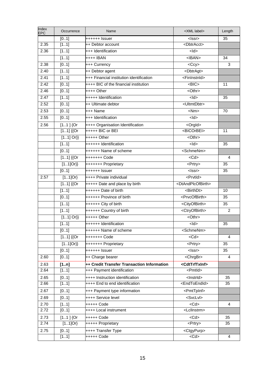| Index<br>EPC | Occurrence        | Name                                       | <xml label=""></xml>                | Length         |
|--------------|-------------------|--------------------------------------------|-------------------------------------|----------------|
|              | [01]              | ++++++ Issuer                              | $<$ Issr $>$                        | 35             |
| 2.35         | [11]              | ++ Debtor account                          | <dbtracct></dbtracct>               |                |
| 2.36         | [11]              | +++ Identification                         | $<$ ld $>$                          |                |
|              | [11]              | ++++ IBAN                                  | $<$ IBAN $>$                        | 34             |
| 2.38         | [01]              | +++ Currency                               | $<$ Ccy $>$                         | 3              |
| 2.40         | [11]              | ++ Debtor agent                            | <dbtragt></dbtragt>                 |                |
| 2.41         | [11]              | +++ Financial institution identification   | <fininstnid></fininstnid>           |                |
| 2.42         | [01]              | ++++ BIC of the financial institution      | $<$ BIC $>$                         | 11             |
| 2.46         | [01]              | ++++ Other                                 | <othr></othr>                       |                |
| 2.47         | [11]              | +++++ Identification                       | $<$ ld $>$                          | 35             |
| 2.52         | [01]              | ++ Ultimate debtor                         | <ultmtdbtr></ultmtdbtr>             |                |
| 2.53         | [01]              | +++ Name                                   | $<$ Nm $>$                          | 70             |
| 2.55         | [01]              | +++ Identification                         | $<$ ld $>$                          |                |
| 2.56         | $[11]$ {Or        | ++++ Organisation Identification           | <orgld></orgld>                     |                |
|              | $[11]$ {{Or       | $++++ + BIC$ or BEI                        | <bicorbei></bicorbei>               | 11             |
|              | $[11]$ Or}}       | $++++$ Other                               | <othr></othr>                       |                |
|              | [11]              | ++++++ Identification                      | $<$ ld>                             | 35             |
|              | [01]              | ++++++ Name of scheme                      | <schmenm></schmenm>                 |                |
|              | $[11]$ {{Or       | +++++++ Code                               | $<$ Cd $>$                          | 4              |
|              | $[11]$ Or}}       | +++++++ Proprietary                        | <prtry></prtry>                     | 35             |
|              | [01]              | ++++++ Issuer                              | $<$ Issr $>$                        | 35             |
| 2.57         | $1.1]$ Or}        | ++++ Private individual                    | <prvtld></prvtld>                   |                |
|              | $[11]$ {{Or       | +++++ Date and place by birth              | <dtandplcofbirth></dtandplcofbirth> |                |
|              | [11]              | $+++++$ Date of birth                      | <birthdt></birthdt>                 | 10             |
|              | $\overline{[01]}$ | ++++++ Province of birth                   | <prvcofbirth></prvcofbirth>         | 35             |
|              | [11]              | ++++++ City of birth                       | <cityofbirth></cityofbirth>         | 35             |
|              | [11]              | ++++++ Country of birth                    | <ctryofbirth></ctryofbirth>         | $\overline{2}$ |
|              | $[11]$ Or}}       | $++++$ Other                               | <othr></othr>                       |                |
|              | [11]              | ++++++ Identification                      | $<$ ld $>$                          | 35             |
|              | [01]              | ++++++ Name of scheme                      | <schmenm></schmenm>                 |                |
|              | $[11]$ {{Or       | +++++++ Code                               | $<$ Cd $>$                          | 4              |
|              | $[11]Or\}$        | +++++++ Proprietary                        | <prtry></prtry>                     | 35             |
|              | [01]              | ++++++ Issuer                              | $<$ $ s$ sr $>$                     | 35             |
| 2.60         | [01]              | ++ Charge bearer                           | <chrgbr></chrgbr>                   | 4              |
| 2.63         | $[1n]$            | ++ Credit Transfer Transaction Information | <cdttrftxinf></cdttrftxinf>         |                |
| 2.64         | [11]              | +++ Payment identification                 | <pmtld></pmtld>                     |                |
| 2.65         | [01]              | ++++ Instruction identification            | <lnstrld></lnstrld>                 | 35             |
| 2.66         | [11]              | ++++ End to end identification             | <endtoendid></endtoendid>           | 35             |
| 2.67         | [01]              | +++ Payment type information               | <pmttpinf></pmttpinf>               |                |
| 2.69         | [01]              | ++++ Service level                         | <svclvl></svclvl>                   |                |
| 2.70         | [11]              | +++++ Code                                 | $<$ Cd $>$                          | 4              |
| 2.72         | [01]              | ++++ Local instrument                      | <lcllnstrm></lcllnstrm>             |                |
| 2.73         | $[11]$ {Or        | +++++ Code                                 | $<$ Cd $>$                          | 35             |
| 2.74         | $[11]$ Or}        | +++++ Proprietary                          | <prtry></prtry>                     | 35             |
| 2.75         | [01]              | ++++ Transfer Type                         | <ctgypurp></ctgypurp>               |                |
|              | [11]              | +++++ Code                                 | $<$ Cd>                             | 4              |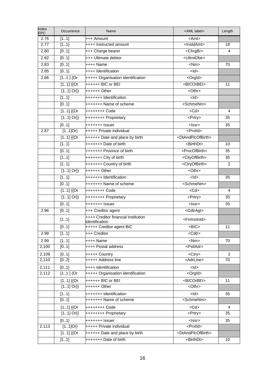| 2.76<br>[11]<br>$+++$ Amount<br><amt><br/>2.77<br/>[11]<br/><lnstdamt><br/>++++ Instructed amount<br/>18<br/>2.80<br/>[01]<br/><chrgbr><br/>+++ Charge bearer<br/>4<br/><ultmtdbtr><br/>[01]<br/>+++ Ultimate debtor<br/>2.82<br/>2.83<br/><math>&lt;</math>Nm<math>&gt;</math><br/>[01]<br/>++++ Name<br/>70<br/>[01]<br/><math>&lt;</math>ld<math>&gt;</math><br/>2.85<br/>++++ Identification<br/>2.86<br/><math>[11]</math> {Or<br/>+++++ Organisation identification<br/><orgld><br/><math>\overline{[11]}</math> {{Or<br/>++++++ BIC or BEI<br/><bicorbei><br/>11<br/><math>[11]</math> Or}}<br/><othr><br/><math>+++++O</math>ther<br/>[11]<br/><math>&lt;</math>ld&gt;<br/>+++++++ Identification<br/><schmenm><br/>[01]<br/>+++++++ Name of scheme<br/><math>[11]</math> {{Or<br/><math>&lt;</math>Cd<math>&gt;</math><br/>++++++++ Code<br/>4<br/><math>[11]</math> Or}}<br/><prtry><br/>35<br/>++++++++ Proprietary<br/>+++++++ Issuer<br/>[01]<br/><lssr><br/>35<br/><math>[11]</math>Or}<br/>+++++ Private individual<br/><prvtid><br/>2.87<br/><math>[11]</math> {{Or<br/>++++++ Date and place by birth<br/><dtandplcofbirth><br/>[11]<br/>+++++++ Date of birth<br/><birthdt><br/>10<br/><prvcofbirth><br/>+++++++ Province of birth<br/>[01]<br/>35<br/>[11]<br/>+++++++ City of birth<br/><cityofbirth><br/>35<br/>[11]<br/>+++++++ Country of birth<br/><ctryofbirth><br/>2<br/><math>[11]</math> Or}}<br/><othr><br/><math>***++</math> Other<br/><math>&lt;</math>ld&gt;<br/>[11]<br/>+++++++ Identification<br/>35<br/><schmenm><br/>[01]<br/>+++++++ Name of scheme<br/><math>[11]</math> {{Or<br/><math>&lt;</math>Cd&gt;<br/>++++++++ Code<br/>4<br/><math>[11]</math> Or}}<br/>++++++++ Proprietary<br/><prtry><br/>35<br/>[01]<br/>35<br/>+++++++ Issuer<br/><math>&lt;</math> Issr<math>&gt;</math><br/>2.96<br/>[01]<br/>+++ Creditor agent<br/><cdtragt><br/>++++ Creditor financial institution<br/><fininstnid><br/>[11]<br/>identification<br/>+++++ Creditor agent BIC<br/><math>\overline{BIC}</math><br/>[01]<br/>11<br/>+++ Creditor<br/>2.98<br/>[11]<br/><cdtr><br/>2.99<br/><math>&lt;</math>Nm<math>&gt;</math><br/>++++ Name<br/>70<br/>[11]<br/>[01]<br/><pstladr><br/>2,100<br/>++++ Postal address<br/>2,109<br/>[01]<br/>+++++ Country<br/><ctry><br/>2<br/>+++++ Address line<br/><adrline><br/>2,110<br/>[02]<br/>70<br/>2,111<br/>++++ Identification<br/><math>&lt;</math>ld<math>&gt;</math><br/>[01]<br/><math>[11]</math> {Or<br/>+++++ Organisation identification<br/><orgld><br/>2,112<br/>++++++ BIC or BEI<br/><bicorbei><br/><math>[11]</math> {{Or<br/>11<br/><math>[11]</math> Or}}<br/><othr><br/>++++++ Other<br/><math>&lt;</math>ld<math>&gt;</math><br/>+++++++ Identification<br/>35<br/>[11]<br/>[01]<br/><schmenm><br/>+++++++ Name of scheme<br/><math>&lt;</math>Cd<math>&gt;</math><br/><math>[11]</math> {{Or<br/>++++++++ Code<br/>4<br/><math>[11]</math> Or}}<br/>35<br/>++++++++ Proprietary<br/><prtry></prtry></schmenm></othr></bicorbei></orgld></adrline></ctry></pstladr></cdtr></fininstnid></cdtragt></prtry></schmenm></othr></ctryofbirth></cityofbirth></prvcofbirth></birthdt></dtandplcofbirth></prvtid></lssr></prtry></schmenm></othr></bicorbei></orgld></ultmtdbtr></chrgbr></lnstdamt></amt> | Index<br><b>EPC</b> | Occurrence | Name           | <xml label=""></xml> | Length |
|---------------------------------------------------------------------------------------------------------------------------------------------------------------------------------------------------------------------------------------------------------------------------------------------------------------------------------------------------------------------------------------------------------------------------------------------------------------------------------------------------------------------------------------------------------------------------------------------------------------------------------------------------------------------------------------------------------------------------------------------------------------------------------------------------------------------------------------------------------------------------------------------------------------------------------------------------------------------------------------------------------------------------------------------------------------------------------------------------------------------------------------------------------------------------------------------------------------------------------------------------------------------------------------------------------------------------------------------------------------------------------------------------------------------------------------------------------------------------------------------------------------------------------------------------------------------------------------------------------------------------------------------------------------------------------------------------------------------------------------------------------------------------------------------------------------------------------------------------------------------------------------------------------------------------------------------------------------------------------------------------------------------------------------------------------------------------------------------------------------------------------------------------------------------------------------------------------------------------------------------------------------------------------------------------------------------------------------------------------------------------------------------------------------------------------------------------------------------------------------------------------------------------------------------------------------------------------------------------------------------------------------------------------------------------------------------------------------------------------------------------------------------------------------------------------------------------------------------------------------------------------------------------------------------------------------------------------------------------------------------------------------------------------------------------------------------------------------------------------------------------------------------------------------------------------------------------------------------------------------------------------------------------------------------|---------------------|------------|----------------|----------------------|--------|
|                                                                                                                                                                                                                                                                                                                                                                                                                                                                                                                                                                                                                                                                                                                                                                                                                                                                                                                                                                                                                                                                                                                                                                                                                                                                                                                                                                                                                                                                                                                                                                                                                                                                                                                                                                                                                                                                                                                                                                                                                                                                                                                                                                                                                                                                                                                                                                                                                                                                                                                                                                                                                                                                                                                                                                                                                                                                                                                                                                                                                                                                                                                                                                                                                                                                                             |                     |            |                |                      |        |
|                                                                                                                                                                                                                                                                                                                                                                                                                                                                                                                                                                                                                                                                                                                                                                                                                                                                                                                                                                                                                                                                                                                                                                                                                                                                                                                                                                                                                                                                                                                                                                                                                                                                                                                                                                                                                                                                                                                                                                                                                                                                                                                                                                                                                                                                                                                                                                                                                                                                                                                                                                                                                                                                                                                                                                                                                                                                                                                                                                                                                                                                                                                                                                                                                                                                                             |                     |            |                |                      |        |
|                                                                                                                                                                                                                                                                                                                                                                                                                                                                                                                                                                                                                                                                                                                                                                                                                                                                                                                                                                                                                                                                                                                                                                                                                                                                                                                                                                                                                                                                                                                                                                                                                                                                                                                                                                                                                                                                                                                                                                                                                                                                                                                                                                                                                                                                                                                                                                                                                                                                                                                                                                                                                                                                                                                                                                                                                                                                                                                                                                                                                                                                                                                                                                                                                                                                                             |                     |            |                |                      |        |
|                                                                                                                                                                                                                                                                                                                                                                                                                                                                                                                                                                                                                                                                                                                                                                                                                                                                                                                                                                                                                                                                                                                                                                                                                                                                                                                                                                                                                                                                                                                                                                                                                                                                                                                                                                                                                                                                                                                                                                                                                                                                                                                                                                                                                                                                                                                                                                                                                                                                                                                                                                                                                                                                                                                                                                                                                                                                                                                                                                                                                                                                                                                                                                                                                                                                                             |                     |            |                |                      |        |
|                                                                                                                                                                                                                                                                                                                                                                                                                                                                                                                                                                                                                                                                                                                                                                                                                                                                                                                                                                                                                                                                                                                                                                                                                                                                                                                                                                                                                                                                                                                                                                                                                                                                                                                                                                                                                                                                                                                                                                                                                                                                                                                                                                                                                                                                                                                                                                                                                                                                                                                                                                                                                                                                                                                                                                                                                                                                                                                                                                                                                                                                                                                                                                                                                                                                                             |                     |            |                |                      |        |
|                                                                                                                                                                                                                                                                                                                                                                                                                                                                                                                                                                                                                                                                                                                                                                                                                                                                                                                                                                                                                                                                                                                                                                                                                                                                                                                                                                                                                                                                                                                                                                                                                                                                                                                                                                                                                                                                                                                                                                                                                                                                                                                                                                                                                                                                                                                                                                                                                                                                                                                                                                                                                                                                                                                                                                                                                                                                                                                                                                                                                                                                                                                                                                                                                                                                                             |                     |            |                |                      |        |
|                                                                                                                                                                                                                                                                                                                                                                                                                                                                                                                                                                                                                                                                                                                                                                                                                                                                                                                                                                                                                                                                                                                                                                                                                                                                                                                                                                                                                                                                                                                                                                                                                                                                                                                                                                                                                                                                                                                                                                                                                                                                                                                                                                                                                                                                                                                                                                                                                                                                                                                                                                                                                                                                                                                                                                                                                                                                                                                                                                                                                                                                                                                                                                                                                                                                                             |                     |            |                |                      |        |
|                                                                                                                                                                                                                                                                                                                                                                                                                                                                                                                                                                                                                                                                                                                                                                                                                                                                                                                                                                                                                                                                                                                                                                                                                                                                                                                                                                                                                                                                                                                                                                                                                                                                                                                                                                                                                                                                                                                                                                                                                                                                                                                                                                                                                                                                                                                                                                                                                                                                                                                                                                                                                                                                                                                                                                                                                                                                                                                                                                                                                                                                                                                                                                                                                                                                                             |                     |            |                |                      |        |
|                                                                                                                                                                                                                                                                                                                                                                                                                                                                                                                                                                                                                                                                                                                                                                                                                                                                                                                                                                                                                                                                                                                                                                                                                                                                                                                                                                                                                                                                                                                                                                                                                                                                                                                                                                                                                                                                                                                                                                                                                                                                                                                                                                                                                                                                                                                                                                                                                                                                                                                                                                                                                                                                                                                                                                                                                                                                                                                                                                                                                                                                                                                                                                                                                                                                                             |                     |            |                |                      |        |
|                                                                                                                                                                                                                                                                                                                                                                                                                                                                                                                                                                                                                                                                                                                                                                                                                                                                                                                                                                                                                                                                                                                                                                                                                                                                                                                                                                                                                                                                                                                                                                                                                                                                                                                                                                                                                                                                                                                                                                                                                                                                                                                                                                                                                                                                                                                                                                                                                                                                                                                                                                                                                                                                                                                                                                                                                                                                                                                                                                                                                                                                                                                                                                                                                                                                                             |                     |            |                |                      |        |
|                                                                                                                                                                                                                                                                                                                                                                                                                                                                                                                                                                                                                                                                                                                                                                                                                                                                                                                                                                                                                                                                                                                                                                                                                                                                                                                                                                                                                                                                                                                                                                                                                                                                                                                                                                                                                                                                                                                                                                                                                                                                                                                                                                                                                                                                                                                                                                                                                                                                                                                                                                                                                                                                                                                                                                                                                                                                                                                                                                                                                                                                                                                                                                                                                                                                                             |                     |            |                |                      |        |
|                                                                                                                                                                                                                                                                                                                                                                                                                                                                                                                                                                                                                                                                                                                                                                                                                                                                                                                                                                                                                                                                                                                                                                                                                                                                                                                                                                                                                                                                                                                                                                                                                                                                                                                                                                                                                                                                                                                                                                                                                                                                                                                                                                                                                                                                                                                                                                                                                                                                                                                                                                                                                                                                                                                                                                                                                                                                                                                                                                                                                                                                                                                                                                                                                                                                                             |                     |            |                |                      |        |
|                                                                                                                                                                                                                                                                                                                                                                                                                                                                                                                                                                                                                                                                                                                                                                                                                                                                                                                                                                                                                                                                                                                                                                                                                                                                                                                                                                                                                                                                                                                                                                                                                                                                                                                                                                                                                                                                                                                                                                                                                                                                                                                                                                                                                                                                                                                                                                                                                                                                                                                                                                                                                                                                                                                                                                                                                                                                                                                                                                                                                                                                                                                                                                                                                                                                                             |                     |            |                |                      |        |
|                                                                                                                                                                                                                                                                                                                                                                                                                                                                                                                                                                                                                                                                                                                                                                                                                                                                                                                                                                                                                                                                                                                                                                                                                                                                                                                                                                                                                                                                                                                                                                                                                                                                                                                                                                                                                                                                                                                                                                                                                                                                                                                                                                                                                                                                                                                                                                                                                                                                                                                                                                                                                                                                                                                                                                                                                                                                                                                                                                                                                                                                                                                                                                                                                                                                                             |                     |            |                |                      |        |
|                                                                                                                                                                                                                                                                                                                                                                                                                                                                                                                                                                                                                                                                                                                                                                                                                                                                                                                                                                                                                                                                                                                                                                                                                                                                                                                                                                                                                                                                                                                                                                                                                                                                                                                                                                                                                                                                                                                                                                                                                                                                                                                                                                                                                                                                                                                                                                                                                                                                                                                                                                                                                                                                                                                                                                                                                                                                                                                                                                                                                                                                                                                                                                                                                                                                                             |                     |            |                |                      |        |
|                                                                                                                                                                                                                                                                                                                                                                                                                                                                                                                                                                                                                                                                                                                                                                                                                                                                                                                                                                                                                                                                                                                                                                                                                                                                                                                                                                                                                                                                                                                                                                                                                                                                                                                                                                                                                                                                                                                                                                                                                                                                                                                                                                                                                                                                                                                                                                                                                                                                                                                                                                                                                                                                                                                                                                                                                                                                                                                                                                                                                                                                                                                                                                                                                                                                                             |                     |            |                |                      |        |
|                                                                                                                                                                                                                                                                                                                                                                                                                                                                                                                                                                                                                                                                                                                                                                                                                                                                                                                                                                                                                                                                                                                                                                                                                                                                                                                                                                                                                                                                                                                                                                                                                                                                                                                                                                                                                                                                                                                                                                                                                                                                                                                                                                                                                                                                                                                                                                                                                                                                                                                                                                                                                                                                                                                                                                                                                                                                                                                                                                                                                                                                                                                                                                                                                                                                                             |                     |            |                |                      |        |
|                                                                                                                                                                                                                                                                                                                                                                                                                                                                                                                                                                                                                                                                                                                                                                                                                                                                                                                                                                                                                                                                                                                                                                                                                                                                                                                                                                                                                                                                                                                                                                                                                                                                                                                                                                                                                                                                                                                                                                                                                                                                                                                                                                                                                                                                                                                                                                                                                                                                                                                                                                                                                                                                                                                                                                                                                                                                                                                                                                                                                                                                                                                                                                                                                                                                                             |                     |            |                |                      |        |
|                                                                                                                                                                                                                                                                                                                                                                                                                                                                                                                                                                                                                                                                                                                                                                                                                                                                                                                                                                                                                                                                                                                                                                                                                                                                                                                                                                                                                                                                                                                                                                                                                                                                                                                                                                                                                                                                                                                                                                                                                                                                                                                                                                                                                                                                                                                                                                                                                                                                                                                                                                                                                                                                                                                                                                                                                                                                                                                                                                                                                                                                                                                                                                                                                                                                                             |                     |            |                |                      |        |
|                                                                                                                                                                                                                                                                                                                                                                                                                                                                                                                                                                                                                                                                                                                                                                                                                                                                                                                                                                                                                                                                                                                                                                                                                                                                                                                                                                                                                                                                                                                                                                                                                                                                                                                                                                                                                                                                                                                                                                                                                                                                                                                                                                                                                                                                                                                                                                                                                                                                                                                                                                                                                                                                                                                                                                                                                                                                                                                                                                                                                                                                                                                                                                                                                                                                                             |                     |            |                |                      |        |
|                                                                                                                                                                                                                                                                                                                                                                                                                                                                                                                                                                                                                                                                                                                                                                                                                                                                                                                                                                                                                                                                                                                                                                                                                                                                                                                                                                                                                                                                                                                                                                                                                                                                                                                                                                                                                                                                                                                                                                                                                                                                                                                                                                                                                                                                                                                                                                                                                                                                                                                                                                                                                                                                                                                                                                                                                                                                                                                                                                                                                                                                                                                                                                                                                                                                                             |                     |            |                |                      |        |
|                                                                                                                                                                                                                                                                                                                                                                                                                                                                                                                                                                                                                                                                                                                                                                                                                                                                                                                                                                                                                                                                                                                                                                                                                                                                                                                                                                                                                                                                                                                                                                                                                                                                                                                                                                                                                                                                                                                                                                                                                                                                                                                                                                                                                                                                                                                                                                                                                                                                                                                                                                                                                                                                                                                                                                                                                                                                                                                                                                                                                                                                                                                                                                                                                                                                                             |                     |            |                |                      |        |
|                                                                                                                                                                                                                                                                                                                                                                                                                                                                                                                                                                                                                                                                                                                                                                                                                                                                                                                                                                                                                                                                                                                                                                                                                                                                                                                                                                                                                                                                                                                                                                                                                                                                                                                                                                                                                                                                                                                                                                                                                                                                                                                                                                                                                                                                                                                                                                                                                                                                                                                                                                                                                                                                                                                                                                                                                                                                                                                                                                                                                                                                                                                                                                                                                                                                                             |                     |            |                |                      |        |
|                                                                                                                                                                                                                                                                                                                                                                                                                                                                                                                                                                                                                                                                                                                                                                                                                                                                                                                                                                                                                                                                                                                                                                                                                                                                                                                                                                                                                                                                                                                                                                                                                                                                                                                                                                                                                                                                                                                                                                                                                                                                                                                                                                                                                                                                                                                                                                                                                                                                                                                                                                                                                                                                                                                                                                                                                                                                                                                                                                                                                                                                                                                                                                                                                                                                                             |                     |            |                |                      |        |
|                                                                                                                                                                                                                                                                                                                                                                                                                                                                                                                                                                                                                                                                                                                                                                                                                                                                                                                                                                                                                                                                                                                                                                                                                                                                                                                                                                                                                                                                                                                                                                                                                                                                                                                                                                                                                                                                                                                                                                                                                                                                                                                                                                                                                                                                                                                                                                                                                                                                                                                                                                                                                                                                                                                                                                                                                                                                                                                                                                                                                                                                                                                                                                                                                                                                                             |                     |            |                |                      |        |
|                                                                                                                                                                                                                                                                                                                                                                                                                                                                                                                                                                                                                                                                                                                                                                                                                                                                                                                                                                                                                                                                                                                                                                                                                                                                                                                                                                                                                                                                                                                                                                                                                                                                                                                                                                                                                                                                                                                                                                                                                                                                                                                                                                                                                                                                                                                                                                                                                                                                                                                                                                                                                                                                                                                                                                                                                                                                                                                                                                                                                                                                                                                                                                                                                                                                                             |                     |            |                |                      |        |
|                                                                                                                                                                                                                                                                                                                                                                                                                                                                                                                                                                                                                                                                                                                                                                                                                                                                                                                                                                                                                                                                                                                                                                                                                                                                                                                                                                                                                                                                                                                                                                                                                                                                                                                                                                                                                                                                                                                                                                                                                                                                                                                                                                                                                                                                                                                                                                                                                                                                                                                                                                                                                                                                                                                                                                                                                                                                                                                                                                                                                                                                                                                                                                                                                                                                                             |                     |            |                |                      |        |
|                                                                                                                                                                                                                                                                                                                                                                                                                                                                                                                                                                                                                                                                                                                                                                                                                                                                                                                                                                                                                                                                                                                                                                                                                                                                                                                                                                                                                                                                                                                                                                                                                                                                                                                                                                                                                                                                                                                                                                                                                                                                                                                                                                                                                                                                                                                                                                                                                                                                                                                                                                                                                                                                                                                                                                                                                                                                                                                                                                                                                                                                                                                                                                                                                                                                                             |                     |            |                |                      |        |
|                                                                                                                                                                                                                                                                                                                                                                                                                                                                                                                                                                                                                                                                                                                                                                                                                                                                                                                                                                                                                                                                                                                                                                                                                                                                                                                                                                                                                                                                                                                                                                                                                                                                                                                                                                                                                                                                                                                                                                                                                                                                                                                                                                                                                                                                                                                                                                                                                                                                                                                                                                                                                                                                                                                                                                                                                                                                                                                                                                                                                                                                                                                                                                                                                                                                                             |                     |            |                |                      |        |
|                                                                                                                                                                                                                                                                                                                                                                                                                                                                                                                                                                                                                                                                                                                                                                                                                                                                                                                                                                                                                                                                                                                                                                                                                                                                                                                                                                                                                                                                                                                                                                                                                                                                                                                                                                                                                                                                                                                                                                                                                                                                                                                                                                                                                                                                                                                                                                                                                                                                                                                                                                                                                                                                                                                                                                                                                                                                                                                                                                                                                                                                                                                                                                                                                                                                                             |                     |            |                |                      |        |
|                                                                                                                                                                                                                                                                                                                                                                                                                                                                                                                                                                                                                                                                                                                                                                                                                                                                                                                                                                                                                                                                                                                                                                                                                                                                                                                                                                                                                                                                                                                                                                                                                                                                                                                                                                                                                                                                                                                                                                                                                                                                                                                                                                                                                                                                                                                                                                                                                                                                                                                                                                                                                                                                                                                                                                                                                                                                                                                                                                                                                                                                                                                                                                                                                                                                                             |                     |            |                |                      |        |
|                                                                                                                                                                                                                                                                                                                                                                                                                                                                                                                                                                                                                                                                                                                                                                                                                                                                                                                                                                                                                                                                                                                                                                                                                                                                                                                                                                                                                                                                                                                                                                                                                                                                                                                                                                                                                                                                                                                                                                                                                                                                                                                                                                                                                                                                                                                                                                                                                                                                                                                                                                                                                                                                                                                                                                                                                                                                                                                                                                                                                                                                                                                                                                                                                                                                                             |                     |            |                |                      |        |
|                                                                                                                                                                                                                                                                                                                                                                                                                                                                                                                                                                                                                                                                                                                                                                                                                                                                                                                                                                                                                                                                                                                                                                                                                                                                                                                                                                                                                                                                                                                                                                                                                                                                                                                                                                                                                                                                                                                                                                                                                                                                                                                                                                                                                                                                                                                                                                                                                                                                                                                                                                                                                                                                                                                                                                                                                                                                                                                                                                                                                                                                                                                                                                                                                                                                                             |                     |            |                |                      |        |
|                                                                                                                                                                                                                                                                                                                                                                                                                                                                                                                                                                                                                                                                                                                                                                                                                                                                                                                                                                                                                                                                                                                                                                                                                                                                                                                                                                                                                                                                                                                                                                                                                                                                                                                                                                                                                                                                                                                                                                                                                                                                                                                                                                                                                                                                                                                                                                                                                                                                                                                                                                                                                                                                                                                                                                                                                                                                                                                                                                                                                                                                                                                                                                                                                                                                                             |                     |            |                |                      |        |
|                                                                                                                                                                                                                                                                                                                                                                                                                                                                                                                                                                                                                                                                                                                                                                                                                                                                                                                                                                                                                                                                                                                                                                                                                                                                                                                                                                                                                                                                                                                                                                                                                                                                                                                                                                                                                                                                                                                                                                                                                                                                                                                                                                                                                                                                                                                                                                                                                                                                                                                                                                                                                                                                                                                                                                                                                                                                                                                                                                                                                                                                                                                                                                                                                                                                                             |                     |            |                |                      |        |
|                                                                                                                                                                                                                                                                                                                                                                                                                                                                                                                                                                                                                                                                                                                                                                                                                                                                                                                                                                                                                                                                                                                                                                                                                                                                                                                                                                                                                                                                                                                                                                                                                                                                                                                                                                                                                                                                                                                                                                                                                                                                                                                                                                                                                                                                                                                                                                                                                                                                                                                                                                                                                                                                                                                                                                                                                                                                                                                                                                                                                                                                                                                                                                                                                                                                                             |                     |            |                |                      |        |
|                                                                                                                                                                                                                                                                                                                                                                                                                                                                                                                                                                                                                                                                                                                                                                                                                                                                                                                                                                                                                                                                                                                                                                                                                                                                                                                                                                                                                                                                                                                                                                                                                                                                                                                                                                                                                                                                                                                                                                                                                                                                                                                                                                                                                                                                                                                                                                                                                                                                                                                                                                                                                                                                                                                                                                                                                                                                                                                                                                                                                                                                                                                                                                                                                                                                                             |                     |            |                |                      |        |
|                                                                                                                                                                                                                                                                                                                                                                                                                                                                                                                                                                                                                                                                                                                                                                                                                                                                                                                                                                                                                                                                                                                                                                                                                                                                                                                                                                                                                                                                                                                                                                                                                                                                                                                                                                                                                                                                                                                                                                                                                                                                                                                                                                                                                                                                                                                                                                                                                                                                                                                                                                                                                                                                                                                                                                                                                                                                                                                                                                                                                                                                                                                                                                                                                                                                                             |                     |            |                |                      |        |
|                                                                                                                                                                                                                                                                                                                                                                                                                                                                                                                                                                                                                                                                                                                                                                                                                                                                                                                                                                                                                                                                                                                                                                                                                                                                                                                                                                                                                                                                                                                                                                                                                                                                                                                                                                                                                                                                                                                                                                                                                                                                                                                                                                                                                                                                                                                                                                                                                                                                                                                                                                                                                                                                                                                                                                                                                                                                                                                                                                                                                                                                                                                                                                                                                                                                                             |                     |            |                |                      |        |
|                                                                                                                                                                                                                                                                                                                                                                                                                                                                                                                                                                                                                                                                                                                                                                                                                                                                                                                                                                                                                                                                                                                                                                                                                                                                                                                                                                                                                                                                                                                                                                                                                                                                                                                                                                                                                                                                                                                                                                                                                                                                                                                                                                                                                                                                                                                                                                                                                                                                                                                                                                                                                                                                                                                                                                                                                                                                                                                                                                                                                                                                                                                                                                                                                                                                                             |                     |            |                |                      |        |
|                                                                                                                                                                                                                                                                                                                                                                                                                                                                                                                                                                                                                                                                                                                                                                                                                                                                                                                                                                                                                                                                                                                                                                                                                                                                                                                                                                                                                                                                                                                                                                                                                                                                                                                                                                                                                                                                                                                                                                                                                                                                                                                                                                                                                                                                                                                                                                                                                                                                                                                                                                                                                                                                                                                                                                                                                                                                                                                                                                                                                                                                                                                                                                                                                                                                                             |                     |            |                |                      |        |
|                                                                                                                                                                                                                                                                                                                                                                                                                                                                                                                                                                                                                                                                                                                                                                                                                                                                                                                                                                                                                                                                                                                                                                                                                                                                                                                                                                                                                                                                                                                                                                                                                                                                                                                                                                                                                                                                                                                                                                                                                                                                                                                                                                                                                                                                                                                                                                                                                                                                                                                                                                                                                                                                                                                                                                                                                                                                                                                                                                                                                                                                                                                                                                                                                                                                                             |                     |            |                |                      |        |
|                                                                                                                                                                                                                                                                                                                                                                                                                                                                                                                                                                                                                                                                                                                                                                                                                                                                                                                                                                                                                                                                                                                                                                                                                                                                                                                                                                                                                                                                                                                                                                                                                                                                                                                                                                                                                                                                                                                                                                                                                                                                                                                                                                                                                                                                                                                                                                                                                                                                                                                                                                                                                                                                                                                                                                                                                                                                                                                                                                                                                                                                                                                                                                                                                                                                                             |                     |            |                |                      |        |
|                                                                                                                                                                                                                                                                                                                                                                                                                                                                                                                                                                                                                                                                                                                                                                                                                                                                                                                                                                                                                                                                                                                                                                                                                                                                                                                                                                                                                                                                                                                                                                                                                                                                                                                                                                                                                                                                                                                                                                                                                                                                                                                                                                                                                                                                                                                                                                                                                                                                                                                                                                                                                                                                                                                                                                                                                                                                                                                                                                                                                                                                                                                                                                                                                                                                                             |                     | [01]       | +++++++ Issuer | <lssr></lssr>        | 35     |
| $[11]$ Or}<br>2,113<br>+++++ Private individual<br><prvtld></prvtld>                                                                                                                                                                                                                                                                                                                                                                                                                                                                                                                                                                                                                                                                                                                                                                                                                                                                                                                                                                                                                                                                                                                                                                                                                                                                                                                                                                                                                                                                                                                                                                                                                                                                                                                                                                                                                                                                                                                                                                                                                                                                                                                                                                                                                                                                                                                                                                                                                                                                                                                                                                                                                                                                                                                                                                                                                                                                                                                                                                                                                                                                                                                                                                                                                        |                     |            |                |                      |        |
| $[11]$ {{Or<br><dtandplcofbirth><br/>++++++ Date and place by birth</dtandplcofbirth>                                                                                                                                                                                                                                                                                                                                                                                                                                                                                                                                                                                                                                                                                                                                                                                                                                                                                                                                                                                                                                                                                                                                                                                                                                                                                                                                                                                                                                                                                                                                                                                                                                                                                                                                                                                                                                                                                                                                                                                                                                                                                                                                                                                                                                                                                                                                                                                                                                                                                                                                                                                                                                                                                                                                                                                                                                                                                                                                                                                                                                                                                                                                                                                                       |                     |            |                |                      |        |
| [11]<br>+++++++ Date of birth<br><birthdt><br/>10</birthdt>                                                                                                                                                                                                                                                                                                                                                                                                                                                                                                                                                                                                                                                                                                                                                                                                                                                                                                                                                                                                                                                                                                                                                                                                                                                                                                                                                                                                                                                                                                                                                                                                                                                                                                                                                                                                                                                                                                                                                                                                                                                                                                                                                                                                                                                                                                                                                                                                                                                                                                                                                                                                                                                                                                                                                                                                                                                                                                                                                                                                                                                                                                                                                                                                                                 |                     |            |                |                      |        |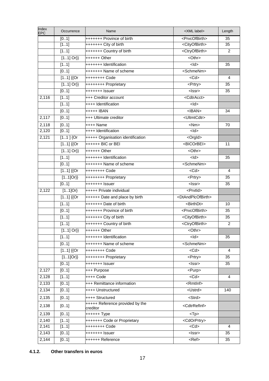| Index<br><b>EPC</b> | Occurrence            | Name                              | <xml label=""></xml>                | Length |
|---------------------|-----------------------|-----------------------------------|-------------------------------------|--------|
|                     | [01]                  | +++++++ Province of birth         | <prvcofbirth></prvcofbirth>         | 35     |
|                     | [11]                  | +++++++ City of birth             | <cityofbirth></cityofbirth>         | 35     |
|                     | [11]                  | +++++++ Country of birth          | <ctryofbirth></ctryofbirth>         | 2      |
|                     | $[11]$ Or}}           | $+++++$ Other                     |                                     |        |
|                     | [11]                  | +++++++ Identification            | $<$ ld>                             | 35     |
|                     | [01]                  | +++++++ Name of scheme            | <schmenm></schmenm>                 |        |
|                     | $[11]$ {{Or           | ++++++++ Code                     | $<$ Cd>                             | 4      |
|                     | $[11]$ Or}}           | ++++++++ Proprietary              | <prtry></prtry>                     | 35     |
|                     | [01]                  | $++++++$ Issuer                   | <lssr></lssr>                       | 35     |
| 2,116               | [11]                  | +++ Creditor account              | <cdtracct></cdtracct>               |        |
|                     | [11]                  | ++++ Identification               | $<$ ld $>$                          |        |
|                     | [01]                  | +++++ IBAN                        | $<$ IBAN $>$                        | 34     |
| 2,117               | [01]                  | +++ Ultimate creditor             | <ultmtcdtr></ultmtcdtr>             |        |
| 2,118               | [01]                  | ++++ Name                         | $<$ Nm $>$                          | 70     |
| 2,120               | [01]                  | $++++$ Identification             | $<$ ld $>$                          |        |
| 2,121               | $[11]$ {Or            | +++++ Organisation identification | <orgld></orgld>                     |        |
|                     | $[11]$ {{Or           | ++++++ BIC or BEI                 | <bicorbei></bicorbei>               | 11     |
|                     | $[11]$ Or}}           | ++++++ Other                      | <othr></othr>                       |        |
|                     | [11]                  | +++++++ Identification            | $<$ ld $>$                          | 35     |
|                     | [01]                  | +++++++ Name of scheme            | <schmenm></schmenm>                 |        |
|                     | $[11]$ {{Or           | ++++++++ Code                     | $<$ Cd>                             | 4      |
|                     | $[11]$ Or}}           | ++++++++ Proprietary              | <prtry></prtry>                     | 35     |
|                     | [01]                  | +++++++ Issuer                    | <lssr></lssr>                       | 35     |
| 2,122               | $\overline{[11]}$ Or} | +++++ Private individual          | <prvtid></prvtid>                   |        |
|                     | $[11]$ {{Or           | ++++++ Date and place by birth    | <dtandplcofbirth></dtandplcofbirth> |        |
|                     | [11]                  | +++++++ Date of birth             | <birthdt></birthdt>                 | 10     |
|                     | [01]                  | +++++++ Province of birth         | <prvcofbirth></prvcofbirth>         | 35     |
|                     | [11]                  | +++++++ City of birth             | <cityofbirth></cityofbirth>         | 35     |
|                     | [11]                  | +++++++ Country of birth          | <ctryofbirth></ctryofbirth>         | 2      |
|                     | $[11]$ Or}}           | ++++++ Other                      | <othr></othr>                       |        |
|                     | [11]                  | +++++++ Identification            | $<$ ld $>$                          | 35     |
|                     | [01]                  | +++++++ Name of scheme            | <schmenm></schmenm>                 |        |
|                     | $[11]$ {{Or           | ++++++++ Code                     | $<$ Cd $>$                          | 4      |
|                     | $[11]Or\}$            | ++++++++ Proprietary              | <prtry></prtry>                     | 35     |
|                     | [01]                  | +++++++ Issuer                    | <lssr></lssr>                       | 35     |
| 2,127               | [01]                  | +++ Purpose                       | <purp></purp>                       |        |
| 2,128               | [11]                  | ++++ Code                         | $<$ Cd $>$                          | 4      |
| 2,133               | [01]                  | +++ Remittance information        | <rmtlnf></rmtlnf>                   |        |
| 2,134               | [01]                  | ++++ Unstructured                 | <ustrd></ustrd>                     | 140    |
| 2,135               | [01]                  | ++++ Structured                   | <strd></strd>                       |        |
|                     |                       | +++++ Reference provided by the   |                                     |        |
| 2,138               | [01]                  | creditor                          | <cdtrrefinf></cdtrrefinf>           |        |
| 2,139               | [01]                  | ++++++ Type                       | $<$ Tp $>$                          |        |
| 2,140               | [11]                  | +++++++ Code or Proprietary       | <cdorprtry></cdorprtry>             |        |
| 2,141               | [11]                  | ++++++++ Code                     | $<$ Cd $>$                          | 4      |
| 2,143               | [01]                  | +++++++ Issuer                    | <lssr></lssr>                       | 35     |
| 2,144               | [01]                  | ++++++ Reference                  | <ref></ref>                         | 35     |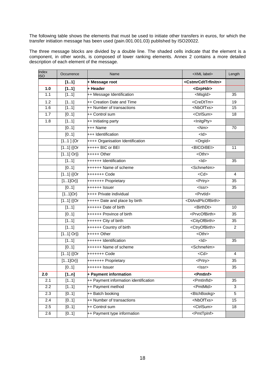The following table shows the elements that must be used to initiate other transfers in euros, for which the transfer initiation message has been used (pain.001.001.03) published by ISO20022.

The three message blocks are divided by a double line. The shaded cells indicate that the element is a component, in other words, is composed of lower ranking elements. Annex 2 contains a more detailed description of each element of the message.

| Index<br><b>ISO</b> | Occurrence  | Name                                  | <xml label=""></xml>                  | Length          |
|---------------------|-------------|---------------------------------------|---------------------------------------|-----------------|
|                     | [11]        | + Message root                        | <cstmrcdttrfinitn></cstmrcdttrfinitn> |                 |
| 1.0                 | [11]        | + Header                              | <grphdr></grphdr>                     |                 |
| 1.1                 | [11]        | ++ Message Identification             | <msgld></msgld>                       | 35              |
| 1.2                 | [11]        | ++ Creation Date and Time             | <credttm></credttm>                   | 19              |
| 1.6                 | [11]        | ++ Number of transactions             | <nboftxs></nboftxs>                   | 15              |
| 1.7                 | [01]        | ++ Control sum                        | <ctrlsum></ctrlsum>                   | 18              |
| 1.8                 | [11]        | ++ Initiating party                   | <lnitgpty></lnitgpty>                 |                 |
|                     | [01]        | +++ Name                              | $<$ Nm $>$                            | 70              |
|                     | [01]        | +++ Identification                    | $<$ ld $>$                            |                 |
|                     | $[11]$ {Or  | ++++ Organisation Identification      | <orgld></orgld>                       |                 |
|                     | $[11]$ {{Or | $+$ ++++ BIC or BEI                   | <bicorbei></bicorbei>                 | 11              |
|                     | $[11]$ Or}} | +++++ Other                           | <othr></othr>                         |                 |
|                     | [11]        | ++++++ Identification                 | $<$ ld $>$                            | 35              |
|                     | [01]        | <b>++++++ Name of scheme</b>          | <schmenm></schmenm>                   |                 |
|                     | $[11]$ {{Or | +++++++ Code                          | $<$ Cd>                               | $\overline{4}$  |
|                     | $[11]$ Or}} | +++++++ Proprietary                   | <prtry></prtry>                       | 35              |
|                     | [01]        | ++++++ Issuer                         | $<$ Issr $>$                          | 35              |
|                     | $[11]$ Or}  | ++++ Private individual               | <prvtld></prvtld>                     |                 |
|                     | $[11]$ {{Or | +++++ Date and place by birth         | <dtandplcofbirth></dtandplcofbirth>   |                 |
|                     | [11]        | ++++++ Date of birth                  | <birthdt></birthdt>                   | 10              |
|                     | [01]        | ++++++ Province of birth              | <prvcofbirth></prvcofbirth>           | 35              |
|                     | [11]        | ++++++ City of birth                  | <cityofbirth></cityofbirth>           | 35              |
|                     | [11]        | ++++++ Country of birth               | <ctryofbirth></ctryofbirth>           | 2               |
|                     | $[11]$ Or}} | +++++ Other                           | <othr></othr>                         |                 |
|                     | [11]        | ++++++ Identification                 | $<$ ld $>$                            | 35              |
|                     | [01]        | ++++++ Name of scheme                 | <schmenm></schmenm>                   |                 |
|                     | $[11]$ {{Or | +++++++ Code                          | $<$ Cd $>$                            | 4               |
|                     | $[11]$ Or}} | +++++++ Proprietary                   | <prtry></prtry>                       | 35              |
|                     | [01]        | ++++++ Issuer                         | $<$ Issr $>$                          | 35              |
| 2.0                 | [1n]        | + Payment information                 | <pmtlnf></pmtlnf>                     |                 |
| 2.1                 | [11]        | ++ Payment information identification | <pmtlnfld></pmtlnfld>                 | 35              |
| 2.2                 | [11]        | ++ Payment method                     | <pmtmtd></pmtmtd>                     | $\overline{3}$  |
| 2.3                 | [01]        | ++ Batch booking                      | <btchbookg></btchbookg>               | $\overline{5}$  |
| 2.4                 | [01]        | ++ Number of transactions             | <nboftxs></nboftxs>                   | $\overline{15}$ |
| 2.5                 | [0.1]       | ++ Control sum                        | <ctrlsum></ctrlsum>                   | 18              |
| 2.6                 | [01]        | ++ Payment type information           | <pmttpinf></pmttpinf>                 |                 |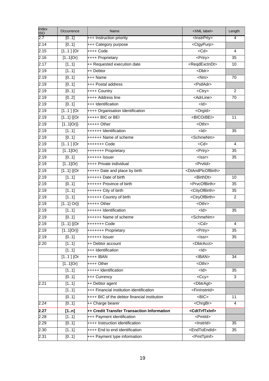| Index<br><b>ISO</b> | Occurrence  | Name                                         | <xml label=""></xml>                | Length          |
|---------------------|-------------|----------------------------------------------|-------------------------------------|-----------------|
| 2.7                 | [01]        | +++ Instruction priority                     | <lnstrprty></lnstrprty>             | $\overline{4}$  |
| 2.14                | [01]        | +++ Category purpose                         | <ctgypurp></ctgypurp>               |                 |
| 2.15                | $[11]$ {Or  | ++++ Code                                    | $<$ Cd $>$                          | 4               |
| 2.16                | $[11]$ Or}  | ++++ Proprietary                             | <prtry></prtry>                     | 35              |
| 2.17                | [11]        | ++ Requested execution date                  | <reqdexctndt></reqdexctndt>         | 10              |
| 2.19                | [11]        | ++ Debtor                                    | <dbtr></dbtr>                       |                 |
| 2.19                | [01]        | +++ Name                                     | $\overline{\text{N}}$               | 70              |
| 2.19                | [01]        | +++ Postal address                           | <pstladr></pstladr>                 |                 |
| 2.19                | [01]        | ++++ Country                                 | <ctry></ctry>                       | $\overline{2}$  |
| 2.19                | [02]        | ++++ Address line                            | <adrline></adrline>                 | $\overline{70}$ |
| 2.19                | [01]        | +++ Identification                           | $<$ ld>                             |                 |
| 2.19                | $[11]$ {Or  | ++++ Organisation Identification             | <orgld></orgld>                     |                 |
| 2.19                | $[11]$ {{Or | $++++ + BIC$ or BEI                          | <bicorbei></bicorbei>               | 11              |
| 2.19                | $[11]$ Or}} | +++++ Other                                  | <othr></othr>                       |                 |
| 2.19                | [11]        | ++++++ Identification                        | $\frac{1}{2}$                       | 35              |
| 2.19                | [01]        | ++++++ Name of scheme                        | <schmenm></schmenm>                 |                 |
| 2.19                | $[11]$ {Or  | +++++++ Code                                 | $<$ Cd $>$                          | $\overline{4}$  |
| 2.19                | $[11]$ Or}  | +++++++ Proprietary                          | <prtry></prtry>                     | 35              |
| 2.19                | [01]        | ++++++ Issuer                                | $\overline{\text{<}$ lssr>          | 35              |
| 2.19                | $[11]$ Or}  | ++++ Private individual                      | <prvtid></prvtid>                   |                 |
| 2.19                | $[11]$ {{Or | +++++ Date and place by birth                | <dtandplcofbirth></dtandplcofbirth> |                 |
| 2.19                | [11]        | ++++++ Date of birth                         | <birthdt></birthdt>                 | 10              |
| 2.19                | [01]        | ++++++ Province of birth                     | <prvcofbirth></prvcofbirth>         | 35              |
| 2.19                | [11]        | ++++++ City of birth                         | <cityofbirth></cityofbirth>         | $\overline{35}$ |
| 2.19                | [11]        | ++++++ Country of birth                      | <ctryofbirth></ctryofbirth>         | $\overline{2}$  |
| 2.19                | $[11]$ Or}} | +++++ Other                                  | <othr></othr>                       |                 |
| 2.19                | [11]        | ++++++ Identification                        | $\frac{1}{2}$                       | 35              |
| 2.19                | [01]        | ++++++ Name of scheme                        | <schmenm></schmenm>                 |                 |
| 2.19                | $[11]$ {{Or | +++++++ Code                                 | $<$ Cd $>$                          | 4               |
| 2.19                | $[11]Or\}$  | +++++++ Proprietary                          | <prtry></prtry>                     | 35              |
| 2.19                | [01]        | ++++++ Issuer                                | $<$ Issr $>$                        | 35              |
| 2.20                | [11]        | ++ Debtor account                            | <dbtracct></dbtracct>               |                 |
|                     | [11]        | +++ Identification                           | $<$ ld $>$                          |                 |
|                     | $[11]$ {Or  | ++++ IBAN                                    | $<$ IBAN $>$                        | 34              |
|                     | $[11]$ Or}  | ++++ Other                                   |                                     |                 |
|                     | [11]        | +++++ Identification                         | $\frac{1}{2}$                       | $\overline{35}$ |
|                     | [01]        | +++ Currency                                 | $<$ Ccy $>$                         | 3               |
| 2.21                | [11]        | ++ Debtor agent                              | <dbtragt></dbtragt>                 |                 |
|                     | [11]        | +++ Financial institution identification     | <fininstnid></fininstnid>           |                 |
|                     | [01]        | ++++ BIC of the debtor financial institution | $-BIC$                              | 11              |
| 2.24                | [01]        | ++ Charge bearer                             | <chrgbr></chrgbr>                   | 4               |
| 2.27                | [1n]        | ++ Credit Transfer Transaction Information   | <cdttrftxinf></cdttrftxinf>         |                 |
| 2.28                | [11]        | +++ Payment identification                   | <pmtld></pmtld>                     |                 |
| 2.29                | [01]        | ++++ Instruction identification              | <lnstrld></lnstrld>                 | 35              |
| 2.30                | [11]        | ++++ End to end identification               | <endtoendid></endtoendid>           | 35              |
| 2.31                | [01]        | +++ Payment type information                 | <pmttpinf></pmttpinf>               |                 |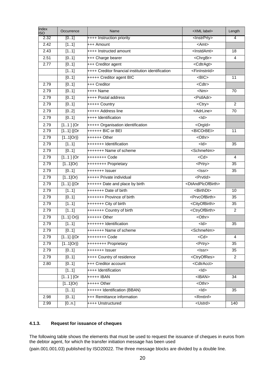| Index<br><b>ISO</b> | Occurrence        | Name                                               | <xml label=""></xml>                | Length         |
|---------------------|-------------------|----------------------------------------------------|-------------------------------------|----------------|
| 2.32                | [01]              | ++++ Instruction priority                          | <lnstrprty></lnstrprty>             | $\overline{4}$ |
| 2.42                | [11]              | +++ Amount                                         | $<$ Amt $>$                         |                |
| 2.43                | [11]              | ++++ Instructed amount                             | <lnstdamt></lnstdamt>               | 18             |
| 2.51                | [0.1]             | +++ Charge bearer                                  | <chrgbr></chrgbr>                   | 4              |
| 2.77                | [01]              | +++ Creditor agent                                 | <cdtragt></cdtragt>                 |                |
|                     | [11]              | ++++ Creditor financial institution identification | <fininstnid></fininstnid>           |                |
|                     | [01]              | +++++ Creditor agent BIC                           | R                                   | 11             |
| 2.79                | [01]              | +++ Creditor                                       | $<$ Cdtr $>$                        |                |
| 2.79                | [01]              | ++++ Name                                          | $<$ Nm $>$                          | 70             |
| 2.79                | [01]              | ++++ Postal address                                | <pstladr></pstladr>                 |                |
| 2.79                | [01]              | +++++ Country                                      | <ctry></ctry>                       | $\overline{2}$ |
| 2.79                | [02]              | +++++ Address line                                 | <adrline></adrline>                 | 70             |
| 2.79                | [01]              | ++++ Identification                                | $<$ ld>                             |                |
| 2.79                | $[11]$ {Or        | +++++ Organisation identification                  | <orgld></orgld>                     |                |
| 2.79                | $[11]$ {{Or       | ++++++ BIC or BEI                                  | <bicorbei></bicorbei>               | 11             |
| 2.79                | $[11]$ Or}}       | ++++++ Other                                       | $<$ Othr $>$                        |                |
| 2.79                | [11]              | +++++++ Identification                             | $<$ ld $>$                          | 35             |
| 2.79                | $\overline{[01]}$ | +++++++ Name of scheme                             | <schmenm></schmenm>                 |                |
| 2.79                | $[11]$ {Or        | ++++++++ Code                                      | $<$ Cd $>$                          | 4              |
| 2.79                | $[11]$ Or}        | ++++++++ Proprietary                               | <prtry></prtry>                     | 35             |
| 2.79                | [01]              | +++++++ Issuer                                     | <lssr></lssr>                       | 35             |
| 2.79                | $[11]$ Or}        | +++++ Private individual                           | <prvtld></prvtld>                   |                |
| 2.79                | $[11]$ {{Or       | ++++++ Date and place by birth                     | <dtandplcofbirth></dtandplcofbirth> |                |
| 2.79                | [11]              | +++++++ Date of birth                              | <birthdt></birthdt>                 | 10             |
| 2.79                | [01]              | +++++++ Province of birth                          | <prvcofbirth></prvcofbirth>         | 35             |
| 2.79                | [11]              | +++++++ City of birth                              | <cityofbirth></cityofbirth>         | 35             |
| 2.79                | $\overline{[11]}$ | +++++++ Country of birth                           | <ctryofbirth></ctryofbirth>         | $\overline{2}$ |
| 2.79                | $[11]$ Or}}       | $+++++$ Other                                      |                                     |                |
| 2.79                | [11]              | +++++++ Identification                             | $<$ ld $>$                          | 35             |
| 2.79                | [01]              | +++++++ Name of scheme                             | <schmenm></schmenm>                 |                |
| 2.79                | $[11]$ {{Or       | ++++++++ Code                                      | $<$ Cd $>$                          | 4              |
| 2.79                | $[11]Or\}$        | ++++++++ Proprietary                               | <prtry></prtry>                     | 35             |
| 2.79                | [01]              | +++++++ Issuer                                     | <lssr></lssr>                       | 35             |
| 2.79                | [01]              | ++++ Country of residence                          | <ctryofres></ctryofres>             | $\overline{2}$ |
| 2.80                | [01]              | +++ Creditor account                               | <cdtracct></cdtracct>               |                |
|                     | [11]              | ++++ Identification                                | $<$ ld>                             |                |
|                     | $[11]$ {Or        | +++++ IBAN                                         | $<$ <b>IBAN&gt;</b>                 | 34             |
|                     | $[11]$ Or}        | +++++ Other                                        | <othr></othr>                       |                |
|                     | [11]              | ++++++ Identification (BBAN)                       | $<$ ld>                             | 35             |
| 2.98                | [01]              | +++ Remittance information                         | <rmtlnf></rmtlnf>                   |                |
| 2.99                | [0n.]             | ++++ Unstructured                                  | <ustrd></ustrd>                     | 140            |

## **4.1.3. Request for issuance of cheques**

The following table shows the elements that must be used to request the issuance of cheques in euros from the debtor agent, for which the transfer initiation message has been used

(pain.001.001.03) published by ISO20022. The three message blocks are divided by a double line.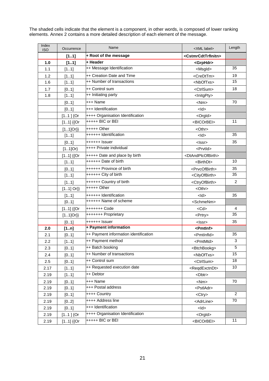The shaded cells indicate that the element is a component, in other words, is composed of lower ranking elements. Annex 2 contains a more detailed description of each element of the message.

| Index<br><b>ISO</b> | Occurrence  | Name                                  | <xml label=""></xml>                  | Length          |
|---------------------|-------------|---------------------------------------|---------------------------------------|-----------------|
|                     | [11]        | + Root of the message                 | <cstmrcdttrfinitn></cstmrcdttrfinitn> |                 |
| 1.0                 | [11]        | + Header                              | <grphdr></grphdr>                     |                 |
| 1.1                 | [11]        | ++ Message Identification             | <msgld></msgld>                       | 35              |
| 1.2                 | [11]        | ++ Creation Date and Time             | <credttm></credttm>                   | 19              |
| 1.6                 | [11]        | ++ Number of transactions             | <nboftxs></nboftxs>                   | 15              |
| 1.7                 | [01]        | ++ Control sum                        | <ctrlsum></ctrlsum>                   | 18              |
| 1.8                 | [11]        | ++ Initiating party                   | <lnitgpty></lnitgpty>                 |                 |
|                     | [01]        | +++ Name                              | $<$ Nm $>$                            | 70              |
|                     | [01]        | +++ Identification                    | $<$ ld $>$                            |                 |
|                     | $[11]$ {Or  | ++++ Organisation Identification      | <orgld></orgld>                       |                 |
|                     | $[11]$ {{Or | +++++ BIC or BEI                      | <bicorbei></bicorbei>                 | 11              |
|                     | $[11]Or\}$  | $++++$ Other                          | <othr></othr>                         |                 |
|                     | [11]        | ++++++ Identification                 | $<$ ld $>$                            | 35              |
|                     | [01]        | ++++++ Issuer                         | <lssr></lssr>                         | 35              |
|                     | $[11]$ Or}  | ++++ Private individual               | <prvtid></prvtid>                     |                 |
|                     | $[11]$ {{Or | +++++ Date and place by birth         | <dtandplcofbirth></dtandplcofbirth>   |                 |
|                     | [11]        | ++++++ Date of birth                  | <birthdt></birthdt>                   | 10              |
|                     | [01]        | ++++++ Province of birth              | <prvcofbirth></prvcofbirth>           | 35              |
|                     | [11]        | ++++++ City of birth                  | <cityofbirth></cityofbirth>           | 35              |
|                     | [11]        | ++++++ Country of birth               | <ctryofbirth></ctryofbirth>           | $\overline{2}$  |
|                     | $[11]$ Or}} | $***+$ Other                          | <othr></othr>                         |                 |
|                     | [11]        | ++++++ Identification                 | $<$ ld $>$                            | 35              |
|                     | [01]        | ++++++ Name of scheme                 | <schmenm></schmenm>                   |                 |
|                     | $[11]$ {{Or | +++++++ Code                          | $<$ Cd $>$                            | 4               |
|                     | $[11]Or\}$  | +++++++ Proprietary                   | <prtry></prtry>                       | $\overline{35}$ |
|                     | [01]        | ++++++ Issuer                         | $<$ Issr $>$                          | 35              |
| 2.0                 | [1n]        | + Payment information                 | <pmtlnf></pmtlnf>                     |                 |
| 2.1                 | [01]        | ++ Payment information identification | <pmtlnfld></pmtlnfld>                 | 35              |
| 2.2                 | [11]        | ++ Payment method                     | <pmtmtd></pmtmtd>                     | 3               |
| 2.3                 | [01]        | ++ Batch booking                      | <btchbookg></btchbookg>               | 5               |
| 2.4                 | [01]        | ++ Number of transactions             | <nboftxs></nboftxs>                   | 15              |
| 2.5                 | [01]        | ++ Control sum                        | <ctrlsum></ctrlsum>                   | 18              |
| 2.17                | [11]        | ++ Requested execution date           | <reqdexctndt></reqdexctndt>           | 10              |
| 2.19                | [11]        | ++ Debtor                             | <dbtr></dbtr>                         |                 |
| 2.19                | [01]        | +++ Name                              | $<$ Nm $>$                            | 70              |
| 2.19                | [01]        | +++ Postal address                    | <pstladr></pstladr>                   |                 |
| 2.19                | [01]        | ++++ Country                          | <ctry></ctry>                         | $\overline{2}$  |
| 2.19                | [02]        | ++++ Address line                     | <adrline></adrline>                   | $\overline{70}$ |
| 2.19                | [01]        | +++ Identification                    | $<$ ld>                               |                 |
| 2.19                | $[11]$ {Or  | ++++ Organisation Identification      | <orgld></orgld>                       |                 |
| 2.19                | $[11]$ {{Or | +++++ BIC or BEI                      | <bicorbei></bicorbei>                 | 11              |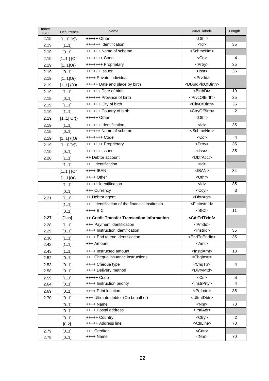| Index<br><b>ISO</b> | Occurrence  | Name                                            | <xml label=""></xml>                | Length          |
|---------------------|-------------|-------------------------------------------------|-------------------------------------|-----------------|
| 2.19                | $[11]Or\}$  | $***+$ Other                                    | <othr></othr>                       |                 |
| 2.19                | [11]        | ++++++ Identification                           | $<$ ld>                             | 35              |
| 2.19                | [01]        | ++++++ Name of scheme                           | <schmenm></schmenm>                 |                 |
| 2.19                | $[11]$ {Or  | +++++++ Code                                    | $<$ Cd>                             | $\overline{4}$  |
| 2.19                | $[11]$ Or}  | +++++++ Proprietary                             | <prtry></prtry>                     | 35              |
| 2.19                | [01]        | ++++++ Issuer                                   | $\overline{\le}$ lssr>              | 35              |
| 2.19                | $[11]$ Or}  | ++++ Private individual                         | <prvtld></prvtld>                   |                 |
| 2.19                | $[11]$ {{Or | +++++ Date and place by birth                   | <dtandplcofbirth></dtandplcofbirth> |                 |
| 2.19                | [11]        | ++++++ Date of birth                            | <birthdt></birthdt>                 | 10              |
| 2.19                | [01]        | ++++++ Province of birth                        | <prvcofbirth></prvcofbirth>         | 35              |
| 2.19                | [11]        | ++++++ City of birth                            | <cityofbirth></cityofbirth>         | $\overline{35}$ |
| 2.19                | [11]        | ++++++ Country of birth                         | <ctryofbirth></ctryofbirth>         | 2               |
| 2.19                | $[11]$ Or}} | $++++$ Other                                    | <othr></othr>                       |                 |
| 2.19                | [11]        | ++++++ Identification                           | $<$ ld $>$                          | 35              |
| 2.19                | [01]        | ++++++ Name of scheme                           | <schmenm></schmenm>                 |                 |
| 2.19                | $[11]$ {{Or | +++++++ Code                                    | $<$ Cd $>$                          | 4               |
| 2.19                | $[11]$ Or}} | +++++++ Proprietary                             | <prtry></prtry>                     | 35              |
| 2.19                | [01]        | ++++++ Issuer                                   | $<$ Issr $>$                        | 35              |
| 2.20                | [11]        | ++ Debtor account                               | <dbtracct></dbtracct>               |                 |
|                     | [11]        | +++ Identification                              | $<$ ld $>$                          |                 |
|                     | $[11]$ {Or  | ++++ IBAN                                       | <iban></iban>                       | 34              |
|                     | $[11]$ Or}  | ++++ Other                                      | <othr></othr>                       |                 |
|                     | [11]        | +++++ Identification                            | $<$ ld $>$                          | 35              |
|                     | [01]        | +++ Currency                                    | $<$ Ccy $>$                         | 3               |
| 2.21                | [11]        | ++ Debtor agent                                 | <dbtragt></dbtragt>                 |                 |
|                     | [11]        | +++ Identification of the financial institution | <fininstnid></fininstnid>           |                 |
|                     | [01]        | ++++ BIC                                        | $-BIC$                              | 11              |
| 2.27                | [1n]        | ++ Credit Transfer Transaction Information      | <cdttrftxinf></cdttrftxinf>         |                 |
| 2.28                | [11]        | +++ Payment identification                      | <pmtld></pmtld>                     |                 |
| 2.29                | [01]        | ++++ Instruction identification                 | <lnstrld></lnstrld>                 | 35              |
| 2.30                | [11]        | ++++ End to end identification                  | <endtoendid></endtoendid>           | 35              |
| 2.42                | [11]        | +++ Amount                                      | <amt></amt>                         |                 |
| 2.43                | [11]        | ++++ Instructed amount                          | <lnstdamt></lnstdamt>               | 18              |
| 2.52                | [01]        | +++ Cheque issuance instructions                | <chqinstr></chqinstr>               |                 |
| 2.53                | [0.1]       | ++++ Cheque type                                | $<$ ChqTp $>$                       | 4               |
| 2.58                | [01]        | ++++ Delivery method                            | <dlvrymtd></dlvrymtd>               |                 |
| 2.59                | [11]        | +++++ Code                                      | $<$ Cd $>$                          | 4               |
| 2.64                | [01]        | ++++ Instruction priority                       | <lnstrprty></lnstrprty>             | 4               |
| 2.69                | [01]        | ++++ Print location                             | <prtlctn></prtlctn>                 | 35              |
| 2.70                | [01]        | +++ Ultimate debtor (On behalf of)              | <ultmtdbtr></ultmtdbtr>             |                 |
|                     | [01]        | ++++ Name                                       | $<$ Nm $>$                          | 70              |
|                     | [01]        | ++++ Postal address                             | <pstladr></pstladr>                 |                 |
|                     | [01]        | +++++ Country                                   | <ctry></ctry>                       | 2               |
|                     | [0.2]       | +++++ Address line                              | <adrline></adrline>                 | 70              |
| 2.79                | [01]        | +++ Creditor                                    | <cdtr></cdtr>                       |                 |
| 2.79                | [01]        | ++++ Name                                       | $\langle Nm \rangle$                | 70              |
|                     |             |                                                 |                                     |                 |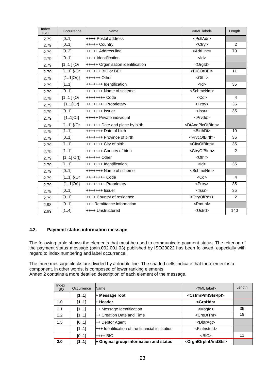| Index<br><b>ISO</b> | Occurrence  | Name                              | <xml label=""></xml>                | Length          |
|---------------------|-------------|-----------------------------------|-------------------------------------|-----------------|
| 2.79                | [01]        | ++++ Postal address               | <pstladr></pstladr>                 |                 |
| 2.79                | [01]        | +++++ Country                     | $<$ Ctry $>$                        | $\overline{2}$  |
| 2.79                | [02]        | +++++ Address line                | <adrline></adrline>                 | $\overline{70}$ |
| 2.79                | [01]        | ++++ Identification               | $\frac{1}{2}$                       |                 |
| 2.79                | $[11]$ {Or  | +++++ Organisation identification | <orgld></orgld>                     |                 |
| 2.79                | $[11]$ {{Or | ++++++ BIC or BEI                 | <bicorbei></bicorbei>               | 11              |
| 2.79                | $[11]$ Or}} | $+++++$ Other                     | <othr></othr>                       |                 |
| 2.79                | [11]        | +++++++ Identification            | $<$ ld $>$                          | 35              |
| 2.79                | [01]        | +++++++ Name of scheme            | <schmenm></schmenm>                 |                 |
| 2.79                | $1.1$ ] {Or |                                   | $<$ Cd>                             | $\overline{4}$  |
| 2.79                | $[11]$ Or}  | ++++++++ Proprietary              | <prtry></prtry>                     | 35              |
| 2.79                | [01]        | +++++++ Issuer                    | $<$ Issr $>$                        | 35              |
| 2.79                | $[11]$ Or}  | +++++ Private individual          | <prvtld></prvtld>                   |                 |
| 2.79                | $[11]$ {{Or | ++++++ Date and place by birth    | <dtandplcofbirth></dtandplcofbirth> |                 |
| 2.79                | [11]        | +++++++ Date of birth             | <birthdt></birthdt>                 | 10              |
| 2.79                | [01]        | +++++++ Province of birth         | <prvcofbirth></prvcofbirth>         | 35              |
| 2.79                | [11]        | +++++++ City of birth             | <cityofbirth></cityofbirth>         | $\overline{35}$ |
| 2.79                | [11]        | +++++++ Country of birth          | <ctryofbirth></ctryofbirth>         | $\overline{2}$  |
| 2.79                | $[11]$ Or}} | ++++++ Other                      | <othr></othr>                       |                 |
| 2.79                | [11]        | +++++++ Identification            | $<$ ld $>$                          | 35              |
| 2.79                | [01]        | +++++++ Name of scheme            | <schmenm></schmenm>                 |                 |
| 2.79                | $[11]$ {{Or | ++++++++ Code                     | $<$ Cd $>$                          | $\overline{4}$  |
| 2.79                | $[11]$ Or}} | ++++++++ Proprietary              | <prtry></prtry>                     | 35              |
| 2.79                | [01]        | $***+++$ Issuer                   | <lssr></lssr>                       | 35              |
| 2.79                | [01]        | ++++ Country of residence         | <ctryofres></ctryofres>             | $\overline{2}$  |
| 2.98                | [01]        | +++ Remittance information        | $\leq$ Rmtlnf>                      |                 |
| 2.99                | [14]        | ++++ Unstructured                 | <ustrd></ustrd>                     | 140             |

## **4.2. Payment status information message**

The following table shows the elements that must be used to communicate payment status. The criterion of the payment status message (pain.002.001.03) published by ISO20022 has been followed, especially with regard to index numbering and label occurrence.

The three message blocks are divided by a double line. The shaded cells indicate that the element is a component, in other words, is composed of lower ranking elements. Annex 2 contains a more detailed description of each element of the message.

| Index<br><b>ISO</b> | Occurrence | Name                                             | <xml label=""></xml>                    | Length |
|---------------------|------------|--------------------------------------------------|-----------------------------------------|--------|
|                     | [11]       | $+$ Message root                                 | <cstmrpmtstsrpt></cstmrpmtstsrpt>       |        |
| 1.0                 | [11]       | + Header                                         | <grphdr></grphdr>                       |        |
| 1.1                 | [11]       | ++ Message Identification                        | <msgld></msgld>                         | 35     |
| 1.2                 | [11]       | ++ Creation Date and Time                        | <credttm></credttm>                     | 19     |
| 1.5                 | [01]       | ++ Debtor Agent                                  | <dbtragt></dbtragt>                     |        |
|                     | [11]       | $++$ Identification of the financial institution | <fininstnid></fininstnid>               |        |
|                     | [01]       | $+++$ BIC                                        | $<$ BIC $>$                             | 11     |
| 2.0                 | [11]       | $\div$ Original group information and status     | <orgnigrpinfandsts></orgnigrpinfandsts> |        |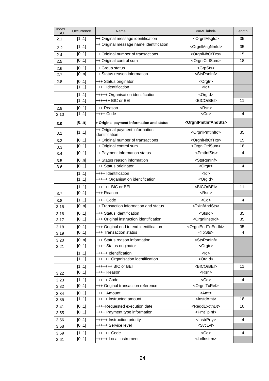| Index<br><b>ISO</b> | Occurrence        | Name                                              | <xml label=""></xml>                    | Length         |
|---------------------|-------------------|---------------------------------------------------|-----------------------------------------|----------------|
| 2.1                 | [11]              | ++ Original message identification                | <orgnlmsgld></orgnlmsgld>               | 35             |
| 2.2                 | [11]              | ++ Original message name identification           | <orgnlmsgnmld></orgnlmsgnmld>           | 35             |
| 2.4                 | [01]              | ++ Original number of transactions                | <orgninboftxs></orgninboftxs>           | 15             |
| 2.5                 | [01]              | ++ Original control sum                           | <orgnlctrlsum></orgnlctrlsum>           | 18             |
| 2.6                 | [01]              | ++ Group status                                   | <grpsts></grpsts>                       |                |
| 2.7                 | [0n]              | ++ Status reason information                      | <stsrsninf></stsrsninf>                 |                |
| 2.8                 | [01]              | +++ Status originator                             | <orgtr></orgtr>                         |                |
|                     | $\overline{[11]}$ | ++++ Identification                               | $<$ ld $>$                              |                |
|                     | [11]              | +++++ Organisation identification                 | <orgld></orgld>                         |                |
|                     | [11]              | ++++++ BIC or BEI                                 | <bicorbei></bicorbei>                   | 11             |
| 2.9                 | [01]              | +++ Reason                                        | <rsn></rsn>                             |                |
| 2.10                | [11]              | ++++ Code                                         | $<$ Cd $>$                              | 4              |
| 3.0                 | [0n]              | + Original payment information and status         | <orgnlpmtinfandsts></orgnlpmtinfandsts> |                |
| 3.1                 | [11]              | ++ Original payment information<br>identification | <orgnlpmtinfld></orgnlpmtinfld>         | 35             |
| 3.2                 | [01]              | ++ Original number of transactions                | <orgninboftxs></orgninboftxs>           | 15             |
| 3.3                 | [01]              | ++ Original control sum                           | <orgnlctrlsum></orgnlctrlsum>           | 18             |
| 3.4                 | [01]              | ++ Payment information status                     | <pmtinfsts></pmtinfsts>                 | $\overline{4}$ |
| 3.5                 | [0n]              | ++ Status reason information                      | <stsrsninf></stsrsninf>                 |                |
| 3.6                 | [01]              | +++ Status originator                             | <orgtr></orgtr>                         | $\overline{4}$ |
|                     | [11]              | ++++ Identification                               | $<$ ld $>$                              |                |
|                     | [11]              | +++++ Organisation identification                 | <orgld></orgld>                         |                |
|                     | [11]              | ++++++ BIC or BEI                                 | <bicorbei></bicorbei>                   | 11             |
| 3.7                 | [01]              | +++ Reason                                        | $<$ Rsn $>$                             |                |
| 3.8                 | [11]              | ++++ Code                                         | $<$ Cd $>$                              | 4              |
| 3.15                | [0n]              | ++ Transaction information and status             | <txinfandsts></txinfandsts>             |                |
| 3.16                | [01]              | +++ Status identification                         | <stsid></stsid>                         | 35             |
| 3.17                | [01]              | +++ Original instruction identification           | <orgnllnstrld></orgnllnstrld>           | 35             |
| 3.18                | [01]              | $++$ Original end to end identification           | <orgnlendtoendid></orgnlendtoendid>     | 35             |
| 3.19                | [01]              | +++ Transaction status                            | <txsts></txsts>                         | 4              |
| 3.20                | [0n]              | +++ Status reason information                     | <stsrsninf></stsrsninf>                 |                |
| 3.21                | [01]              | ++++ Status originator                            | <orgtr></orgtr>                         |                |
|                     | [11]              | +++++ Identification                              | $<$ ld $>$                              |                |
|                     | [11]              | ++++++ Organisation identification                | <orgld></orgld>                         |                |
|                     | [11]              | +++++++ BIC or BEI                                | <bicorbei></bicorbei>                   | 11             |
| 3.22                | $\overline{[01]}$ | ++++ Reason                                       | <rsn></rsn>                             |                |
| 3.23                | [11]              | $++++$ Code                                       | $<$ Cd $>$                              | 4              |
| 3.32                | [01]              | +++ Original transaction reference                | <orgnitxref></orgnitxref>               |                |
| 3.34                | [01]              | ++++ Amount                                       | $<$ Amt $>$                             |                |
| 3.35                | [11]              | +++++ Instructed amount                           | <lnstdamt></lnstdamt>                   | 18             |
| 3.41                | [01]              | ++++Requested execution date                      | <reqdexctndt></reqdexctndt>             | 10             |
| 3.55                | [01]              | ++++ Payment type information                     | <pmttpinf></pmttpinf>                   |                |
| 3.56                | [01]              | +++++ Instruction priority                        | <lnstrprty></lnstrprty>                 | 4              |
| 3.58                | [01]              | +++++ Service level                               | <svclvl></svclvl>                       |                |
| 3.59                | [11]              | ++++++ Code                                       | $<$ Cd $>$                              | 4              |
| 3.61                | [01]              | <b>+++++ Local instrument</b>                     | <lcllnstrm></lcllnstrm>                 |                |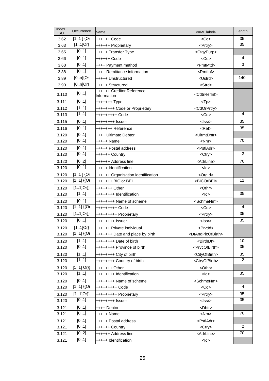| 35<br>$[11]$ {Or<br>3.62<br>++++++ Code<br>$<$ Cd $>$<br>$[11]$ Or}<br>35<br>3.63<br>++++++ Proprietary<br><prtry><br/>[01]<br/><ctgypurp><br/>3.65<br/>+++++ Transfer Type<br/>[01]<br/>4<br/>3.66<br/>++++++ Code<br/><math>&lt;</math>Cd<math>&gt;</math><br/>3<br/>[01]<br/>3.68<br/><pmtmtd><br/>++++ Payment method<br/>[01]<br/>++++ Remittance information<br/>3.88<br/><rmtlnf><br/><math>\overline{[0n]}</math>{Or<br/>140<br/>3.89<br/>+++++ Unstructured<br/><ustrd><br/><math>[0n]</math>Or}<br/>3.90<br/>+++++ Structured<br/><strd><br/>++++++ Creditor Reference<br/>[01]<br/>3.110<br/><cdtrrefinf><br/>Information<br/>[01]<br/>3.111<br/><math>&lt;</math>Tp<math>&gt;</math><br/>[11]<br/>3.112<br/>++++++++ Code or Proprietary<br/><cdorprtry><br/>[11]<br/>4<br/>3.113<br/>+++++++++ Code<br/><math>&lt;</math>Cd<math>&gt;</math><br/>35<br/>[01]<br/>3.115<br/>++++++++ Issuer<br/><lssr><br/>[01]<br/>35<br/>3.116<br/>+++++++ Reference<br/><math>Ref</math><br/>3.120<br/>[01]<br/>++++ Ultimate Debtor<br/><ultmtdbtr><br/>[01]<br/>70<br/>3.120<br/>+++++ Name<br/><math>&lt;</math>Nm<math>&gt;</math><br/>[01]<br/>3.120<br/>+++++ Postal address<br/><pstladr><br/><math>\overline{2}</math><br/>[01]<br/>3.120<br/>++++++ Country<br/><ctry><br/>[02]<br/>70<br/>3.120<br/>++++++ Address line<br/><adrline><br/>[01]<br/>3.120<br/>+++++ Identification<br/><math>&lt;</math>ld<math>&gt;</math><br/><math>[11]</math> {Or<br/>3.120<br/>++++++ Organisation identification<br/><orgld><br/><math>\overline{[11]}</math> {{Or<br/>11<br/>3.120<br/>+++++++ BIC or BEI<br/><bicorbei><br/><math>[11]Or\}</math><br/>3.120<br/><othr><br/>+++++++ Other<br/><math>\overline{[11]}</math><br/>35<br/>3.120<br/>++++++++ Identification<br/><math>&lt;</math>ld<math>&gt;</math><br/>[01]<br/>3.120<br/>++++++++ Name of scheme<br/><schmenm><br/><math>\overline{[11]}</math> {{Or<br/><math>\overline{4}</math><br/>3.120<br/>+++++++++ Code<br/><math>&lt;</math>Cd<math>&gt;</math><br/><math>[11]Or\}</math><br/>35<br/>3.120<br/>+++++++++ Proprietary<br/><prtry><br/>[01]<br/>35<br/>3.120<br/>++++++++ Issuer<br/><lssr><br/><math>[11]</math>Or}<br/>3.120<br/>++++++ Private individual<br/><prvtld><br/><math>[11]</math> {{Or<br/>3.120<br/>+++++++ Date and place by birth<br/><dtandplcofbirth><br/>10<br/>[11]<br/>3.120<br/><birthdt><br/>++++++++ Date of birth<br/>[01]<br/>35<br/>++++++++ Province of birth<br/><prvcofbirth><br/>3.120<br/>35<br/>3.120<br/>[11]<br/><cityofbirth><br/>++++++++ City of birth<br/>[11]<br/>2<br/>3.120<br/>++++++++ Country of birth<br/><ctryofbirth><br/><math>[11]</math> Or}}<br/>3.120<br/><othr><br/>+++++++ Other<br/>[11]<br/>35<br/>3.120<br/>++++++++ Identification<br/><math>&lt;</math>ld<math>&gt;</math><br/>[01]<br/>3.120<br/><schmenm><br/>++++++++ Name of scheme<br/><math>[11]</math> {{Or<br/>4<br/>3.120<br/><math>&lt;</math>Cd<math>&gt;</math><br/>+++++++++ Code<br/>35<br/><math>[11]Or\}</math><br/>3.120<br/>+++++++++ Proprietary<br/><prtry><br/>[01]<br/>35<br/>3.120<br/>++++++++ Issuer<br/><lssr><br/>3.121<br/>[01]<br/><dbtr><br/>++++ Debtor<br/>[01]<br/>70<br/>3.121<br/>+++++ Name<br/><nm><br/>3.121<br/>[01]<br/>+++++ Postal address<br/><pstladr><br/><math>\overline{2}</math><br/>[01]<br/>3.121<br/>++++++ Country<br/><ctry><br/>70<br/>[02]<br/>3.121<br/>++++++ Address line<br/><adrline><br/>[01]<br/>3.121<br/>+++++ Identification<br/><math>&lt;</math>ld<math>&gt;</math></adrline></ctry></pstladr></nm></dbtr></lssr></prtry></schmenm></othr></ctryofbirth></cityofbirth></prvcofbirth></birthdt></dtandplcofbirth></prvtld></lssr></prtry></schmenm></othr></bicorbei></orgld></adrline></ctry></pstladr></ultmtdbtr></lssr></cdorprtry></cdtrrefinf></strd></ustrd></rmtlnf></pmtmtd></ctgypurp></prtry> | Index<br><b>ISO</b> | Occurrence | Name | <xml label=""></xml> | Length |
|--------------------------------------------------------------------------------------------------------------------------------------------------------------------------------------------------------------------------------------------------------------------------------------------------------------------------------------------------------------------------------------------------------------------------------------------------------------------------------------------------------------------------------------------------------------------------------------------------------------------------------------------------------------------------------------------------------------------------------------------------------------------------------------------------------------------------------------------------------------------------------------------------------------------------------------------------------------------------------------------------------------------------------------------------------------------------------------------------------------------------------------------------------------------------------------------------------------------------------------------------------------------------------------------------------------------------------------------------------------------------------------------------------------------------------------------------------------------------------------------------------------------------------------------------------------------------------------------------------------------------------------------------------------------------------------------------------------------------------------------------------------------------------------------------------------------------------------------------------------------------------------------------------------------------------------------------------------------------------------------------------------------------------------------------------------------------------------------------------------------------------------------------------------------------------------------------------------------------------------------------------------------------------------------------------------------------------------------------------------------------------------------------------------------------------------------------------------------------------------------------------------------------------------------------------------------------------------------------------------------------------------------------------------------------------------------------------------------------------------------------------------------------------------------------------------------------------------------------------------------------------------------------------------------------------------------------------------------------------------------------------------------------------------------------------------------------------------------------------------------------------------------------------------------------------------------------------------------------------------------------------------------------------------------------------------------------------------------------------------------------------------------------------------------------------------------------------------------------------------------------------------------------------------------------------------------------------------------------------------------------------------------------------------------------------------------------------------------------------------------------------------------------------------------------------------------------------------------------------------|---------------------|------------|------|----------------------|--------|
|                                                                                                                                                                                                                                                                                                                                                                                                                                                                                                                                                                                                                                                                                                                                                                                                                                                                                                                                                                                                                                                                                                                                                                                                                                                                                                                                                                                                                                                                                                                                                                                                                                                                                                                                                                                                                                                                                                                                                                                                                                                                                                                                                                                                                                                                                                                                                                                                                                                                                                                                                                                                                                                                                                                                                                                                                                                                                                                                                                                                                                                                                                                                                                                                                                                                                                                                                                                                                                                                                                                                                                                                                                                                                                                                                                                                                                                              |                     |            |      |                      |        |
|                                                                                                                                                                                                                                                                                                                                                                                                                                                                                                                                                                                                                                                                                                                                                                                                                                                                                                                                                                                                                                                                                                                                                                                                                                                                                                                                                                                                                                                                                                                                                                                                                                                                                                                                                                                                                                                                                                                                                                                                                                                                                                                                                                                                                                                                                                                                                                                                                                                                                                                                                                                                                                                                                                                                                                                                                                                                                                                                                                                                                                                                                                                                                                                                                                                                                                                                                                                                                                                                                                                                                                                                                                                                                                                                                                                                                                                              |                     |            |      |                      |        |
|                                                                                                                                                                                                                                                                                                                                                                                                                                                                                                                                                                                                                                                                                                                                                                                                                                                                                                                                                                                                                                                                                                                                                                                                                                                                                                                                                                                                                                                                                                                                                                                                                                                                                                                                                                                                                                                                                                                                                                                                                                                                                                                                                                                                                                                                                                                                                                                                                                                                                                                                                                                                                                                                                                                                                                                                                                                                                                                                                                                                                                                                                                                                                                                                                                                                                                                                                                                                                                                                                                                                                                                                                                                                                                                                                                                                                                                              |                     |            |      |                      |        |
|                                                                                                                                                                                                                                                                                                                                                                                                                                                                                                                                                                                                                                                                                                                                                                                                                                                                                                                                                                                                                                                                                                                                                                                                                                                                                                                                                                                                                                                                                                                                                                                                                                                                                                                                                                                                                                                                                                                                                                                                                                                                                                                                                                                                                                                                                                                                                                                                                                                                                                                                                                                                                                                                                                                                                                                                                                                                                                                                                                                                                                                                                                                                                                                                                                                                                                                                                                                                                                                                                                                                                                                                                                                                                                                                                                                                                                                              |                     |            |      |                      |        |
|                                                                                                                                                                                                                                                                                                                                                                                                                                                                                                                                                                                                                                                                                                                                                                                                                                                                                                                                                                                                                                                                                                                                                                                                                                                                                                                                                                                                                                                                                                                                                                                                                                                                                                                                                                                                                                                                                                                                                                                                                                                                                                                                                                                                                                                                                                                                                                                                                                                                                                                                                                                                                                                                                                                                                                                                                                                                                                                                                                                                                                                                                                                                                                                                                                                                                                                                                                                                                                                                                                                                                                                                                                                                                                                                                                                                                                                              |                     |            |      |                      |        |
|                                                                                                                                                                                                                                                                                                                                                                                                                                                                                                                                                                                                                                                                                                                                                                                                                                                                                                                                                                                                                                                                                                                                                                                                                                                                                                                                                                                                                                                                                                                                                                                                                                                                                                                                                                                                                                                                                                                                                                                                                                                                                                                                                                                                                                                                                                                                                                                                                                                                                                                                                                                                                                                                                                                                                                                                                                                                                                                                                                                                                                                                                                                                                                                                                                                                                                                                                                                                                                                                                                                                                                                                                                                                                                                                                                                                                                                              |                     |            |      |                      |        |
|                                                                                                                                                                                                                                                                                                                                                                                                                                                                                                                                                                                                                                                                                                                                                                                                                                                                                                                                                                                                                                                                                                                                                                                                                                                                                                                                                                                                                                                                                                                                                                                                                                                                                                                                                                                                                                                                                                                                                                                                                                                                                                                                                                                                                                                                                                                                                                                                                                                                                                                                                                                                                                                                                                                                                                                                                                                                                                                                                                                                                                                                                                                                                                                                                                                                                                                                                                                                                                                                                                                                                                                                                                                                                                                                                                                                                                                              |                     |            |      |                      |        |
|                                                                                                                                                                                                                                                                                                                                                                                                                                                                                                                                                                                                                                                                                                                                                                                                                                                                                                                                                                                                                                                                                                                                                                                                                                                                                                                                                                                                                                                                                                                                                                                                                                                                                                                                                                                                                                                                                                                                                                                                                                                                                                                                                                                                                                                                                                                                                                                                                                                                                                                                                                                                                                                                                                                                                                                                                                                                                                                                                                                                                                                                                                                                                                                                                                                                                                                                                                                                                                                                                                                                                                                                                                                                                                                                                                                                                                                              |                     |            |      |                      |        |
|                                                                                                                                                                                                                                                                                                                                                                                                                                                                                                                                                                                                                                                                                                                                                                                                                                                                                                                                                                                                                                                                                                                                                                                                                                                                                                                                                                                                                                                                                                                                                                                                                                                                                                                                                                                                                                                                                                                                                                                                                                                                                                                                                                                                                                                                                                                                                                                                                                                                                                                                                                                                                                                                                                                                                                                                                                                                                                                                                                                                                                                                                                                                                                                                                                                                                                                                                                                                                                                                                                                                                                                                                                                                                                                                                                                                                                                              |                     |            |      |                      |        |
|                                                                                                                                                                                                                                                                                                                                                                                                                                                                                                                                                                                                                                                                                                                                                                                                                                                                                                                                                                                                                                                                                                                                                                                                                                                                                                                                                                                                                                                                                                                                                                                                                                                                                                                                                                                                                                                                                                                                                                                                                                                                                                                                                                                                                                                                                                                                                                                                                                                                                                                                                                                                                                                                                                                                                                                                                                                                                                                                                                                                                                                                                                                                                                                                                                                                                                                                                                                                                                                                                                                                                                                                                                                                                                                                                                                                                                                              |                     |            |      |                      |        |
|                                                                                                                                                                                                                                                                                                                                                                                                                                                                                                                                                                                                                                                                                                                                                                                                                                                                                                                                                                                                                                                                                                                                                                                                                                                                                                                                                                                                                                                                                                                                                                                                                                                                                                                                                                                                                                                                                                                                                                                                                                                                                                                                                                                                                                                                                                                                                                                                                                                                                                                                                                                                                                                                                                                                                                                                                                                                                                                                                                                                                                                                                                                                                                                                                                                                                                                                                                                                                                                                                                                                                                                                                                                                                                                                                                                                                                                              |                     |            |      |                      |        |
|                                                                                                                                                                                                                                                                                                                                                                                                                                                                                                                                                                                                                                                                                                                                                                                                                                                                                                                                                                                                                                                                                                                                                                                                                                                                                                                                                                                                                                                                                                                                                                                                                                                                                                                                                                                                                                                                                                                                                                                                                                                                                                                                                                                                                                                                                                                                                                                                                                                                                                                                                                                                                                                                                                                                                                                                                                                                                                                                                                                                                                                                                                                                                                                                                                                                                                                                                                                                                                                                                                                                                                                                                                                                                                                                                                                                                                                              |                     |            |      |                      |        |
|                                                                                                                                                                                                                                                                                                                                                                                                                                                                                                                                                                                                                                                                                                                                                                                                                                                                                                                                                                                                                                                                                                                                                                                                                                                                                                                                                                                                                                                                                                                                                                                                                                                                                                                                                                                                                                                                                                                                                                                                                                                                                                                                                                                                                                                                                                                                                                                                                                                                                                                                                                                                                                                                                                                                                                                                                                                                                                                                                                                                                                                                                                                                                                                                                                                                                                                                                                                                                                                                                                                                                                                                                                                                                                                                                                                                                                                              |                     |            |      |                      |        |
|                                                                                                                                                                                                                                                                                                                                                                                                                                                                                                                                                                                                                                                                                                                                                                                                                                                                                                                                                                                                                                                                                                                                                                                                                                                                                                                                                                                                                                                                                                                                                                                                                                                                                                                                                                                                                                                                                                                                                                                                                                                                                                                                                                                                                                                                                                                                                                                                                                                                                                                                                                                                                                                                                                                                                                                                                                                                                                                                                                                                                                                                                                                                                                                                                                                                                                                                                                                                                                                                                                                                                                                                                                                                                                                                                                                                                                                              |                     |            |      |                      |        |
|                                                                                                                                                                                                                                                                                                                                                                                                                                                                                                                                                                                                                                                                                                                                                                                                                                                                                                                                                                                                                                                                                                                                                                                                                                                                                                                                                                                                                                                                                                                                                                                                                                                                                                                                                                                                                                                                                                                                                                                                                                                                                                                                                                                                                                                                                                                                                                                                                                                                                                                                                                                                                                                                                                                                                                                                                                                                                                                                                                                                                                                                                                                                                                                                                                                                                                                                                                                                                                                                                                                                                                                                                                                                                                                                                                                                                                                              |                     |            |      |                      |        |
|                                                                                                                                                                                                                                                                                                                                                                                                                                                                                                                                                                                                                                                                                                                                                                                                                                                                                                                                                                                                                                                                                                                                                                                                                                                                                                                                                                                                                                                                                                                                                                                                                                                                                                                                                                                                                                                                                                                                                                                                                                                                                                                                                                                                                                                                                                                                                                                                                                                                                                                                                                                                                                                                                                                                                                                                                                                                                                                                                                                                                                                                                                                                                                                                                                                                                                                                                                                                                                                                                                                                                                                                                                                                                                                                                                                                                                                              |                     |            |      |                      |        |
|                                                                                                                                                                                                                                                                                                                                                                                                                                                                                                                                                                                                                                                                                                                                                                                                                                                                                                                                                                                                                                                                                                                                                                                                                                                                                                                                                                                                                                                                                                                                                                                                                                                                                                                                                                                                                                                                                                                                                                                                                                                                                                                                                                                                                                                                                                                                                                                                                                                                                                                                                                                                                                                                                                                                                                                                                                                                                                                                                                                                                                                                                                                                                                                                                                                                                                                                                                                                                                                                                                                                                                                                                                                                                                                                                                                                                                                              |                     |            |      |                      |        |
|                                                                                                                                                                                                                                                                                                                                                                                                                                                                                                                                                                                                                                                                                                                                                                                                                                                                                                                                                                                                                                                                                                                                                                                                                                                                                                                                                                                                                                                                                                                                                                                                                                                                                                                                                                                                                                                                                                                                                                                                                                                                                                                                                                                                                                                                                                                                                                                                                                                                                                                                                                                                                                                                                                                                                                                                                                                                                                                                                                                                                                                                                                                                                                                                                                                                                                                                                                                                                                                                                                                                                                                                                                                                                                                                                                                                                                                              |                     |            |      |                      |        |
|                                                                                                                                                                                                                                                                                                                                                                                                                                                                                                                                                                                                                                                                                                                                                                                                                                                                                                                                                                                                                                                                                                                                                                                                                                                                                                                                                                                                                                                                                                                                                                                                                                                                                                                                                                                                                                                                                                                                                                                                                                                                                                                                                                                                                                                                                                                                                                                                                                                                                                                                                                                                                                                                                                                                                                                                                                                                                                                                                                                                                                                                                                                                                                                                                                                                                                                                                                                                                                                                                                                                                                                                                                                                                                                                                                                                                                                              |                     |            |      |                      |        |
|                                                                                                                                                                                                                                                                                                                                                                                                                                                                                                                                                                                                                                                                                                                                                                                                                                                                                                                                                                                                                                                                                                                                                                                                                                                                                                                                                                                                                                                                                                                                                                                                                                                                                                                                                                                                                                                                                                                                                                                                                                                                                                                                                                                                                                                                                                                                                                                                                                                                                                                                                                                                                                                                                                                                                                                                                                                                                                                                                                                                                                                                                                                                                                                                                                                                                                                                                                                                                                                                                                                                                                                                                                                                                                                                                                                                                                                              |                     |            |      |                      |        |
|                                                                                                                                                                                                                                                                                                                                                                                                                                                                                                                                                                                                                                                                                                                                                                                                                                                                                                                                                                                                                                                                                                                                                                                                                                                                                                                                                                                                                                                                                                                                                                                                                                                                                                                                                                                                                                                                                                                                                                                                                                                                                                                                                                                                                                                                                                                                                                                                                                                                                                                                                                                                                                                                                                                                                                                                                                                                                                                                                                                                                                                                                                                                                                                                                                                                                                                                                                                                                                                                                                                                                                                                                                                                                                                                                                                                                                                              |                     |            |      |                      |        |
|                                                                                                                                                                                                                                                                                                                                                                                                                                                                                                                                                                                                                                                                                                                                                                                                                                                                                                                                                                                                                                                                                                                                                                                                                                                                                                                                                                                                                                                                                                                                                                                                                                                                                                                                                                                                                                                                                                                                                                                                                                                                                                                                                                                                                                                                                                                                                                                                                                                                                                                                                                                                                                                                                                                                                                                                                                                                                                                                                                                                                                                                                                                                                                                                                                                                                                                                                                                                                                                                                                                                                                                                                                                                                                                                                                                                                                                              |                     |            |      |                      |        |
|                                                                                                                                                                                                                                                                                                                                                                                                                                                                                                                                                                                                                                                                                                                                                                                                                                                                                                                                                                                                                                                                                                                                                                                                                                                                                                                                                                                                                                                                                                                                                                                                                                                                                                                                                                                                                                                                                                                                                                                                                                                                                                                                                                                                                                                                                                                                                                                                                                                                                                                                                                                                                                                                                                                                                                                                                                                                                                                                                                                                                                                                                                                                                                                                                                                                                                                                                                                                                                                                                                                                                                                                                                                                                                                                                                                                                                                              |                     |            |      |                      |        |
|                                                                                                                                                                                                                                                                                                                                                                                                                                                                                                                                                                                                                                                                                                                                                                                                                                                                                                                                                                                                                                                                                                                                                                                                                                                                                                                                                                                                                                                                                                                                                                                                                                                                                                                                                                                                                                                                                                                                                                                                                                                                                                                                                                                                                                                                                                                                                                                                                                                                                                                                                                                                                                                                                                                                                                                                                                                                                                                                                                                                                                                                                                                                                                                                                                                                                                                                                                                                                                                                                                                                                                                                                                                                                                                                                                                                                                                              |                     |            |      |                      |        |
|                                                                                                                                                                                                                                                                                                                                                                                                                                                                                                                                                                                                                                                                                                                                                                                                                                                                                                                                                                                                                                                                                                                                                                                                                                                                                                                                                                                                                                                                                                                                                                                                                                                                                                                                                                                                                                                                                                                                                                                                                                                                                                                                                                                                                                                                                                                                                                                                                                                                                                                                                                                                                                                                                                                                                                                                                                                                                                                                                                                                                                                                                                                                                                                                                                                                                                                                                                                                                                                                                                                                                                                                                                                                                                                                                                                                                                                              |                     |            |      |                      |        |
|                                                                                                                                                                                                                                                                                                                                                                                                                                                                                                                                                                                                                                                                                                                                                                                                                                                                                                                                                                                                                                                                                                                                                                                                                                                                                                                                                                                                                                                                                                                                                                                                                                                                                                                                                                                                                                                                                                                                                                                                                                                                                                                                                                                                                                                                                                                                                                                                                                                                                                                                                                                                                                                                                                                                                                                                                                                                                                                                                                                                                                                                                                                                                                                                                                                                                                                                                                                                                                                                                                                                                                                                                                                                                                                                                                                                                                                              |                     |            |      |                      |        |
|                                                                                                                                                                                                                                                                                                                                                                                                                                                                                                                                                                                                                                                                                                                                                                                                                                                                                                                                                                                                                                                                                                                                                                                                                                                                                                                                                                                                                                                                                                                                                                                                                                                                                                                                                                                                                                                                                                                                                                                                                                                                                                                                                                                                                                                                                                                                                                                                                                                                                                                                                                                                                                                                                                                                                                                                                                                                                                                                                                                                                                                                                                                                                                                                                                                                                                                                                                                                                                                                                                                                                                                                                                                                                                                                                                                                                                                              |                     |            |      |                      |        |
|                                                                                                                                                                                                                                                                                                                                                                                                                                                                                                                                                                                                                                                                                                                                                                                                                                                                                                                                                                                                                                                                                                                                                                                                                                                                                                                                                                                                                                                                                                                                                                                                                                                                                                                                                                                                                                                                                                                                                                                                                                                                                                                                                                                                                                                                                                                                                                                                                                                                                                                                                                                                                                                                                                                                                                                                                                                                                                                                                                                                                                                                                                                                                                                                                                                                                                                                                                                                                                                                                                                                                                                                                                                                                                                                                                                                                                                              |                     |            |      |                      |        |
|                                                                                                                                                                                                                                                                                                                                                                                                                                                                                                                                                                                                                                                                                                                                                                                                                                                                                                                                                                                                                                                                                                                                                                                                                                                                                                                                                                                                                                                                                                                                                                                                                                                                                                                                                                                                                                                                                                                                                                                                                                                                                                                                                                                                                                                                                                                                                                                                                                                                                                                                                                                                                                                                                                                                                                                                                                                                                                                                                                                                                                                                                                                                                                                                                                                                                                                                                                                                                                                                                                                                                                                                                                                                                                                                                                                                                                                              |                     |            |      |                      |        |
|                                                                                                                                                                                                                                                                                                                                                                                                                                                                                                                                                                                                                                                                                                                                                                                                                                                                                                                                                                                                                                                                                                                                                                                                                                                                                                                                                                                                                                                                                                                                                                                                                                                                                                                                                                                                                                                                                                                                                                                                                                                                                                                                                                                                                                                                                                                                                                                                                                                                                                                                                                                                                                                                                                                                                                                                                                                                                                                                                                                                                                                                                                                                                                                                                                                                                                                                                                                                                                                                                                                                                                                                                                                                                                                                                                                                                                                              |                     |            |      |                      |        |
|                                                                                                                                                                                                                                                                                                                                                                                                                                                                                                                                                                                                                                                                                                                                                                                                                                                                                                                                                                                                                                                                                                                                                                                                                                                                                                                                                                                                                                                                                                                                                                                                                                                                                                                                                                                                                                                                                                                                                                                                                                                                                                                                                                                                                                                                                                                                                                                                                                                                                                                                                                                                                                                                                                                                                                                                                                                                                                                                                                                                                                                                                                                                                                                                                                                                                                                                                                                                                                                                                                                                                                                                                                                                                                                                                                                                                                                              |                     |            |      |                      |        |
|                                                                                                                                                                                                                                                                                                                                                                                                                                                                                                                                                                                                                                                                                                                                                                                                                                                                                                                                                                                                                                                                                                                                                                                                                                                                                                                                                                                                                                                                                                                                                                                                                                                                                                                                                                                                                                                                                                                                                                                                                                                                                                                                                                                                                                                                                                                                                                                                                                                                                                                                                                                                                                                                                                                                                                                                                                                                                                                                                                                                                                                                                                                                                                                                                                                                                                                                                                                                                                                                                                                                                                                                                                                                                                                                                                                                                                                              |                     |            |      |                      |        |
|                                                                                                                                                                                                                                                                                                                                                                                                                                                                                                                                                                                                                                                                                                                                                                                                                                                                                                                                                                                                                                                                                                                                                                                                                                                                                                                                                                                                                                                                                                                                                                                                                                                                                                                                                                                                                                                                                                                                                                                                                                                                                                                                                                                                                                                                                                                                                                                                                                                                                                                                                                                                                                                                                                                                                                                                                                                                                                                                                                                                                                                                                                                                                                                                                                                                                                                                                                                                                                                                                                                                                                                                                                                                                                                                                                                                                                                              |                     |            |      |                      |        |
|                                                                                                                                                                                                                                                                                                                                                                                                                                                                                                                                                                                                                                                                                                                                                                                                                                                                                                                                                                                                                                                                                                                                                                                                                                                                                                                                                                                                                                                                                                                                                                                                                                                                                                                                                                                                                                                                                                                                                                                                                                                                                                                                                                                                                                                                                                                                                                                                                                                                                                                                                                                                                                                                                                                                                                                                                                                                                                                                                                                                                                                                                                                                                                                                                                                                                                                                                                                                                                                                                                                                                                                                                                                                                                                                                                                                                                                              |                     |            |      |                      |        |
|                                                                                                                                                                                                                                                                                                                                                                                                                                                                                                                                                                                                                                                                                                                                                                                                                                                                                                                                                                                                                                                                                                                                                                                                                                                                                                                                                                                                                                                                                                                                                                                                                                                                                                                                                                                                                                                                                                                                                                                                                                                                                                                                                                                                                                                                                                                                                                                                                                                                                                                                                                                                                                                                                                                                                                                                                                                                                                                                                                                                                                                                                                                                                                                                                                                                                                                                                                                                                                                                                                                                                                                                                                                                                                                                                                                                                                                              |                     |            |      |                      |        |
|                                                                                                                                                                                                                                                                                                                                                                                                                                                                                                                                                                                                                                                                                                                                                                                                                                                                                                                                                                                                                                                                                                                                                                                                                                                                                                                                                                                                                                                                                                                                                                                                                                                                                                                                                                                                                                                                                                                                                                                                                                                                                                                                                                                                                                                                                                                                                                                                                                                                                                                                                                                                                                                                                                                                                                                                                                                                                                                                                                                                                                                                                                                                                                                                                                                                                                                                                                                                                                                                                                                                                                                                                                                                                                                                                                                                                                                              |                     |            |      |                      |        |
|                                                                                                                                                                                                                                                                                                                                                                                                                                                                                                                                                                                                                                                                                                                                                                                                                                                                                                                                                                                                                                                                                                                                                                                                                                                                                                                                                                                                                                                                                                                                                                                                                                                                                                                                                                                                                                                                                                                                                                                                                                                                                                                                                                                                                                                                                                                                                                                                                                                                                                                                                                                                                                                                                                                                                                                                                                                                                                                                                                                                                                                                                                                                                                                                                                                                                                                                                                                                                                                                                                                                                                                                                                                                                                                                                                                                                                                              |                     |            |      |                      |        |
|                                                                                                                                                                                                                                                                                                                                                                                                                                                                                                                                                                                                                                                                                                                                                                                                                                                                                                                                                                                                                                                                                                                                                                                                                                                                                                                                                                                                                                                                                                                                                                                                                                                                                                                                                                                                                                                                                                                                                                                                                                                                                                                                                                                                                                                                                                                                                                                                                                                                                                                                                                                                                                                                                                                                                                                                                                                                                                                                                                                                                                                                                                                                                                                                                                                                                                                                                                                                                                                                                                                                                                                                                                                                                                                                                                                                                                                              |                     |            |      |                      |        |
|                                                                                                                                                                                                                                                                                                                                                                                                                                                                                                                                                                                                                                                                                                                                                                                                                                                                                                                                                                                                                                                                                                                                                                                                                                                                                                                                                                                                                                                                                                                                                                                                                                                                                                                                                                                                                                                                                                                                                                                                                                                                                                                                                                                                                                                                                                                                                                                                                                                                                                                                                                                                                                                                                                                                                                                                                                                                                                                                                                                                                                                                                                                                                                                                                                                                                                                                                                                                                                                                                                                                                                                                                                                                                                                                                                                                                                                              |                     |            |      |                      |        |
|                                                                                                                                                                                                                                                                                                                                                                                                                                                                                                                                                                                                                                                                                                                                                                                                                                                                                                                                                                                                                                                                                                                                                                                                                                                                                                                                                                                                                                                                                                                                                                                                                                                                                                                                                                                                                                                                                                                                                                                                                                                                                                                                                                                                                                                                                                                                                                                                                                                                                                                                                                                                                                                                                                                                                                                                                                                                                                                                                                                                                                                                                                                                                                                                                                                                                                                                                                                                                                                                                                                                                                                                                                                                                                                                                                                                                                                              |                     |            |      |                      |        |
|                                                                                                                                                                                                                                                                                                                                                                                                                                                                                                                                                                                                                                                                                                                                                                                                                                                                                                                                                                                                                                                                                                                                                                                                                                                                                                                                                                                                                                                                                                                                                                                                                                                                                                                                                                                                                                                                                                                                                                                                                                                                                                                                                                                                                                                                                                                                                                                                                                                                                                                                                                                                                                                                                                                                                                                                                                                                                                                                                                                                                                                                                                                                                                                                                                                                                                                                                                                                                                                                                                                                                                                                                                                                                                                                                                                                                                                              |                     |            |      |                      |        |
|                                                                                                                                                                                                                                                                                                                                                                                                                                                                                                                                                                                                                                                                                                                                                                                                                                                                                                                                                                                                                                                                                                                                                                                                                                                                                                                                                                                                                                                                                                                                                                                                                                                                                                                                                                                                                                                                                                                                                                                                                                                                                                                                                                                                                                                                                                                                                                                                                                                                                                                                                                                                                                                                                                                                                                                                                                                                                                                                                                                                                                                                                                                                                                                                                                                                                                                                                                                                                                                                                                                                                                                                                                                                                                                                                                                                                                                              |                     |            |      |                      |        |
|                                                                                                                                                                                                                                                                                                                                                                                                                                                                                                                                                                                                                                                                                                                                                                                                                                                                                                                                                                                                                                                                                                                                                                                                                                                                                                                                                                                                                                                                                                                                                                                                                                                                                                                                                                                                                                                                                                                                                                                                                                                                                                                                                                                                                                                                                                                                                                                                                                                                                                                                                                                                                                                                                                                                                                                                                                                                                                                                                                                                                                                                                                                                                                                                                                                                                                                                                                                                                                                                                                                                                                                                                                                                                                                                                                                                                                                              |                     |            |      |                      |        |
|                                                                                                                                                                                                                                                                                                                                                                                                                                                                                                                                                                                                                                                                                                                                                                                                                                                                                                                                                                                                                                                                                                                                                                                                                                                                                                                                                                                                                                                                                                                                                                                                                                                                                                                                                                                                                                                                                                                                                                                                                                                                                                                                                                                                                                                                                                                                                                                                                                                                                                                                                                                                                                                                                                                                                                                                                                                                                                                                                                                                                                                                                                                                                                                                                                                                                                                                                                                                                                                                                                                                                                                                                                                                                                                                                                                                                                                              |                     |            |      |                      |        |
|                                                                                                                                                                                                                                                                                                                                                                                                                                                                                                                                                                                                                                                                                                                                                                                                                                                                                                                                                                                                                                                                                                                                                                                                                                                                                                                                                                                                                                                                                                                                                                                                                                                                                                                                                                                                                                                                                                                                                                                                                                                                                                                                                                                                                                                                                                                                                                                                                                                                                                                                                                                                                                                                                                                                                                                                                                                                                                                                                                                                                                                                                                                                                                                                                                                                                                                                                                                                                                                                                                                                                                                                                                                                                                                                                                                                                                                              |                     |            |      |                      |        |
|                                                                                                                                                                                                                                                                                                                                                                                                                                                                                                                                                                                                                                                                                                                                                                                                                                                                                                                                                                                                                                                                                                                                                                                                                                                                                                                                                                                                                                                                                                                                                                                                                                                                                                                                                                                                                                                                                                                                                                                                                                                                                                                                                                                                                                                                                                                                                                                                                                                                                                                                                                                                                                                                                                                                                                                                                                                                                                                                                                                                                                                                                                                                                                                                                                                                                                                                                                                                                                                                                                                                                                                                                                                                                                                                                                                                                                                              |                     |            |      |                      |        |
|                                                                                                                                                                                                                                                                                                                                                                                                                                                                                                                                                                                                                                                                                                                                                                                                                                                                                                                                                                                                                                                                                                                                                                                                                                                                                                                                                                                                                                                                                                                                                                                                                                                                                                                                                                                                                                                                                                                                                                                                                                                                                                                                                                                                                                                                                                                                                                                                                                                                                                                                                                                                                                                                                                                                                                                                                                                                                                                                                                                                                                                                                                                                                                                                                                                                                                                                                                                                                                                                                                                                                                                                                                                                                                                                                                                                                                                              |                     |            |      |                      |        |
|                                                                                                                                                                                                                                                                                                                                                                                                                                                                                                                                                                                                                                                                                                                                                                                                                                                                                                                                                                                                                                                                                                                                                                                                                                                                                                                                                                                                                                                                                                                                                                                                                                                                                                                                                                                                                                                                                                                                                                                                                                                                                                                                                                                                                                                                                                                                                                                                                                                                                                                                                                                                                                                                                                                                                                                                                                                                                                                                                                                                                                                                                                                                                                                                                                                                                                                                                                                                                                                                                                                                                                                                                                                                                                                                                                                                                                                              |                     |            |      |                      |        |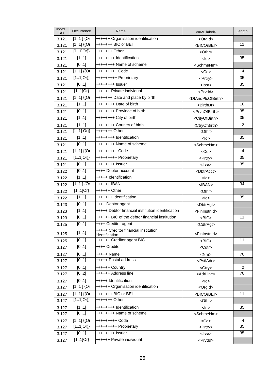| Index<br><b>ISO</b> | Occurrence             | Name                                                   | <xml label=""></xml>                | Length         |
|---------------------|------------------------|--------------------------------------------------------|-------------------------------------|----------------|
| 3.121               | $[11]$ {Or             | ++++++ Organisation identification                     | <orgld></orgld>                     |                |
| 3.121               | $[11]$ {{Or            | +++++++ BIC or BEI                                     | <bicorbei></bicorbei>               | 11             |
| 3.121               | $[11]Or\}$             | +++++++ Other                                          | <othr></othr>                       |                |
| 3.121               | [11]                   | ++++++++ Identification                                | <ld></ld>                           | 35             |
| 3.121               | [01]                   | ++++++++ Name of scheme                                | <schmenm></schmenm>                 |                |
| 3.121               | $1.1$ ] {{Or           | +++++++++ Code                                         | $<$ Cd $>$                          | $\overline{4}$ |
| 3.121               | $\overline{[11]}$ Or}} | <b>H+++++++++</b> Proprietary                          | <prtry></prtry>                     | 35             |
| 3.121               | [01]                   | ++++++++ Issuer                                        | $<$ Issr $>$                        | 35             |
| 3.121               | $[11]$ Or}             | ++++++ Private individual                              | <prvtid></prvtid>                   |                |
| 3.121               | $[11]$ {{Or            | +++++++ Date and place by birth                        | <dtandplcofbirth></dtandplcofbirth> |                |
| 3.121               | [11]                   | $+$ ++++++++ Date of birth                             | <birthdt></birthdt>                 | 10             |
| 3.121               | [01]                   | ++++++++ Province of birth                             | <prvcofbirth></prvcofbirth>         | 35             |
| 3.121               | [11]                   | ++++++++ City of birth                                 | <cityofbirth></cityofbirth>         | 35             |
| 3.121               | [11]                   | ++++++++ Country of birth                              | <ctryofbirth></ctryofbirth>         | 2              |
| 3.121               | $[11]$ Or}}            | +++++++ Other                                          | <othr></othr>                       |                |
| 3.121               | [11]                   | ++++++++ Identification                                | <ld></ld>                           | 35             |
| 3.121               | [01]                   | ++++++++ Name of scheme                                | <schmenm></schmenm>                 |                |
| 3.121               | $[11]$ {{Or            | +++++++++ Code                                         | $<$ Cd $>$                          | 4              |
| 3.121               | $[11]$ Or}}            | <b>H+++++++++</b> Proprietary                          | <prtry></prtry>                     | 35             |
| 3.121               | [01]                   | ++++++++ Issuer                                        | <lssr></lssr>                       | 35             |
| 3.122               | [01]                   | ++++ Debtor account                                    | <dbtracct></dbtracct>               |                |
| 3.122               | [11]                   | +++++ Identification                                   | $<$ ld>                             |                |
| 3.122               | $\overline{[11]}$ {Or  | 04+++++ IBAN                                           | $<$ IBAN $>$                        | 34             |
| 3.122               | $[11]$ Or}             | $+++++$ Other                                          | <othr></othr>                       |                |
| 3.122               | [11]                   | +++++++ Identification                                 | <ld></ld>                           | 35             |
| 3.123               | [01]                   | ++++ Debtor agent                                      | <dbtragt></dbtragt>                 |                |
| 3.123               | [11]                   | +++++ Debtor financial institution identification      | <fininstnid></fininstnid>           |                |
| 3.123               | [01]                   | ++++++ BIC of the debtor financial institution         | $<$ BIC $>$                         | 11             |
| 3.125               | [01]                   | ++++ Creditor agent                                    | <cdtragt></cdtragt>                 |                |
| 3.125               | [11]                   | +++++ Creditor financial institution<br>identification | <fininstnid></fininstnid>           |                |
| 3.125               | [01]                   | ++++++ Creditor agent BIC                              | $<$ BIC $>$                         | 11             |
| 3.127               | [01]                   | ++++ Creditor                                          | <cdtr></cdtr>                       |                |
| 3.127               | [01]                   | $+++++$ Name                                           | $<$ Nm $>$                          | 70             |
| 3.127               | [01]                   | +++++ Postal address                                   | <pstladr></pstladr>                 |                |
| 3.127               | [01]                   | ++++++ Country                                         | <ctry></ctry>                       | $\overline{2}$ |
| 3.127               | [02]                   | ++++++ Address line                                    | <adrline></adrline>                 | 70             |
| 3.127               | [01]                   | +++++ Identification                                   | $<$ ld $>$                          |                |
| 3.127               | $[11]$ {Or             | ++++++ Organisation identification                     | <orgld></orgld>                     |                |
| 3.127               | $[11]$ {{Or            | +++++++ BIC or BEI                                     | <bicorbei></bicorbei>               | 11             |
| 3.127               | $[11]Or\}$             | +++++++ Other                                          | <othr></othr>                       |                |
| 3.127               | [11]                   | ++++++++ Identification                                | $<$ ld $>$                          | 35             |
| 3.127               | [01]                   | ++++++++ Name of scheme                                | <schmenm></schmenm>                 |                |
| 3.127               | $[11]$ {{Or            | +++++++++ Code                                         | $<$ Cd $>$                          | 4              |
| 3.127               | $[11]Or\}$             | +++++++++ Proprietary                                  | <prtry></prtry>                     | 35             |
| 3.127               | [01]                   | ++++++++ Issuer                                        | <lssr></lssr>                       | 35             |
| 3.127               | $[11]$ Or}             | ++++++ Private individual                              | <prvtld></prvtld>                   |                |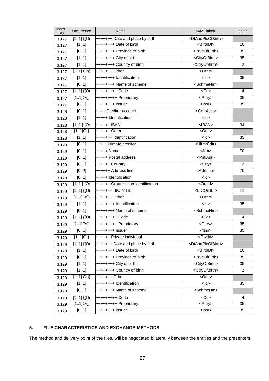| Index<br><b>ISO</b> | Occurrence             | Name                                                   | <xml label=""></xml>                | Length         |
|---------------------|------------------------|--------------------------------------------------------|-------------------------------------|----------------|
| 3.127               | $[11]$ {{Or            | +++++++ Date and place by birth                        | <dtandplcofbirth></dtandplcofbirth> |                |
| 3.127               | [11]                   | ++++++++ Date of birth                                 | <birthdt></birthdt>                 | 10             |
| 3.127               | [01]                   | ++++++++ Province of birth                             | <prvcofbirth></prvcofbirth>         | 35             |
| 3.127               | [11]                   | ++++++++ City of birth                                 | <cityofbirth></cityofbirth>         | 35             |
| 3.127               | [11]                   | ++++++++ Country of birth                              | <ctryofbirth></ctryofbirth>         | $\overline{2}$ |
| 3.127               | $[11]$ Or}}            | $++***+O$                                              |                                     |                |
| 3.127               | [11]                   | ++++++++ Identification                                | $<$ ld $>$                          | 35             |
| 3.127               | [01]                   | <b>++++++++ Name of scheme</b>                         | <schmenm></schmenm>                 |                |
| 3.127               | $[11]$ {{Or            | +++++++++ Code                                         | $<$ Cd $>$                          | 4              |
| 3.127               | $[11]Or\}$             | +++++++++ Proprietary                                  | <prtry></prtry>                     | 35             |
| 3.127               | [01]                   | ++++++++ Issuer                                        | $\overline{\text{<}}$               | 35             |
| 3.128               | [01]                   | ++++ Creditor account                                  | <cdtracct></cdtracct>               |                |
| 3.128               | $\overline{[11]}$      | +++++ Identification                                   | $\frac{1}{2}$                       |                |
| 3.128               | $[11]$ {Or             | $++++++$ IBAN                                          | $<$ IBAN $>$                        | 34             |
| 3.128               | $[11]$ Or}             | $+++++$ Other                                          | <othr></othr>                       |                |
| 3.128               | $\overline{[11]}$      | +++++++ Identification                                 | $<$ ld $>$                          | 35             |
| 3.129               | [01]                   | ++++ Ultimate creditor                                 | <ultmtcdtr></ultmtcdtr>             |                |
| 3.129               | [01]                   | +++++ Name                                             | $<$ Nm $>$                          | 70             |
| 3.129               | [01]                   | +++++ Postal address                                   | <pstladr></pstladr>                 |                |
| 3.129               | [01]                   | ++++++ Country                                         | <ctry></ctry>                       | $\overline{2}$ |
| 3.129               | [02]                   | ++++++ Address line                                    | <adrline></adrline>                 | 70             |
| 3.129               | [01]                   | +++++ Identification                                   | $<$ ld>                             |                |
| 3.129               | $[11]$ {Or             | ++++++ Organisation identification                     | <orgld></orgld>                     |                |
| 3.129               | $\overline{[11]}$ {{Or | +++++++ BIC or BEI                                     | <bicorbei></bicorbei>               | 11             |
| 3.129               | $[11]Or\}$             | +++++++ Other<br><othr></othr>                         |                                     |                |
| 3.129               | [11]                   | ++++++++ Identification<br>$<$ ld $>$                  |                                     | 35             |
| 3.129               | [01]                   | <schmenm><br/><b>++++++++ Name of scheme</b></schmenm> |                                     |                |
| 3.129               | $[11]$ {{Or            | +++++++++ Code                                         | $<$ Cd $>$                          | $\overline{4}$ |
| 3.129               | $[11]Or\}$             | +++++++++ Proprietary                                  | <prtry></prtry>                     | 35             |
| 3.129               | [01]                   | $+$ +++++++ Issuer                                     | <lssr></lssr>                       | 35             |
| 3.129               | $[11]$ Or}             | ++++++ Private individual                              | <prvtld></prvtld>                   |                |
| 3.129               | $[11]$ {{Or            | +++++++ Date and place by birth                        | <dtandplcofbirth></dtandplcofbirth> |                |
| 3.129               | [11]                   | ++++++++ Date of birth                                 | <birthdt></birthdt>                 | 10             |
| 3.129               | [01]                   | ++++++++ Province of birth                             | <prvcofbirth></prvcofbirth>         | 35             |
| 3.129               | $\overline{[11]}$      | $+++++++City$ of birth                                 | <cityofbirth></cityofbirth>         | 35             |
| 3.129               | [11]                   | ++++++++ Country of birth                              | <ctryofbirth></ctryofbirth>         | 2              |
| 3.129               | $[11]$ Or}}            | $<$ Othr><br>$++***+O$ ther                            |                                     |                |
| 3.129               | [11]                   | $\leq$<br>++++++++ Identification                      |                                     | 35             |
| 3.129               | [01]                   | ++++++++ Name of scheme                                | <schmenm></schmenm>                 |                |
| 3.129               | $[11]$ {{Or            | +++++++++ Code                                         | $<$ Cd $>$                          | $\overline{4}$ |
| 3.129               | $[11]Or\}$             | +++++++++ Proprietary                                  | <prtry></prtry>                     | 35             |
| 3.129               | [01]                   | <lssr><br/>++++++++ Issuer</lssr>                      |                                     | 35             |

## **5. FILE CHARACTERISTICS AND EXCHANGE METHODS**

The method and delivery point of the files, will be negotiated bilaterally between the entities and the presenters.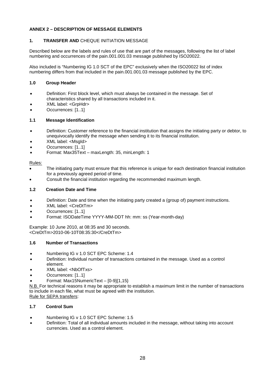## **ANNEX 2 – DESCRIPTION OF MESSAGE ELEMENTS**

## **1. TRANSFER AND** CHEQUE INITIATION MESSAGE

Described below are the labels and rules of use that are part of the messages, following the list of label numbering and occurrences of the pain.001.001.03 message published by ISO20022.

Also included is "Numbering IG 1.0 SCT of the EPC" exclusively when the ISO20022 list of index numbering differs from that included in the pain.001.001.03 message published by the EPC.

## **1.0 Group Header**

- Definition: First block level, which must always be contained in the message. Set of characteristics shared by all transactions included in it.
- XML label: <GrpHdr>
- Occurrences: [1..1]

## **1.1 Message Identification**

- Definition: Customer reference to the financial institution that assigns the initiating party or debtor, to unequivocally identify the message when sending it to its financial institution.
- XML label: <MsgId>
- Occurrences: [1..1]
- Format: Max35Text maxLength: 35, minLength: 1

#### Rules:

- The initiating party must ensure that this reference is unique for each destination financial institution for a previously agreed period of time.
- Consult the financial institution regarding the recommended maximum length.

## **1.2 Creation Date and Time**

- Definition: Date and time when the initiating party created a (group of) payment instructions.
- XML label: <CreDtTm>
- Occurrences: [1..1]
- Format: ISODateTime YYYY-MM-DDT hh: mm: ss (Year-month-day)

#### Example: 10 June 2010, at 08:35 and 30 seconds. <CreDtTm>2010-06-10T08:35:30</CreDtTm>

#### **1.6 Number of Transactions**

- Numbering IG v 1.0 SCT EPC Scheme: 1.4
- Definition: Individual number of transactions contained in the message. Used as a control element.
- XML label: <NbOfTxs>
- Occurrences: [1..1]
- Format: Max15NumericText [0-9]{1,15}

N.B. For technical reasons it may be appropriate to establish a maximum limit in the number of transactions to include in each file, what must be agreed with the institution.

Rule for SEPA transfers:

## **1.7 Control Sum**

- Numbering IG v 1.0 SCT EPC Scheme: 1.5
- Definition: Total of all individual amounts included in the message, without taking into account currencies. Used as a control element.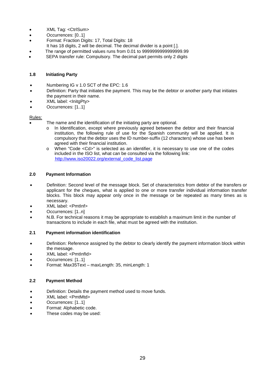- XML Tag: <CtrlSum>
- Occurrences: [0..1]
- Format: Fraction Digits: 17, Total Digits: 18
- It has 18 digits, 2 will be decimal. The decimal divider is a point [.].
- The range of permitted values runs from 0.01 to 9999999999999999.99
- SEPA transfer rule: Compulsory. The decimal part permits only 2 digits

#### **1.8 Initiating Party**

- Numbering IG v 1.0 SCT of the EPC: 1.6
- Definition: Party that initiates the payment. This may be the debtor or another party that initiates the payment in their name.
- XML label: <InitgPty>
- Occurrences: [1..1]

#### Rules:

- The name and the identification of the initiating party are optional.
	- In Identification, except where previously agreed between the debtor and their financial institution, the following rule of use for the Spanish community will be applied. It is compulsory that the debtor uses the ID number-suffix (12 characters) whose use has been agreed with their financial institution.
	- o When "Code <Cd>" is selected as an identifier, it is necessary to use one of the codes included in the ISO list, what can be consulted via the following link: http://www.iso20022.org/external\_code\_list.page

#### **2.0 Payment Information**

- Definition: Second level of the message block. Set of characteristics from debtor of the transfers or applicant for the cheques, what is applied to one or more transfer individual information transfer blocks. This block may appear only once in the message or be repeated as many times as is necessary.
- XML label: <PmtInf>
- Occurrences: [1..n]
- N.B. For technical reasons it may be appropriate to establish a maximum limit in the number of transactions to include in each file, what must be agreed with the institution.

#### **2.1 Payment information identification**

- Definition: Reference assigned by the debtor to clearly identify the payment information block within the message.
- XML label: <PmtInfId>
- Occurrences: [1..1]
- Format: Max35Text maxLength: 35, minLength: 1

#### **2.2 Payment Method**

- Definition: Details the payment method used to move funds.
- XML label: <PmtMtd>
- Occurrences: [1..1]
- Format: Alphabetic code.
- These codes may be used: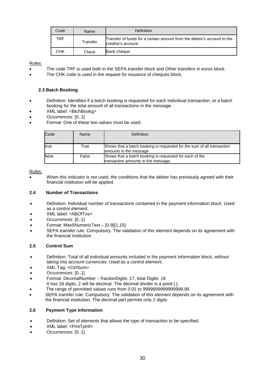| Code | Name     | Definition                                                                                     |
|------|----------|------------------------------------------------------------------------------------------------|
| TRF  | Transfer | Transfer of funds for a certain amount from the debtor's account to the<br>creditor's account. |
| снк  | Check    | Bank cheque.                                                                                   |

- The code TRF is used both in the SEPA transfer block and Other transfers in euros block.
- The CHK code is used in the request for issuance of cheques block.

#### **2.3 Batch Booking**

- Definition: Identifies if a batch booking is requested for each individual transaction, or a batch booking for the total amount of all transactions in the message.
- XML label: <BtchBookg>
- Occurrences: [0..1]
- Format: One of these two values must be used:

| Code  | Name  | Definition                                                                                        |
|-------|-------|---------------------------------------------------------------------------------------------------|
| true  | True  | Shows that a batch booking is requested for the sum of all transaction<br>amounts in the message. |
| false | False | Shows that a batch booking is requested for each of the<br>transaction amounts in the message.    |

#### Rules:

 When this indicator is not used, the conditions that the debtor has previously agreed with their financial institution will be applied.

#### **2.4 Number of Transactions**

- Definition: Individual number of transactions contained in the payment information block. Used as a control element.
- XML label: <NbOfTxs>
- Occurrences: [0..1]
- Format: Max5NumericText [0-9]{1,15}
- SEPA transfer rule: Compulsory. The validation of this element depends on its agreement with the financial institution

#### **2.5 Control Sum**

- Definition: Total of all individual amounts included in the payment information block, without taking into account currencies. Used as a control element.
- XML Tag: <CtrlSum>
- Occurrences: [0..1]
- Format: DecimalNumber fractionDigits: 17, total Digits: 18
- It has 18 digits, 2 will be decimal. The decimal divider is a point [.].
- The range of permitted values runs from 0.01 to 9999999999999999.99
- SEPA transfer rule: Compulsory. The validation of this element depends on its agreement with the financial institution. The decimal part permits only 2 digits

#### **2.6 Payment Type Information**

- Definition: Set of elements that allows the type of transaction to be specified.
- XML label: <PmtTpInf>
- Occurrences: [0..1]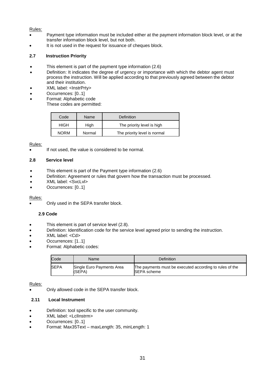- Payment type information must be included either at the payment information block level, or at the transfer information block level, but not both.
- It is not used in the request for issuance of cheques block.

## **2.7 Instruction Priority**

- This element is part of the payment type information (2.6)
- Definition: It indicates the degree of urgency or importance with which the debtor agent must process the instruction. Will be applied according to that previously agreed between the debtor and their institution.
- XML label: <InstrPrty>
- Occurrences: [0..1]
- Format: Alphabetic code
- These codes are permitted:

| Code        | Name   | Definition                   |
|-------------|--------|------------------------------|
| HIGH        | High   | The priority level is high   |
| <b>NORM</b> | Normal | The priority level is normal |

Rules:

If not used, the value is considered to be normal.

#### **2.8 Service level**

- This element is part of the Payment type information (2.6)
- Definition: Agreement or rules that govern how the transaction must be processed.
- XML label: <SvcLvl>
- Occurrences: [0..1]

#### Rules:

Only used in the SEPA transfer block.

## **2.9 Code**

- This element is part of service level (2.8).
- **•** Definition: Identification code for the service level agreed prior to sending the instruction.
- XML label: <Cd>
- Occurrences: [1..1]
- Format: Alphabetic codes:

| Code | Name                                | Definition                                                                    |
|------|-------------------------------------|-------------------------------------------------------------------------------|
| SEPA | Single Euro Payments Area<br>(SEPA) | The payments must be executed according to rules of the<br><b>SEPA</b> scheme |

Rules:

Only allowed code in the SEPA transfer block.

#### **2.11 Local Instrument**

- Definition: tool specific to the user community.
- XML label: <LclInstrm>
- Occurrences: [0..1]
- Format: Max35Text maxLength: 35, minLength: 1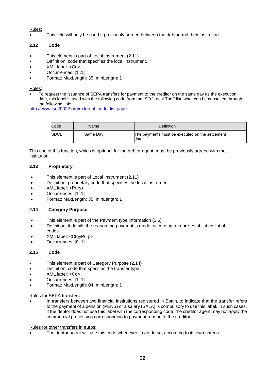This field will only be used if previously agreed between the debtor and their institution.

## **2.12 Code**

- This element is part of Local Instrument (2.11)
- Definition: code that specifies the local instrument.
- XML label: <Cd>
- Occurrences: [1..1]
- Format: MaxLength: 35, minLength: 1

#### Rules:

 To request the issuance of SEPA transfers for payment to the creditor on the same day as the execution date, this label is used with the following code from the ISO "Local Tool" list, what can be consulted through the following link:

http://www.iso20022.org/external\_code\_list.page

| Code        | Name     | Definition                                               |
|-------------|----------|----------------------------------------------------------|
| <b>SDCL</b> | Same Day | The payments must be executed on the settlement<br>ldate |

This use of this function, which is optional for the debtor agent, must be previously agreed with that institution

## **2.13 Proprietary**

- This element is part of Local Instrument (2.11)
- Definition: proprietary code that specifies the local instrument.
- XML label: <Prtry>
- Occurrences: [1..1]
- Format: MaxLength: 35, minLength: 1

#### **2.14 Category Purpose**

- This element is part of the Payment type information (2.6)
- Definition: it details the reason the payment is made, according to a pre-established list of codes.
- XML label: <CtgyPurp>
- Occurrences: [0..1]

#### **2.15 Code**

- This element is part of Category Purpose (2.14)
- Definition: code that specifies the transfer type.
- XML label: <Cd>
- Occurrences: [1..1]
- Format: MaxLength: 04, minLength: 1

#### Rules for SEPA transfers:

 In transfers between two financial institutions registered in Spain, to indicate that the transfer refers to the payment of a pension (PENS) or a salary (SALA) is compulsory to use this label. In such cases, if the debtor does not use this label with the corresponding code, the creditor agent may not apply the commercial processing corresponding to payment reason to the creditor.

Rules for other transfers in euros:

The debtor agent will use this code whenever it can do so, according to its own criteria.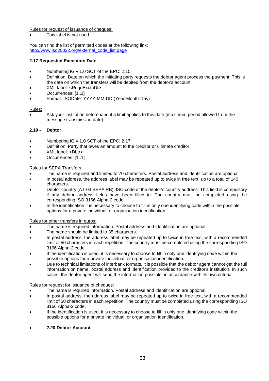Rules for request of issuance of cheques:

This label is not used.

You can find the list of permitted codes at the following link: http://www.iso20022.org/external\_code\_list.page

## **2.17 Requested Execution Date**

- Numbering IG v 1.0 SCT of the EPC: 2.15
- Definition: Date on which the initiating party requests the debtor agent process the payment. This is the date on which the transfers will be debited from the debtor's account.
- XML label: <ReqdExctnDt>
- Occurrences: [1..1]
- Format: ISODate: YYYY-MM-DD (Year-Month-Day)

#### Rules:

 Ask your institution beforehand if a limit applies to this date (maximum period allowed from the message transmission date).

#### **2.19 - Debtor**

- Numbering IG v 1.0 SCT of the EPC: 2.17
- Definition: Party that owes an amount to the creditor or ultimate creditor.
- XML label: <Dbtr>
- Occurrences: [1..1]

## Rules for SEPA Transfers:

- The name is required and limited to 70 characters. Postal address and identification are optional.
- In postal address, the address label may be repeated up to twice in free text, up to a total of 140 characters.
- Debtor country (AT-03 SEPA RB): ISO code of the debtor's country address. This field is compulsory if any debtor address fields have been filled in. The country must be completed using the corresponding ISO 3166 Alpha-2 code.
- In the identification it is necessary to choose to fill in only one identifying code within the possible options for a private individual, or organisation identification.

#### Rules for other transfers in euros:

- The name is required information. Postal address and identification are optional.
- The name should be limited to 35 characters.
- In postal address, the address label may be repeated up to twice in free text, with a recommended limit of 50 characters in each repetition. The country must be completed using the corresponding ISO 3166 Alpha-2 code.
- If the identification is used, it is necessary to choose to fill in only one identifying code within the possible options for a private individual, or organisation identification.
- Due to technical limitations of interbank formats, it is possible that the debtor agent cannot get the full information on name, postal address and identification provided to the creditor's institution. In such cases, the debtor agent will send the information possible, in accordance with its own criteria.

#### Rules for request for issuance of cheques:

- The name is required information. Postal address and identification are optional.
- In postal address, the address label may be repeated up to twice in free text, with a recommended limit of 50 characters in each repetition. The country must be completed using the corresponding ISO 3166 Alpha-2 code.
- If the identification is used, it is necessary to choose to fill in only one identifying code within the possible options for a private individual, or organisation identification.
- **2.20 Debtor Account –**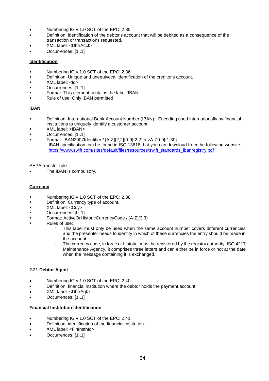- Numbering IG v 1.0 SCT of the EPC: 2.35
- Definition: identification of the debtor's account that will be debited as a consequence of the transaction or transactions requested.
- XML label: <DbtrAcct>
- Occurrences: [1..1]

## **Identification**

- Numbering IG v 1.0 SCT of the EPC: 2.36
- Definition: Unique and unequivocal identification of the creditor's account.
- XML label: <Id>
- Occurrences: [1..1]
- Format: This element contains the label 'IBAN'.
- Rule of use: Only IBAN permitted.

## **IBAN**

- Definition: International Bank Account Number (IBAN) Encoding used internationally by financial institutions to uniquely identify a customer account.
- XML label: <IBAN>
- Occurrences: [1..1]
- Format: IBAN2007Identifier / [A-Z]{2,2}[0-9]{2,2}[a-zA-Z0-9]{1,30} IBAN specification can be found in ISO 13616 that you can download from the following website: https://www.swift.com/sites/default/files/resources/swift\_standards\_ibanregistry.pdf

#### SEPA transfer rule:

The IBAN is compulsory.

## **Currency**

- Numbering IG v 1.0 SCT of the EPC: 2.38
- Definition: Currency type of account.
- XML label: <Ccy>
- Occurrences: [0..1]
- Format: ActiveOrHistoricCurrencyCode / [A-Z]{3,3}
- Rules of use:
	- □ This label must only be used when the same account number covers different currencies and the presenter needs to identify in which of these currencies the entry should be made in the account.
	- □ The currency code, in force or historic, must be registered by the registry authority, ISO 4217 Maintenance Agency, it comprises three letters and can either be in force or not at the date when the message containing it is exchanged.

#### **2.21 Debtor Agent**

- Numbering IG v 1.0 SCT of the EPC: 2.40
- Definition: financial institution where the debtor holds the payment account.
- XML label: <DbtrAgt>
- Occurrences: [1..1]

#### **Financial Institution Identification**

- Numbering IG v 1.0 SCT of the EPC: 2.41
- Definition: identification of the financial institution.
- XML label: <FinInstnId>
- Occurrences: [1..1]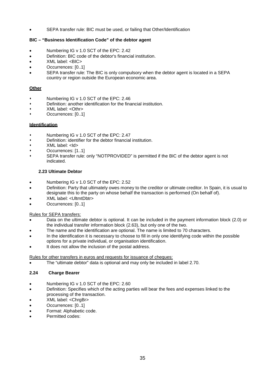SEPA transfer rule: BIC must be used, or failing that Other/Identification

## **BIC – "Business Identification Code" of the debtor agent**

- Numbering IG v 1.0 SCT of the EPC: 2.42
- Definition: BIC code of the debtor's financial institution.
- XML label: <BIC>
- Occurrences: [0..1]
- SEPA transfer rule: The BIC is only compulsory when the debtor agent is located in a SEPA country or region outside the European economic area.

## **Other**

- Numbering IG v 1.0 SCT of the EPC: 2.46
- Definition: another identification for the financial institution.
- XML label: <Othr>
- Occurrences: [0..1]

## **Identification**

- Numbering IG v 1.0 SCT of the EPC: 2.47
- Definition: identifier for the debtor financial institution.
- XML label: <Id>
- Occurrences: [1..1]
- SEPA transfer rule: only "NOTPROVIDED" is permitted if the BIC of the debtor agent is not indicated.

## **2.23 Ultimate Debtor**

- Numbering IG v 1.0 SCT of the EPC: 2.52
- Definition: Party that ultimately owes money to the creditor or ultimate creditor. In Spain, it is usual to designate this to the party on whose behalf the transaction is performed (On behalf of).
- XML label: <UltmtDbtr>
- Occurrences: [0..1]

#### Rules for SEPA transfers:

- Data on the ultimate debtor is optional. It can be included in the payment information block (2.0) or the individual transfer information block (2.63), but only one of the two.
- The name and the identification are optional. The name is limited to 70 characters.
- In the identification it is necessary to choose to fill in only one identifying code within the possible options for a private individual, or organisation identification.
- It does not allow the inclusion of the postal address.

Rules for other transfers in euros and requests for issuance of cheques:

The "ultimate debtor" data is optional and may only be included in label 2.70.

## **2.24 Charge Bearer**

- Numbering IG v 1.0 SCT of the EPC: 2.60
- Definition: Specifies which of the acting parties will bear the fees and expenses linked to the processing of the transaction.
- XML label: <ChraBr>
- Occurrences: [0..1]
- Format: Alphabetic code.
- Permitted codes: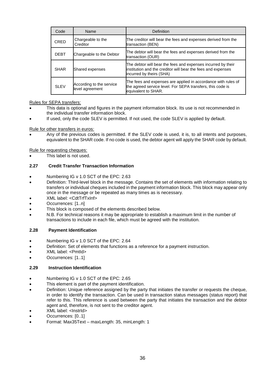| Code        | Name                                        | Definition                                                                                                                                               |
|-------------|---------------------------------------------|----------------------------------------------------------------------------------------------------------------------------------------------------------|
| CRED        | Chargeable to the<br>Creditor               | The creditor will bear the fees and expenses derived from the<br>transaction (BEN)                                                                       |
| <b>DEBT</b> | Chargeable to the Debtor                    | The debtor will bear the fees and expenses derived from the<br>transaction (OUR)                                                                         |
| <b>SHAR</b> | Shared expenses                             | The debtor will bear the fees and expenses incurred by their<br>institution and the creditor will bear the fees and expenses<br>incurred by theirs (SHA) |
| <b>SLEV</b> | According to the service<br>level agreement | The fees and expenses are applied in accordance with rules of<br>the agreed service level. For SEPA transfers, this code is<br>equivalent to SHAR.       |

Rules for SEPA transfers:

- This data is optional and figures in the payment information block. Its use is not recommended in the individual transfer information block.
- If used, only the code SLEV is permitted. If not used, the code SLEV is applied by default.

Rule for other transfers in euros:

 Any of the previous codes is permitted. If the SLEV code is used, it is, to all intents and purposes, equivalent to the SHAR code. If no code is used, the debtor agent will apply the SHAR code by default.

Rule for requesting cheques:

This label is not used.

## **2.27 Credit Transfer Transaction Information**

- Numbering IG v 1.0 SCT of the EPC: 2.63
- Definition: Third-level block in the message. Contains the set of elements with information relating to transfers or individual cheques included in the payment information block. This block may appear only once in the message or be repeated as many times as is necessary.
- XML label: <CdtTrfTxInf>
- Occurrences: [1..n]
- This block is composed of the elements described below.
- N.B. For technical reasons it may be appropriate to establish a maximum limit in the number of transactions to include in each file, which must be agreed with the institution.

#### **2.28 Payment Identification**

- Numbering IG v 1.0 SCT of the EPC: 2.64
- Definition: Set of elements that functions as a reference for a payment instruction.
- XML label: <PmtId>
- Occurrences: [1..1]

#### **2.29 Instruction Identification**

- Numbering IG v 1.0 SCT of the EPC: 2.65
- This element is part of the payment identification.
- Definition: Unique reference assigned by the party that initiates the transfer or requests the cheque, in order to identify the transaction. Can be used in transaction status messages (status report) that refer to this. This reference is used between the party that initiates the transaction and the debtor agent and, therefore, is not sent to the creditor agent.
- XML label: <InstrId>
- Occurrences: [0..1]
- Format: Max35Text maxLength: 35, minLength: 1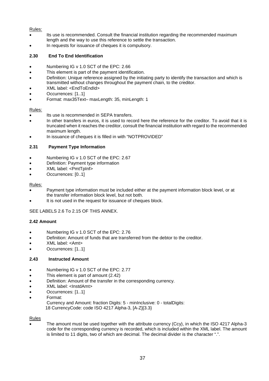- Its use is recommended. Consult the financial institution regarding the recommended maximum length and the way to use this reference to settle the transaction.
- In requests for issuance of cheques it is compulsory.

## **2.30 End To End Identification**

- Numbering IG v 1.0 SCT of the EPC: 2.66
- This element is part of the payment identification.
- Definition: Unique reference assigned by the initiating party to identify the transaction and which is transmitted without changes throughout the payment chain, to the creditor.
- XML label: <EndToEndId>
- Occurrences: [1..1]
- Format: max35Text– maxLength: 35, minLength: 1

#### Rules:

- $\bullet$  Its use is recommended in SEPA transfers.
- In other transfers in euros, it is used to record here the reference for the creditor. To avoid that it is truncated when it reaches the creditor, consult the financial institution with regard to the recommended maximum length.
- In issuance of cheques it is filled in with "NOTPROVIDED"

## **2.31 Payment Type Information**

- Numbering IG v 1.0 SCT of the EPC: 2.67
- Definition: Payment type information
- XML label: <PmtTpInf>
- Occurrences: [0..1]

#### Rules:

- Payment type information must be included either at the payment information block level, or at the transfer information block level, but not both.
- It is not used in the request for issuance of cheques block.

SEE LABELS 2.6 To 2.15 OF THIS ANNEX.

#### **2.42 Amount**

- Numbering IG v 1.0 SCT of the EPC: 2.76
- Definition: Amount of funds that are transferred from the debtor to the creditor.
- XML label: <Amt>
- Occurrences: [1..1]

#### **2.43 Instructed Amount**

- Numbering IG v 1.0 SCT of the EPC: 2.77
- This element is part of amount (2.42)
- Definition: Amount of the transfer in the corresponding currency.
- XML label: <InstdAmt>
- Occurrences: [1..1]
- Format:

Currency and Amount: fraction Digits: 5 - minInclusive: 0 - totalDigits: 18 CurrencyCode: code ISO 4217 Alpha-3, [A-Z]{3.3}

#### Rules

 The amount must be used together with the attribute currency (Ccy), in which the ISO 4217 Alpha-3 code for the corresponding currency is recorded, which is included within the XML label. The amount is limited to 11 digits, two of which are decimal. The decimal divider is the character ".".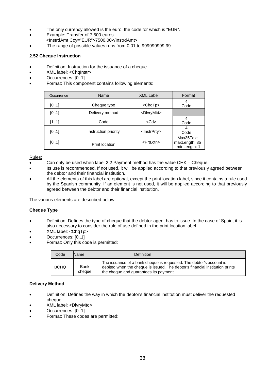- The only currency allowed is the euro, the code for which is "EUR".
- Example: Transfer of 7,500 euros.
- <InstrdAmt Ccy="EUR">7500.00</InstrdAmt>
- The range of possible values runs from 0.01 to 999999999.99

## **2.52 Cheque Instruction**

- Definition: Instruction for the issuance of a cheque.
- XML label: < Chainstr>
- Occurrences: [0..1]
- Format: This component contains following elements:

| Occurrence | Name                 | <b>XML Label</b>        | Format                                     |
|------------|----------------------|-------------------------|--------------------------------------------|
| [01]       | Cheque type          | <chqtp></chqtp>         | 4<br>Code                                  |
| [01]       | Delivery method      | <dlvrymtd></dlvrymtd>   |                                            |
| [11]       | Code                 | <cd></cd>               | Code                                       |
| [01]       | Instruction priority | <lnstrprty></lnstrprty> | 4<br>Code                                  |
| [01]       | Print location       | <prtlctn></prtlctn>     | Max35Text<br>maxLength: 35<br>minLength: 1 |

#### Rules:

- Can only be used when label 2.2 Payment method has the value CHK Cheque.
- Its use is recommended. If not used, it will be applied according to that previously agreed between the debtor and their financial institution.
- All the elements of this label are optional, except the print location label, since it contains a rule used by the Spanish community. If an element is not used, it will be applied according to that previously agreed between the debtor and their financial institution.

The various elements are described below:

#### **Cheque Type**

- Definition: Defines the type of cheque that the debtor agent has to issue. In the case of Spain, it is also necessary to consider the rule of use defined in the print location label.
- XML label: <ChqTp>
- Occurrences: [0..1]
- Format: Only this code is permitted:

| Code        | <b>Name</b>    | Definition                                                                                                                                                                                    |
|-------------|----------------|-----------------------------------------------------------------------------------------------------------------------------------------------------------------------------------------------|
| <b>BCHQ</b> | Bank<br>cheaue | The issuance of a bank cheque is requested. The debtor's account is<br>debited when the cheque is issued. The debtor's financial institution prints<br>the cheque and quarantees its payment. |

#### **Delivery Method**

- Definition: Defines the way in which the debtor's financial institution must deliver the requested cheque.
- XML label: <DlvryMtd>
- Occurrences: [0..1]
- Format: These codes are permitted: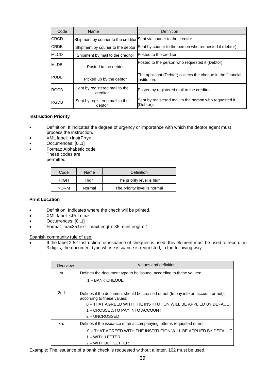| Code        | Name                                                                  | Definition                                                                  |
|-------------|-----------------------------------------------------------------------|-----------------------------------------------------------------------------|
| <b>CRCD</b> | Shipment by courier to the creditor Sent via courier to the creditor. |                                                                             |
| <b>CRDB</b> | Shipment by courier to the debtor                                     | Sent by courier to the person who requested it (debtor).                    |
| <b>MLCD</b> | Shipment by mail to the creditor                                      | Posted to the creditor.                                                     |
| MLDB        | Posted to the debtor                                                  | Posted to the person who requested it (Debtor).                             |
| <b>PUDB</b> | Picked up by the debtor                                               | The applicant (Debtor) collects the cheque in the financial<br>institution. |
| RGCD        | Sent by registered mail to the<br>creditor                            | Posted by registered mail to the creditor.                                  |
| RGDB        | Sent by registered mail to the<br>debtor                              | Sent by registered mail to the person who requested it<br>(Debtor).         |

#### **Instruction Priority**

- Definition: It indicates the degree of urgency or importance with which the debtor agent must process the instruction.
- XML label: <InstrPrty>
- Occurrences: [0..1]
- Format: Alphabetic code These codes are permitted:

| Code        | Name   | Definition                   |
|-------------|--------|------------------------------|
| <b>HIGH</b> | High   | The priority level is high   |
| <b>NORM</b> | Normal | The priority level is normal |

#### **Print Location**

- Definition: Indicates where the check will be printed.
- XML label: <PrtLctn>
- Occurrences: [0..1]
- Format: max35Text– maxLength: 35, minLength: 1

Spanish community rule of use:

 If the label 2.52 Instruction for issuance of cheques is used, this element must be used to record, in 3 digits, the document type whose issuance is requested, in the following way:

| Overview | Values and definition                                                                                                                                                                                                                  |
|----------|----------------------------------------------------------------------------------------------------------------------------------------------------------------------------------------------------------------------------------------|
| 1st      | Defines the document type to be issued, according to these values:<br>1 – BANK CHEQUE                                                                                                                                                  |
| 2nd      | Defines if the document should be crossed or not (to pay into an account or not),<br>according to these values:<br>0 - THAT AGREED WITH THE INSTITUTION WILL BE APPLIED BY DEFAULT<br>1 – CROSSED/TO PAY INTO ACCOUNT<br>2 - UNCROSSED |
| 3rd      | Defines if the issuance of an accompanying letter is requested or not:<br>0 – THAT AGREED WITH THE INSTITUTION WILL BE APPLIED BY DEFAULT<br>1 – WITH LETTER<br>2 - WITHOUT LETTER                                                     |

Example: The issuance of a bank check is requested without a letter. 102 must be used.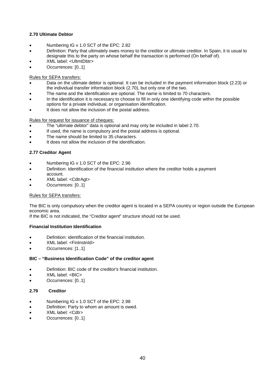## **2.70 Ultimate Debtor**

- Numbering IG v 1.0 SCT of the EPC: 2.82
- Definition: Party that ultimately owes money to the creditor or ultimate creditor. In Spain, it is usual to designate this to the party on whose behalf the transaction is performed (On behalf of).
- XML label: <UltmtDbtr>
- Occurrences: [0..1]

## Rules for SEPA transfers:

- Data on the ultimate debtor is optional. It can be included in the payment information block (2.23) or the individual transfer information block (2.70), but only one of the two.
- The name and the identification are optional. The name is limited to 70 characters.
- In the identification it is necessary to choose to fill in only one identifying code within the possible options for a private individual, or organisation identification.
- It does not allow the inclusion of the postal address.

Rules for request for issuance of cheques:

- The "ultimate debtor" data is optional and may only be included in label 2.70.
- If used, the name is compulsory and the postal address is optional.
- The name should be limited to 35 characters.
- It does not allow the inclusion of the identification.

## **2.77 Creditor Agent**

- Numbering IG v 1.0 SCT of the EPC: 2.96
- Definition: Identification of the financial institution where the creditor holds a payment account.
- XML label: <CdtrAgt>
- Occurrences: [0..1]

#### Rules for SEPA transfers:

The BIC is only compulsory when the creditor agent is located in a SEPA country or region outside the European economic area.

If the BIC is not indicated, the "Creditor agent" structure should not be used.

#### **Financial Institution Identification**

- Definition: identification of the financial institution.
- XML label: <FinInstnId>
- Occurrences: [1..1]

#### **BIC – "Business Identification Code" of the creditor agent**

- Definition: BIC code of the creditor's financial institution.
- XML label: <BIC>
- Occurrences: [0..1]

#### **2.79 Creditor**

- Numbering IG v 1.0 SCT of the EPC: 2.98
- Definition: Party to whom an amount is owed.
- XML label: <Cdtr>
- Occurrences: [0..1]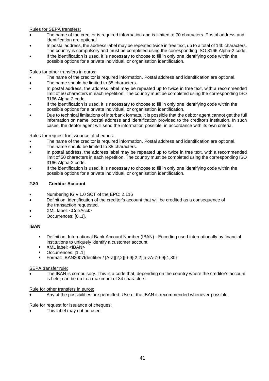Rules for SEPA transfers:

- The name of the creditor is required information and is limited to 70 characters. Postal address and identification are optional.
- In postal address, the address label may be repeated twice in free text, up to a total of 140 characters. The country is compulsory and must be completed using the corresponding ISO 3166 Alpha-2 code.
- If the identification is used, it is necessary to choose to fill in only one identifying code within the possible options for a private individual, or organisation identification.

## Rules for other transfers in euros:

- The name of the creditor is required information. Postal address and identification are optional.
- The name should be limited to 35 characters.
- In postal address, the address label may be repeated up to twice in free text, with a recommended limit of 50 characters in each repetition. The country must be completed using the corresponding ISO 3166 Alpha-2 code.
- If the identification is used, it is necessary to choose to fill in only one identifying code within the possible options for a private individual, or organisation identification.
- Due to technical limitations of interbank formats, it is possible that the debtor agent cannot get the full information on name, postal address and identification provided to the creditor's institution. In such cases, the debtor agent will send the information possible, in accordance with its own criteria.

## Rules for request for issuance of cheques:

- The name of the creditor is required information. Postal address and identification are optional.
- The name should be limited to 35 characters.
- In postal address, the address label may be repeated up to twice in free text, with a recommended limit of 50 characters in each repetition. The country must be completed using the corresponding ISO 3166 Alpha-2 code.
- If the identification is used, it is necessary to choose to fill in only one identifying code within the possible options for a private individual, or organisation identification.

## **2.80 Creditor Account**

- Numbering IG v 1.0 SCT of the EPC: 2.116
- Definition: identification of the creditor's account that will be credited as a consequence of the transaction requested.
- XML label: <CdtrAcct>
- Occurrences: [0..1].

#### **IBAN**

- Definition: International Bank Account Number (IBAN) Encoding used internationally by financial institutions to uniquely identify a customer account.
- XML label: <IBAN>
- Occurrences: [1..1]
- Format: IBAN2007Identifier / [A-Z]{2,2}[0-9]{2,2}[a-zA-Z0-9]{1,30}

#### SEPA transfer rule:

 The IBAN is compulsory. This is a code that, depending on the country where the creditor's account is held, can be up to a maximum of 34 characters.

#### Rule for other transfers in euros:

Any of the possibilities are permitted. Use of the IBAN is recommended whenever possible.

#### Rule for request for issuance of cheques:

This label may not be used.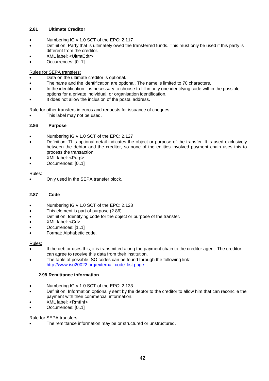## **2.81 Ultimate Creditor**

- Numbering IG v 1.0 SCT of the EPC: 2.117
- Definition: Party that is ultimately owed the transferred funds. This must only be used if this party is different from the creditor.
- XML label: <UltmtCdtr>
- Occurrences: [0..1]

## Rules for SEPA transfers:

- Data on the ultimate creditor is optional.
- The name and the identification are optional. The name is limited to 70 characters.
- In the identification it is necessary to choose to fill in only one identifying code within the possible options for a private individual, or organisation identification.
- It does not allow the inclusion of the postal address.

Rule for other transfers in euros and requests for issuance of cheques:

This label may not be used.

#### **2.86 Purpose**

- Numbering IG v 1.0 SCT of the EPC: 2.127
- Definition: This optional detail indicates the object or purpose of the transfer. It is used exclusively between the debtor and the creditor, so none of the entities involved payment chain uses this to process the transaction.
- XML label: <Purp>
- Occurrences: [0..1]

#### Rules:

Only used in the SEPA transfer block.

#### **2.87 Code**

- Numbering IG v 1.0 SCT of the EPC: 2.128
- This element is part of purpose (2.86).
- Definition: Identifying code for the object or purpose of the transfer.
- XML label: <Cd>
- Occurrences: [1..1]
- Format: Alphabetic code.

#### Rules:

- If the debtor uses this, it is transmitted along the payment chain to the creditor agent. The creditor can agree to receive this data from their institution.
- The table of possible ISO codes can be found through the following link: http://www.iso20022.org/external\_code\_list.page

#### **2.98 Remittance information**

- Numbering IG v 1.0 SCT of the EPC: 2.133
- Definition: Information optionally sent by the debtor to the creditor to allow him that can reconcile the payment with their commercial information.
- XML label: <RmtInf>
- Occurrences: [0..1]

#### Rule for SEPA transfers.

The remittance information may be or structured or unstructured.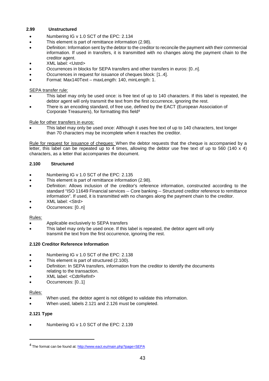## **2.99 Unstructured**

- Numbering IG v 1.0 SCT of the EPC: 2.134
- This element is part of remittance information (2.98).
- Definition: Information sent by the debtor to the creditor to reconcile the payment with their commercial information. If used in transfers, it is transmitted with no changes along the payment chain to the creditor agent.
- XML label: <Ustrd>
- Occurrences in blocks for SEPA transfers and other transfers in euros: [0..n].
- Occurrences in request for issuance of cheques block: [1..4].
- Format: Max140Text maxLength: 140, minLength: 1.

#### SEPA transfer rule:

- This label may only be used once: is free text of up to 140 characters. If this label is repeated, the debtor agent will only transmit the text from the first occurrence, ignoring the rest.
- There is an encoding standard, of free use, defined by the EACT (European Association of Corporate Treasurers), for formatting this field<sup>4</sup>

Rule for other transfers in euros:

 This label may only be used once: Although it uses free text of up to 140 characters, text longer than 70 characters may be incomplete when it reaches the creditor.

Rule for request for issuance of cheques: When the debtor requests that the cheque is accompanied by a letter, this label can be repeated up to 4 times, allowing the debtor use free text of up to 560 (140 x 4) characters, as a letter that accompanies the document.

#### **2.100 Structured**

- Numbering IG v 1.0 SCT of the EPC: 2.135
- This element is part of remittance information (2.98).
- Definition: Allows inclusion of the creditor's reference information, constructed according to the standard "ISO 11649 Financial services -- Core banking -- Structured creditor reference to remittance information". If used, it is transmitted with no changes along the payment chain to the creditor.
- XML label: <Strd>
- Occurrences: [0..n]

#### Rules:

- Applicable exclusively to SEPA transfers
- This label may only be used once. If this label is repeated, the debtor agent will only transmit the text from the first occurrence, ignoring the rest.

#### **2.120 Creditor Reference Information**

- Numbering IG v 1.0 SCT of the EPC: 2.138
- This element is part of structured (2.100).
- Definition: In SEPA transfers, information from the creditor to identify the documents relating to the transaction.
- XML label: <CdtrRefInf>
- Occurrences: [0..1]

#### Rules:

- When used, the debtor agent is not obliged to validate this information.
- When used, labels 2.121 and 2.126 must be completed.

## **2.121 Type**

Numbering IG v 1.0 SCT of the EPC: 2.139

<sup>&</sup>lt;sup>4</sup> The format can be found at: http://www.eact.eu/main.php?page=SEPA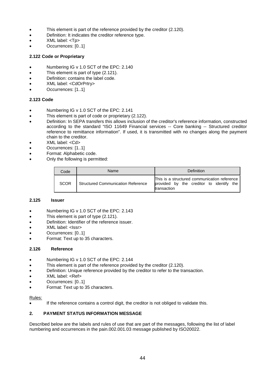- This element is part of the reference provided by the creditor (2.120).
- Definition: It indicates the creditor reference type.
- XML label: <Tp>
- Occurrences: [0..1]

#### **2.122 Code or Proprietary**

- Numbering IG v 1.0 SCT of the EPC: 2.140
- This element is part of type (2.121).
- Definition: contains the label code.
- XML label: <CdOrPrtry>
- Occurrences: [1..1]

## **2.123 Code**

- Numbering IG v 1.0 SCT of the EPC: 2.141
- This element is part of code or proprietary (2.122).
- Definition: In SEPA transfers this allows inclusion of the creditor's reference information, constructed according to the standard "ISO 11649 Financial services -- Core banking -- Structured creditor reference to remittance information". If used, it is transmitted with no changes along the payment chain to the creditor.
- XML label: <Cd>
- Occurrences: [1..1]
- Format: Alphabetic code.
- Only the following is permitted:

| Code        | Name                                      | Definition                                                                                                 |
|-------------|-------------------------------------------|------------------------------------------------------------------------------------------------------------|
| <b>SCOR</b> | <b>Structured Communication Reference</b> | This is a structured communication reference<br>provided by the creditor to identify<br>the<br>transaction |

#### **2.125 Issuer**

- Numbering IG v 1.0 SCT of the EPC: 2.143
- This element is part of type (2.121).
- Definition: Identifier of the reference issuer.
- XML label: <Issr>
- Occurrences: [0..1]
- Format: Text up to 35 characters.

#### **2.126 Reference**

- Numbering IG v 1.0 SCT of the EPC: 2.144
- This element is part of the reference provided by the creditor (2.120).
- Definition: Unique reference provided by the creditor to refer to the transaction.
- XML label: <Ref>
- Occurrences: [0..1]
- Format: Text up to 35 characters.

#### Rules:

If the reference contains a control digit, the creditor is not obliged to validate this.

#### **2. PAYMENT STATUS INFORMATION MESSAGE**

Described below are the labels and rules of use that are part of the messages, following the list of label numbering and occurrences in the pain.002.001.03 message published by ISO20022.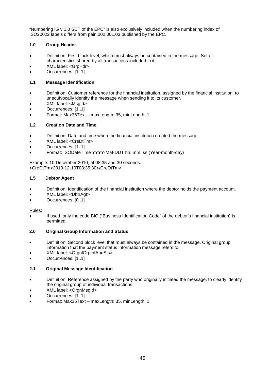"Numbering IG v 1.0 SCT of the EPC" is also exclusively included when the numbering index of ISO20022 labels differs from pain.002.001.03 published by the EPC.

## **1.0 Group Header**

- Definition: First block level, which must always be contained in the message. Set of characteristics shared by all transactions included in it.
- XML label: <GrpHdr>
- Occurrences: [1..1]

## **1.1 Message Identification**

- Definition: Customer reference for the financial institution, assigned by the financial institution, to unequivocally identify the message when sending it to its customer.
- XML label: <MsgId>
- Occurrences: [1..1]
- Format: Max35Text maxLength: 35, minLength: 1

## **1.2 Creation Date and Time**

- Definition: Date and time when the financial institution created the message.
- XML label: <CreDtTm>
- Occurrences: [1..1]
- Format: ISODateTime YYYY-MM-DDT hh: mm: ss (Year-month-day)

Example: 10 December 2010, at 08:35 and 30 seconds. <CreDtTm>2010-12-10T08:35:30</CreDtTm>

## **1.5 Debtor Agent**

- Definition: Identification of the financial institution where the debtor holds the payment account.
- XML label: <DbtrAgt>
- Occurrences: [0..1]

#### Rules:

 If used, only the code BIC ("Business Identification Code" of the debtor's financial institution) is permitted.

## **2.0 Original Group Information and Status**

- Definition: Second block level that must always be contained in the message. Original group information that the payment status information message refers to.
- XML label: <OrgnlGrpInfAndSts>
- Occurrences: [1..1]

## **2.1 Original Message Identification**

- Definition: Reference assigned by the party who originally initiated the message, to clearly identify the original group of individual transactions.
- XML label: <OrgnMsgId>
- Occurrences: [1..1]
- Format: Max35Text maxLength: 35, minLength: 1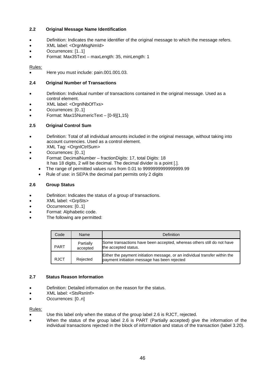## **2.2 Original Message Name Identification**

- Definition: Indicates the name identifier of the original message to which the message refers.
- XML label: <OrgnMsgNmId>
- Occurrences: [1..1]
- Format: Max35Text maxLength: 35, minLength: 1

#### Rules:

Here you must include: pain.001.001.03.

## **2.4 Original Number of Transactions**

- Definition: Individual number of transactions contained in the original message. Used as a control element.
- XML label: <OrgnlNbOfTxs>
- Occurrences: [0..1]
- Format: Max15NumericText [0-9]{1,15}

## **2.5 Original Control Sum**

- Definition: Total of all individual amounts included in the original message, without taking into account currencies. Used as a control element.
- XML Tag: <OrgnlCtrlSum>
- Occurrences: [0..1]
- Format: DecimalNumber fractionDigits: 17, total Digits: 18 It has 18 digits, 2 will be decimal. The decimal divider is a point [.].
	- The range of permitted values runs from 0.01 to 9999999999999999.99
	- Rule of use: in SEPA the decimal part permits only 2 digits

## **2.6 Group Status**

- Definition: Indicates the status of a group of transactions.
- XML label: <GrpSts>
- Occurrences: [0..1]
- Format: Alphabetic code.
- The following are permitted:

| Code        | Name                  | Definition                                                                                                                  |
|-------------|-----------------------|-----------------------------------------------------------------------------------------------------------------------------|
| <b>PART</b> | Partially<br>accepted | Some transactions have been accepted, whereas others still do not have<br>the accepted status.                              |
| <b>RJCT</b> | Rejected              | Either the payment initiation message, or an individual transfer within the<br>payment initiation message has been rejected |

#### **2.7 Status Reason Information**

- Definition: Detailed information on the reason for the status.
- XML label: <StsRsnInf>
- Occurrences: [0..n]

#### Rules:

- Use this label only when the status of the group label 2.6 is RJCT, rejected.
- When the status of the group label 2.6 is PART (Partially accepted) give the information of the individual transactions rejected in the block of information and status of the transaction (label 3.20).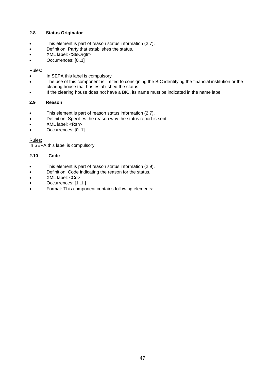## **2.8 Status Originator**

- This element is part of reason status information (2.7).
- Definition: Party that establishes the status.
- XML label: <StsOrgtr>
- Occurrences: [0..1]

## Rules:

- In SEPA this label is compulsory
- The use of this component is limited to consigning the BIC identifying the financial institution or the clearing house that has established the status.
- If the clearing house does not have a BIC, its name must be indicated in the name label.

## **2.9 Reason**

- This element is part of reason status information (2.7).
- Definition: Specifies the reason why the status report is sent.
- XML label: <Rsn>
- Occurrences: [0..1]

Rules:

In SEPA this label is compulsory

## **2.10 Code**

- This element is part of reason status information (2.9).
- **•** Definition: Code indicating the reason for the status.
- XML label: <Cd>
- Occurrences: [1..1 ]
- Format: This component contains following elements: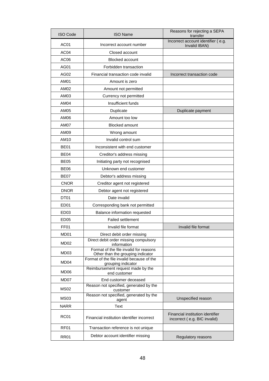| <b>ISO Code</b>                  | <b>ISO Name</b>                                                             | Reasons for rejecting a SEPA<br>transfer                         |
|----------------------------------|-----------------------------------------------------------------------------|------------------------------------------------------------------|
| AC01<br>Incorrect account number |                                                                             | Incorrect account identifier (e.g.<br>Invalid IBAN)              |
| AC <sub>04</sub>                 | Closed account                                                              |                                                                  |
| AC <sub>06</sub>                 | <b>Blocked account</b>                                                      |                                                                  |
| <b>AG01</b>                      | Forbidden transaction                                                       |                                                                  |
| AG02                             | Financial transaction code invalid                                          | Incorrect transaction code                                       |
| <b>AM01</b>                      | Amount is zero                                                              |                                                                  |
| AM02                             | Amount not permitted                                                        |                                                                  |
| AM03                             | Currency not permitted                                                      |                                                                  |
| AM04                             | Insufficient funds                                                          |                                                                  |
| AM05                             | Duplicate                                                                   | Duplicate payment                                                |
| AM06                             | Amount too low                                                              |                                                                  |
| AM07                             | <b>Blocked amount</b>                                                       |                                                                  |
| AM09                             | Wrong amount                                                                |                                                                  |
| AM10                             | Invalid control sum                                                         |                                                                  |
| <b>BE01</b>                      | Inconsistent with end customer                                              |                                                                  |
| BE04                             | Creditor's address missing                                                  |                                                                  |
| <b>BE05</b>                      | Initiating party not recognised                                             |                                                                  |
| <b>BE06</b>                      | Unknown end customer                                                        |                                                                  |
| <b>BE07</b>                      | Debtor's address missing                                                    |                                                                  |
| <b>CNOR</b>                      | Creditor agent not registered                                               |                                                                  |
| <b>DNOR</b>                      | Debtor agent not registered                                                 |                                                                  |
| DT01                             | Date invalid                                                                |                                                                  |
| ED <sub>01</sub>                 | Corresponding bank not permitted                                            |                                                                  |
| ED03                             | Balance information requested                                               |                                                                  |
| <b>ED05</b>                      | <b>Failed settlement</b>                                                    |                                                                  |
| FF01                             | Invalid file format                                                         | Invalid file format                                              |
| MD <sub>01</sub>                 | Direct debit order missing                                                  |                                                                  |
| MD <sub>02</sub>                 | Direct debit order missing compulsory<br>information                        |                                                                  |
| MD03                             | Format of the file invalid for reasons<br>Other than the grouping indicator |                                                                  |
| MD <sub>04</sub>                 | Format of the file invalid because of the<br>grouping indicator             |                                                                  |
| MD06                             | Reimbursement request made by the<br>end customer                           |                                                                  |
| MD07                             | End customer deceased                                                       |                                                                  |
| <b>MS02</b>                      | Reason not specified, generated by the<br>customer                          |                                                                  |
| MS <sub>03</sub>                 | Reason not specified, generated by the<br>agent                             | Unspecified reason                                               |
| <b>NARR</b>                      | Text                                                                        |                                                                  |
| <b>RC01</b>                      | Financial institution identifier incorrect                                  | Financial institution identifier<br>incorrect (e.g. BIC invalid) |
| RF <sub>01</sub>                 | Transaction reference is not unique                                         |                                                                  |
| <b>RR01</b>                      | Debtor account identifier missing                                           | Regulatory reasons                                               |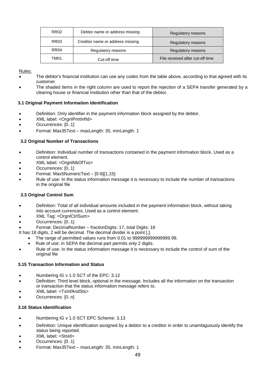| <b>RR02</b>      | Debtor name or address missing   | Regulatory reasons               |
|------------------|----------------------------------|----------------------------------|
| <b>RR03</b>      | Creditor name or address missing | Regulatory reasons               |
| RR <sub>04</sub> | Regulatory reasons               | Regulatory reasons               |
| TM01             | Cut-off time                     | File received after cut-off time |

- The debtor's financial institution can use any codes from the table above, according to that agreed with its customer.
- The shaded items in the right column are used to report the rejection of a SEPA transfer generated by a clearing house or financial institution other than that of the debtor.

#### **3.1 Original Payment Information Identification**

- Definition: Only identifier in the payment information block assigned by the debtor.
- XML label: <OrgnlPmtInfId>
- Occurrences: [0..1]
- Format: Max35Text maxLength: 35, minLength: 1

## **3.2 Original Number of Transactions**

- Definition: Individual number of transactions contained in the payment information block. Used as a control element.
- XML label: <OrgnlNbOfTxs>
- Occurrences: [0..1]
- Format: Max5NumericText [0-9]{1,15}
- Rule of use: In the status information message it is necessary to include the number of transactions in the original file

#### **3.3 Original Control Sum**

- Definition: Total of all individual amounts included in the payment information block, without taking into account currencies. Used as a control element.
- XML Tag: <OrgnlCtrlSum>
- Occurrences: [0..1]
- Format: DecimalNumber fractionDigits: 17, total Digits: 18
- It has 18 digits, 2 will be decimal. The decimal divider is a point [.].
	- The range of permitted values runs from 0.01 to 999999999999999.99.
	- Rule of use: in SEPA the decimal part permits only 2 digits.
- Rule of use: In the status information message it is necessary to include the control of sum of the original file

#### **3.15 Transaction Information and Status**

- Numbering IG v 1.0 SCT of the EPC: 3.12
- Definition: Third level block, optional in the message. Includes all the information on the transaction or transaction that the status information message refers to.
- XML label: <TxInfAndSts>
- Occurrences: [0..n]

#### **3.16 Status Identification**

- Numbering IG v 1.0 SCT EPC Scheme: 3.13
- Definition: Unique identification assigned by a debtor to a creditor in order to unambiguously identify the status being reported.
- XML label: <StsId>
- Occurrences: [0..1]
- Format: Max35Text maxLength: 35, minLength: 1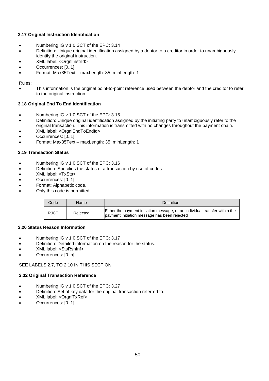## **3.17 Original Instruction Identification**

- Numbering IG v 1.0 SCT of the EPC: 3.14
- Definition: Unique original identification assigned by a debtor to a creditor in order to unambiguously identify the original instruction.
- XML label: <OrgnlInstrId>
- Occurrences: [0..1]
- Format: Max35Text maxLength: 35, minLength: 1

#### Rules:

 This information is the original point-to-point reference used between the debtor and the creditor to refer to the original instruction.

## **3.18 Original End To End Identification**

- Numbering IG v 1.0 SCT of the EPC: 3.15
- Definition: Unique original identification assigned by the initiating party to unambiguously refer to the original transaction. This information is transmitted with no changes throughout the payment chain.
- XML label: <OrgnlEndToEndId>
- Occurrences: [0..1]
- Format: Max35Text maxLength: 35, minLength: 1

## **3.19 Transaction Status**

- Numbering IG v 1.0 SCT of the EPC: 3.16
- Definition: Specifies the status of a transaction by use of codes.
- XML label: <TxSts>
- Occurrences: [0..1]
- Format: Alphabetic code.
- Only this code is permitted:

| Code        | <b>Name</b> | Definition                                                                                                                  |
|-------------|-------------|-----------------------------------------------------------------------------------------------------------------------------|
| <b>RJCT</b> | Rejected    | Either the payment initiation message, or an individual transfer within the<br>payment initiation message has been rejected |

#### **3.20 Status Reason Information**

- Numbering IG v 1.0 SCT of the EPC: 3.17
- Definition: Detailed information on the reason for the status.
- XML label: <StsRsnInf>
- Occurrences: [0..n]

#### SEE LABELS 2.7, TO 2.10 IN THIS SECTION

#### **3.32 Original Transaction Reference**

- Numbering IG v 1.0 SCT of the EPC: 3.27
- Definition: Set of key data for the original transaction referred to.
- XML label: <OrgnlTxRef>
- Occurrences: [0..1]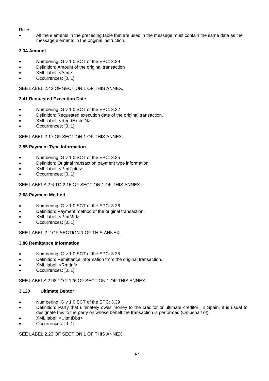All the elements in the preceding table that are used in the message must contain the same data as the message elements in the original instruction.

## **3.34 Amount**

- Numbering IG v 1.0 SCT of the EPC: 3.29
- Definition: Amount of the original transaction
- XML label: <Amt>
- Occurrences: [0..1]

SEE LABEL 2.42 OF SECTION 1 OF THIS ANNEX.

## **3.41 Requested Execution Date**

- Numbering IG v 1.0 SCT of the EPC: 3.32
- Definition: Requested execution date of the original transaction.
- XML label: <ReqdExctnDt>
- Occurrences: [0..1]

SEE LABEL 2.17 OF SECTION 1 OF THIS ANNEX.

## **3.55 Payment Type Information**

- Numbering IG v 1.0 SCT of the EPC: 3.35
- Definition: Original transaction payment type information.
- XML label: <PmtTpInf>
- Occurrences: [0..1]

SEE LABELS 2.6 TO 2.15 OF SECTION 1 OF THIS ANNEX.

#### **3.68 Payment Method**

- Numbering IG v 1.0 SCT of the EPC: 3.36
- **•** Definition: Payment method of the original transaction.
- XML label: <PmtMtd>
- Occurrences: [0..1]

SEE LABEL 2.2 OF SECTION 1 OF THIS ANNEX.

#### **3.88 Remittance Information**

- Numbering IG v 1.0 SCT of the EPC: 3.38
- Definition: Remittance information from the original transaction.
- XML label: <Rmtlnf>
- Occurrences: [0..1]

SEE LABELS 2.98 TO 2.126 OF SECTION 1 OF THIS ANNEX.

#### **3.120 Ultimate Debtor**

- Numbering IG v 1.0 SCT of the EPC: 3.39
- Definition: Party that ultimately owes money to the creditor or ultimate creditor. In Spain, it is usual to designate this to the party on whose behalf the transaction is performed (On behalf of).
- XML label: <UltmtDbtr>
- Occurrences: [0..1]

SEE LABEL 2.23 OF SECTION 1 OF THIS ANNEX